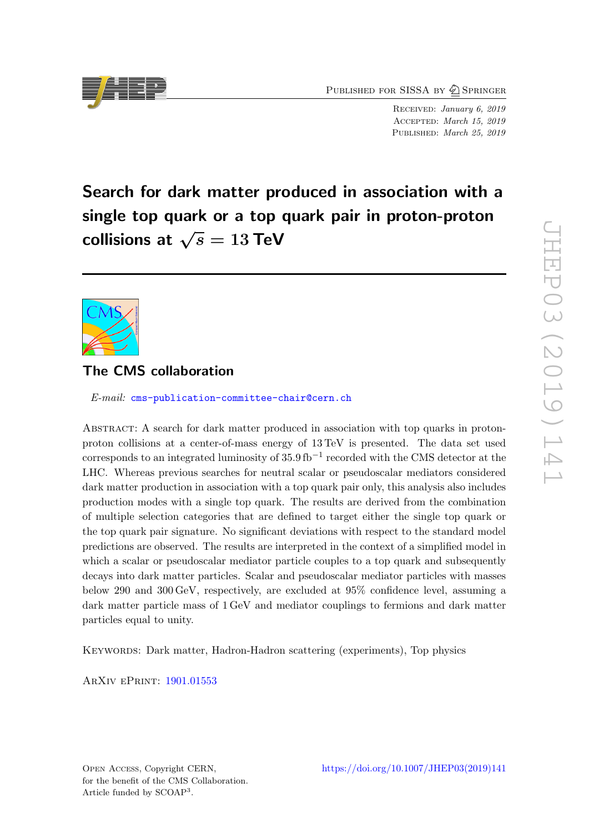PUBLISHED FOR SISSA BY 2 SPRINGER

Received: January 6, 2019 Accepted: March 15, 2019 PUBLISHED: March 25, 2019

# Search for dark matter produced in association with a single top quark or a top quark pair in proton-proton collisions at  $\sqrt{s} = 13$  TeV



# The CMS collaboration

E-mail: [cms-publication-committee-chair@cern.ch](mailto:cms-publication-committee-chair@cern.ch)

Abstract: A search for dark matter produced in association with top quarks in protonproton collisions at a center-of-mass energy of 13 TeV is presented. The data set used corresponds to an integrated luminosity of  $35.9 \text{ fb}^{-1}$  recorded with the CMS detector at the LHC. Whereas previous searches for neutral scalar or pseudoscalar mediators considered dark matter production in association with a top quark pair only, this analysis also includes production modes with a single top quark. The results are derived from the combination of multiple selection categories that are defined to target either the single top quark or the top quark pair signature. No significant deviations with respect to the standard model predictions are observed. The results are interpreted in the context of a simplified model in which a scalar or pseudoscalar mediator particle couples to a top quark and subsequently decays into dark matter particles. Scalar and pseudoscalar mediator particles with masses below 290 and 300 GeV, respectively, are excluded at 95% confidence level, assuming a dark matter particle mass of 1 GeV and mediator couplings to fermions and dark matter particles equal to unity.

Keywords: Dark matter, Hadron-Hadron scattering (experiments), Top physics

ArXiv ePrint: [1901.01553](https://arxiv.org/abs/1901.01553)

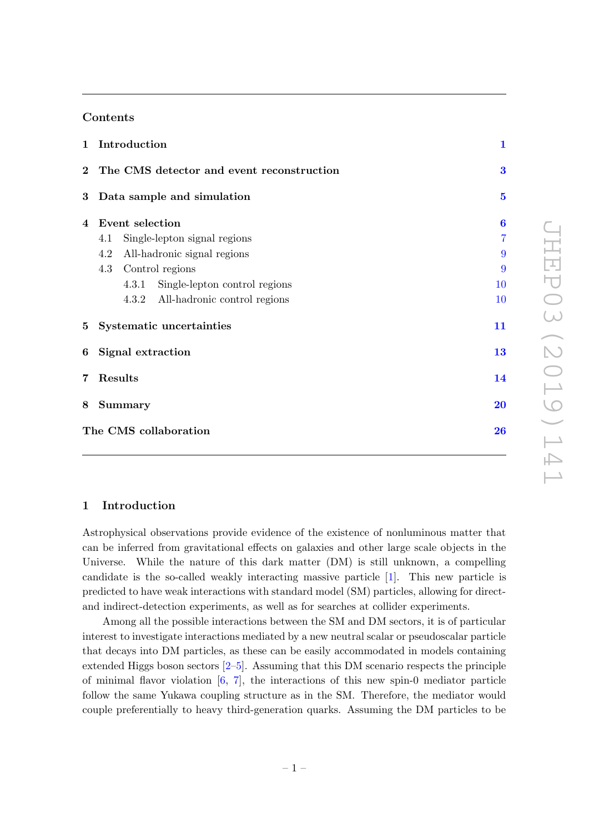# Contents

|       | 1 Introduction                              | $\mathbf{1}$            |  |  |  |  |  |  |
|-------|---------------------------------------------|-------------------------|--|--|--|--|--|--|
|       | 2 The CMS detector and event reconstruction | 3                       |  |  |  |  |  |  |
|       | 3 Data sample and simulation                | $\overline{\mathbf{5}}$ |  |  |  |  |  |  |
| 4     | <b>Event selection</b>                      | $\bf{6}$                |  |  |  |  |  |  |
|       | Single-lepton signal regions<br>4.1         | $\overline{7}$          |  |  |  |  |  |  |
|       | 4.2<br>All-hadronic signal regions          | 9                       |  |  |  |  |  |  |
|       | 4.3 Control regions                         | 9                       |  |  |  |  |  |  |
|       | Single-lepton control regions<br>4.3.1      | 10                      |  |  |  |  |  |  |
|       | 4.3.2 All-hadronic control regions          | 10                      |  |  |  |  |  |  |
|       | 5 Systematic uncertainties                  | 11                      |  |  |  |  |  |  |
|       | 13<br>6 Signal extraction                   |                         |  |  |  |  |  |  |
| $7\,$ | Results                                     | 14                      |  |  |  |  |  |  |
|       | 8 Summary                                   | 20                      |  |  |  |  |  |  |
|       | The CMS collaboration                       |                         |  |  |  |  |  |  |
|       |                                             |                         |  |  |  |  |  |  |

### <span id="page-1-0"></span>1 Introduction

Astrophysical observations provide evidence of the existence of nonluminous matter that can be inferred from gravitational effects on galaxies and other large scale objects in the Universe. While the nature of this dark matter (DM) is still unknown, a compelling candidate is the so-called weakly interacting massive particle [\[1\]](#page-21-0). This new particle is predicted to have weak interactions with standard model (SM) particles, allowing for directand indirect-detection experiments, as well as for searches at collider experiments.

Among all the possible interactions between the SM and DM sectors, it is of particular interest to investigate interactions mediated by a new neutral scalar or pseudoscalar particle that decays into DM particles, as these can be easily accommodated in models containing extended Higgs boson sectors  $[2-5]$  $[2-5]$ . Assuming that this DM scenario respects the principle of minimal flavor violation  $[6, 7]$  $[6, 7]$  $[6, 7]$ , the interactions of this new spin-0 mediator particle follow the same Yukawa coupling structure as in the SM. Therefore, the mediator would couple preferentially to heavy third-generation quarks. Assuming the DM particles to be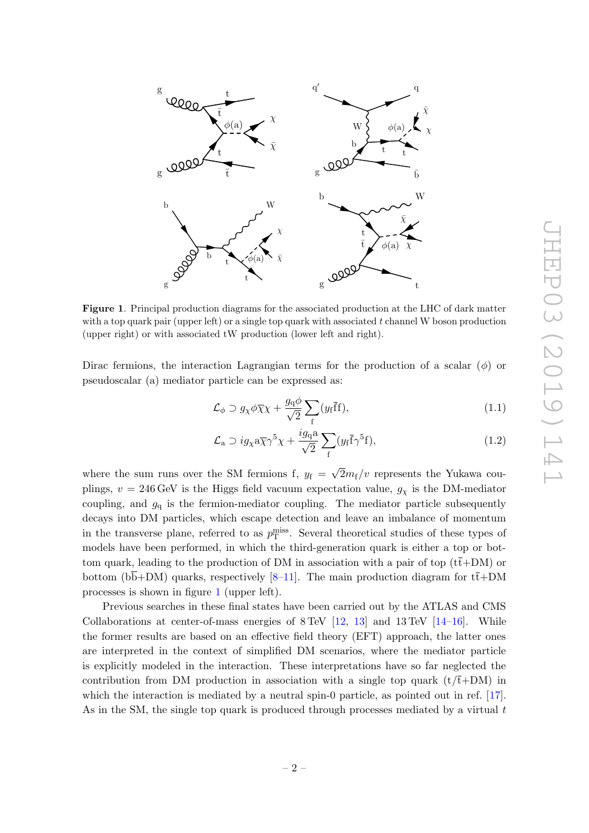

<span id="page-2-0"></span>Figure 1. Principal production diagrams for the associated production at the LHC of dark matter with a top quark pair (upper left) or a single top quark with associated  $t$  channel W boson production (upper right) or with associated tW production (lower left and right).

Dirac fermions, the interaction Lagrangian terms for the production of a scalar  $(\phi)$  or pseudoscalar (a) mediator particle can be expressed as:

<span id="page-2-1"></span>
$$
\mathcal{L}_{\phi} \supset g_{\chi} \phi \overline{\chi} \chi + \frac{g_{\mathbf{q}} \phi}{\sqrt{2}} \sum_{\mathbf{f}} (y_{\mathbf{f}} \overline{\mathbf{f}} \mathbf{f}), \tag{1.1}
$$

<span id="page-2-2"></span>
$$
\mathcal{L}_a \supset ig_\chi a \overline{\chi} \gamma^5 \chi + \frac{ig_a a}{\sqrt{2}} \sum_f (y_f \overline{f} \gamma^5 f), \tag{1.2}
$$

where the sum runs over the SM fermions f,  $y_f =$ √  $2m_f/v$  represents the Yukawa couplings,  $v = 246 \,\text{GeV}$  is the Higgs field vacuum expectation value,  $g_{\chi}$  is the DM-mediator coupling, and  $g<sub>q</sub>$  is the fermion-mediator coupling. The mediator particle subsequently decays into DM particles, which escape detection and leave an imbalance of momentum in the transverse plane, referred to as  $p_T^{\text{miss}}$ . Several theoretical studies of these types of models have been performed, in which the third-generation quark is either a top or bottom quark, leading to the production of DM in association with a pair of top  $(t\bar{t}+DM)$  or bottom ( $b\overline{b}+DM$ ) quarks, respectively [\[8–](#page-21-5)[11\]](#page-22-0). The main production diagram for  $t\overline{t}+DM$ processes is shown in figure [1](#page-2-0) (upper left).

Previous searches in these final states have been carried out by the ATLAS and CMS Collaborations at center-of-mass energies of 8 TeV  $[12, 13]$  $[12, 13]$  $[12, 13]$  and 13 TeV  $[14-16]$  $[14-16]$ . While the former results are based on an effective field theory (EFT) approach, the latter ones are interpreted in the context of simplified DM scenarios, where the mediator particle is explicitly modeled in the interaction. These interpretations have so far neglected the contribution from DM production in association with a single top quark  $(t/\bar{t}+DM)$  in which the interaction is mediated by a neutral spin-0 particle, as pointed out in ref. [\[17\]](#page-22-5). As in the SM, the single top quark is produced through processes mediated by a virtual t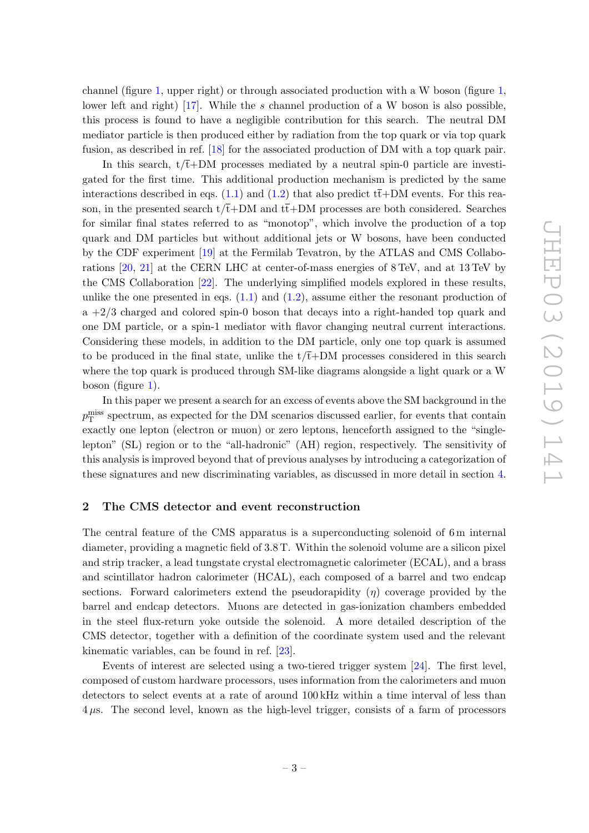channel (figure [1,](#page-2-0) upper right) or through associated production with a W boson (figure [1,](#page-2-0) lower left and right)  $[17]$ . While the s channel production of a W boson is also possible, this process is found to have a negligible contribution for this search. The neutral DM mediator particle is then produced either by radiation from the top quark or via top quark fusion, as described in ref. [\[18\]](#page-22-6) for the associated production of DM with a top quark pair.

In this search,  $t/\bar{t}+DM$  processes mediated by a neutral spin-0 particle are investigated for the first time. This additional production mechanism is predicted by the same interactions described in eqs. [\(1.1\)](#page-2-1) and [\(1.2\)](#page-2-2) that also predict  $t\bar{t}$ +DM events. For this reason, in the presented search  $t/\bar{t}$ +DM and  $t\bar{t}$ +DM processes are both considered. Searches for similar final states referred to as "monotop", which involve the production of a top quark and DM particles but without additional jets or W bosons, have been conducted by the CDF experiment [\[19\]](#page-22-7) at the Fermilab Tevatron, by the ATLAS and CMS Collaborations [\[20,](#page-22-8) [21\]](#page-22-9) at the CERN LHC at center-of-mass energies of 8 TeV, and at 13 TeV by the CMS Collaboration [\[22\]](#page-22-10). The underlying simplified models explored in these results, unlike the one presented in eqs.  $(1.1)$  and  $(1.2)$ , assume either the resonant production of  $a +2/3$  charged and colored spin-0 boson that decays into a right-handed top quark and one DM particle, or a spin-1 mediator with flavor changing neutral current interactions. Considering these models, in addition to the DM particle, only one top quark is assumed to be produced in the final state, unlike the  $t/\bar{t}$ +DM processes considered in this search where the top quark is produced through SM-like diagrams alongside a light quark or a W boson (figure [1\)](#page-2-0).

In this paper we present a search for an excess of events above the SM background in the  $p_T^{\text{miss}}$  spectrum, as expected for the DM scenarios discussed earlier, for events that contain exactly one lepton (electron or muon) or zero leptons, henceforth assigned to the "singlelepton" (SL) region or to the "all-hadronic" (AH) region, respectively. The sensitivity of this analysis is improved beyond that of previous analyses by introducing a categorization of these signatures and new discriminating variables, as discussed in more detail in section [4.](#page-6-0)

#### <span id="page-3-0"></span>2 The CMS detector and event reconstruction

The central feature of the CMS apparatus is a superconducting solenoid of 6 m internal diameter, providing a magnetic field of 3.8 T. Within the solenoid volume are a silicon pixel and strip tracker, a lead tungstate crystal electromagnetic calorimeter (ECAL), and a brass and scintillator hadron calorimeter (HCAL), each composed of a barrel and two endcap sections. Forward calorimeters extend the pseudorapidity  $(\eta)$  coverage provided by the barrel and endcap detectors. Muons are detected in gas-ionization chambers embedded in the steel flux-return yoke outside the solenoid. A more detailed description of the CMS detector, together with a definition of the coordinate system used and the relevant kinematic variables, can be found in ref. [\[23\]](#page-22-11).

Events of interest are selected using a two-tiered trigger system [\[24\]](#page-22-12). The first level, composed of custom hardware processors, uses information from the calorimeters and muon detectors to select events at a rate of around 100 kHz within a time interval of less than 4 µs. The second level, known as the high-level trigger, consists of a farm of processors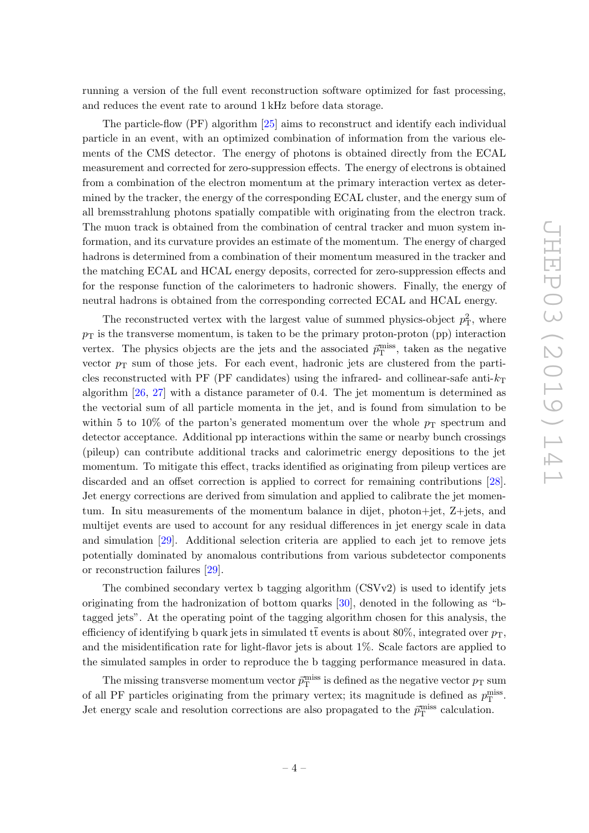running a version of the full event reconstruction software optimized for fast processing, and reduces the event rate to around 1 kHz before data storage.

The particle-flow (PF) algorithm [\[25\]](#page-22-13) aims to reconstruct and identify each individual particle in an event, with an optimized combination of information from the various elements of the CMS detector. The energy of photons is obtained directly from the ECAL measurement and corrected for zero-suppression effects. The energy of electrons is obtained from a combination of the electron momentum at the primary interaction vertex as determined by the tracker, the energy of the corresponding ECAL cluster, and the energy sum of all bremsstrahlung photons spatially compatible with originating from the electron track. The muon track is obtained from the combination of central tracker and muon system information, and its curvature provides an estimate of the momentum. The energy of charged hadrons is determined from a combination of their momentum measured in the tracker and the matching ECAL and HCAL energy deposits, corrected for zero-suppression effects and for the response function of the calorimeters to hadronic showers. Finally, the energy of neutral hadrons is obtained from the corresponding corrected ECAL and HCAL energy.

The reconstructed vertex with the largest value of summed physics-object  $p_T^2$ , where  $p_{\rm T}$  is the transverse momentum, is taken to be the primary proton-proton (pp) interaction vertex. The physics objects are the jets and the associated  $\vec{p}_{\rm T}^{\rm miss}$ , taken as the negative vector  $p_T$  sum of those jets. For each event, hadronic jets are clustered from the particles reconstructed with PF (PF candidates) using the infrared- and collinear-safe anti- $k_T$ algorithm [\[26,](#page-23-0) [27\]](#page-23-1) with a distance parameter of 0.4. The jet momentum is determined as the vectorial sum of all particle momenta in the jet, and is found from simulation to be within 5 to 10% of the parton's generated momentum over the whole  $p_T$  spectrum and detector acceptance. Additional pp interactions within the same or nearby bunch crossings (pileup) can contribute additional tracks and calorimetric energy depositions to the jet momentum. To mitigate this effect, tracks identified as originating from pileup vertices are discarded and an offset correction is applied to correct for remaining contributions [\[28\]](#page-23-2). Jet energy corrections are derived from simulation and applied to calibrate the jet momentum. In situ measurements of the momentum balance in dijet, photon+jet, Z+jets, and multijet events are used to account for any residual differences in jet energy scale in data and simulation [\[29\]](#page-23-3). Additional selection criteria are applied to each jet to remove jets potentially dominated by anomalous contributions from various subdetector components or reconstruction failures [\[29\]](#page-23-3).

The combined secondary vertex b tagging algorithm  $\left(\text{CSVv2}\right)$  is used to identify jets originating from the hadronization of bottom quarks [\[30\]](#page-23-4), denoted in the following as "btagged jets". At the operating point of the tagging algorithm chosen for this analysis, the efficiency of identifying b quark jets in simulated  $t\bar{t}$  events is about 80%, integrated over  $p_T$ , and the misidentification rate for light-flavor jets is about 1%. Scale factors are applied to the simulated samples in order to reproduce the b tagging performance measured in data.

The missing transverse momentum vector  $\vec{p}_{\rm T}^{\rm miss}$  is defined as the negative vector  $p_{\rm T}$  sum of all PF particles originating from the primary vertex; its magnitude is defined as  $p_T^{\text{miss}}$ . Jet energy scale and resolution corrections are also propagated to the  $\vec{p}_{\rm T}^{\rm miss}$  calculation.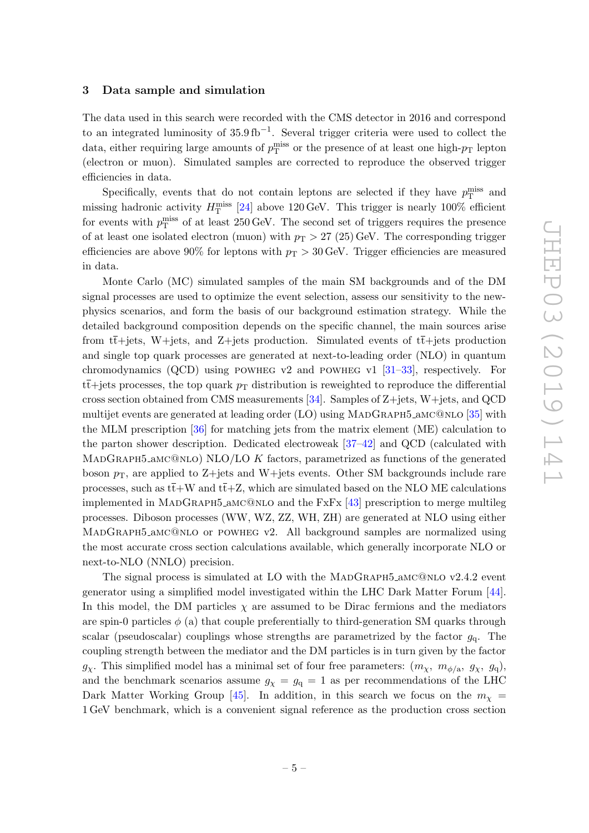#### <span id="page-5-0"></span>3 Data sample and simulation

The data used in this search were recorded with the CMS detector in 2016 and correspond to an integrated luminosity of  $35.9 \text{ fb}^{-1}$ . Several trigger criteria were used to collect the data, either requiring large amounts of  $p_T^{\text{miss}}$  or the presence of at least one high- $p_T$  lepton (electron or muon). Simulated samples are corrected to reproduce the observed trigger efficiencies in data.

Specifically, events that do not contain leptons are selected if they have  $p_T^{\text{miss}}$  and missing hadronic activity  $H_{\text{T}}^{\text{miss}}$  [\[24\]](#page-22-12) above 120 GeV. This trigger is nearly 100% efficient for events with  $p_T^{\text{miss}}$  of at least 250 GeV. The second set of triggers requires the presence of at least one isolated electron (muon) with  $p_T > 27$  (25) GeV. The corresponding trigger efficiencies are above 90% for leptons with  $p_T > 30$  GeV. Trigger efficiencies are measured in data.

Monte Carlo (MC) simulated samples of the main SM backgrounds and of the DM signal processes are used to optimize the event selection, assess our sensitivity to the newphysics scenarios, and form the basis of our background estimation strategy. While the detailed background composition depends on the specific channel, the main sources arise from  $t\bar{t}$ +jets, W+jets, and Z+jets production. Simulated events of  $t\bar{t}$ +jets production and single top quark processes are generated at next-to-leading order (NLO) in quantum chromodynamics (QCD) using powheg v2 and powheg v1 [\[31](#page-23-5)[–33\]](#page-23-6), respectively. For  $t\bar{t}$ +jets processes, the top quark  $p_T$  distribution is reweighted to reproduce the differential cross section obtained from CMS measurements [\[34\]](#page-23-7). Samples of Z+jets, W+jets, and QCD multijet events are generated at leading order  $(LO)$  using MADGRAPH5 aMC@NLO [\[35\]](#page-23-8) with the MLM prescription [\[36\]](#page-23-9) for matching jets from the matrix element (ME) calculation to the parton shower description. Dedicated electroweak [\[37–](#page-23-10)[42\]](#page-23-11) and QCD (calculated with  $MADGRAPH5_aMC@NLO) NLO/LO K$  factors, parametrized as functions of the generated boson  $p_T$ , are applied to Z+jets and W+jets events. Other SM backgrounds include rare processes, such as  $t\bar{t}+W$  and  $t\bar{t}+Z$ , which are simulated based on the NLO ME calculations implemented in MADGRAPH5\_aMC@NLO and the FxFx [\[43\]](#page-23-12) prescription to merge multileg processes. Diboson processes (WW, WZ, ZZ, WH, ZH) are generated at NLO using either MadGraph5 amc@nlo or powheg v2. All background samples are normalized using the most accurate cross section calculations available, which generally incorporate NLO or next-to-NLO (NNLO) precision.

The signal process is simulated at LO with the MADGRAPH5 aMC@NLO  $v2.4.2$  event generator using a simplified model investigated within the LHC Dark Matter Forum [\[44\]](#page-24-0). In this model, the DM particles  $\chi$  are assumed to be Dirac fermions and the mediators are spin-0 particles  $\phi$  (a) that couple preferentially to third-generation SM quarks through scalar (pseudoscalar) couplings whose strengths are parametrized by the factor  $g<sub>q</sub>$ . The coupling strength between the mediator and the DM particles is in turn given by the factor  $g_{\chi}$ . This simplified model has a minimal set of four free parameters:  $(m_{\chi}, m_{\phi/a}, g_{\chi}, g_q)$ , and the benchmark scenarios assume  $g_{\chi} = g_q = 1$  as per recommendations of the LHC Dark Matter Working Group [\[45\]](#page-24-1). In addition, in this search we focus on the  $m<sub>x</sub>$  = 1 GeV benchmark, which is a convenient signal reference as the production cross section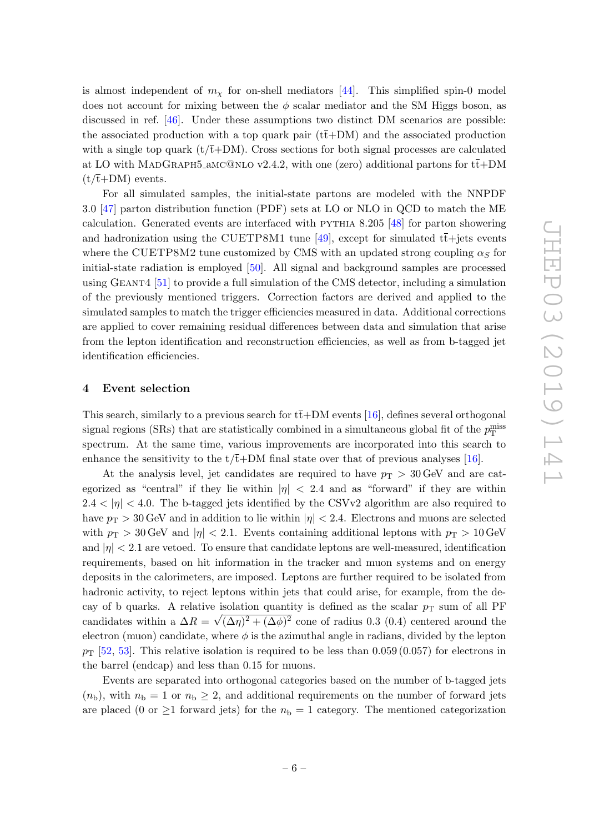is almost independent of  $m<sub>\chi</sub>$  for on-shell mediators [\[44\]](#page-24-0). This simplified spin-0 model does not account for mixing between the  $\phi$  scalar mediator and the SM Higgs boson, as discussed in ref. [\[46\]](#page-24-2). Under these assumptions two distinct DM scenarios are possible: the associated production with a top quark pair  $(t\bar{t}+DM)$  and the associated production with a single top quark  $(t/\bar{t}+DM)$ . Cross sections for both signal processes are calculated at LO with MADGRAPH5 amc@nLO v2.4.2, with one (zero) additional partons for  $t\bar{t}$ +DM  $(t/\bar{t}+DM)$  events.

For all simulated samples, the initial-state partons are modeled with the NNPDF 3.0 [\[47\]](#page-24-3) parton distribution function (PDF) sets at LO or NLO in QCD to match the ME calculation. Generated events are interfaced with PYTHIA  $8.205$  [\[48\]](#page-24-4) for parton showering and hadronization using the CUETP8M1 tune [\[49\]](#page-24-5), except for simulated  $t\bar{t}+$ jets events where the CUETP8M2 tune customized by CMS with an updated strong coupling  $\alpha_S$  for initial-state radiation is employed [\[50\]](#page-24-6). All signal and background samples are processed using Geant4 [\[51\]](#page-24-7) to provide a full simulation of the CMS detector, including a simulation of the previously mentioned triggers. Correction factors are derived and applied to the simulated samples to match the trigger efficiencies measured in data. Additional corrections are applied to cover remaining residual differences between data and simulation that arise from the lepton identification and reconstruction efficiencies, as well as from b-tagged jet identification efficiencies.

#### <span id="page-6-0"></span>4 Event selection

This search, similarly to a previous search for  $tt+DM$  events [\[16\]](#page-22-4), defines several orthogonal signal regions (SRs) that are statistically combined in a simultaneous global fit of the  $p_T^{\text{miss}}$ spectrum. At the same time, various improvements are incorporated into this search to enhance the sensitivity to the  $t/\bar{t}$ +DM final state over that of previous analyses [\[16\]](#page-22-4).

At the analysis level, jet candidates are required to have  $p_T > 30$  GeV and are categorized as "central" if they lie within  $|\eta| < 2.4$  and as "forward" if they are within  $2.4 < |\eta| < 4.0$ . The b-tagged jets identified by the CSVv2 algorithm are also required to have  $p_T > 30$  GeV and in addition to lie within  $|\eta| < 2.4$ . Electrons and muons are selected with  $p_T > 30$  GeV and  $|\eta| < 2.1$ . Events containing additional leptons with  $p_T > 10$  GeV and  $|\eta| < 2.1$  are vetoed. To ensure that candidate leptons are well-measured, identification requirements, based on hit information in the tracker and muon systems and on energy deposits in the calorimeters, are imposed. Leptons are further required to be isolated from hadronic activity, to reject leptons within jets that could arise, for example, from the decay of b quarks. A relative isolation quantity is defined as the scalar  $p_T$  sum of all PF candidates within a  $\Delta R = \sqrt{(\Delta \eta)^2 + (\Delta \phi)^2}$  cone of radius 0.3 (0.4) centered around the electron (muon) candidate, where  $\phi$  is the azimuthal angle in radians, divided by the lepton  $p_{\text{t}}$  [\[52,](#page-24-8) [53\]](#page-24-9). This relative isolation is required to be less than 0.059 (0.057) for electrons in the barrel (endcap) and less than 0.15 for muons.

Events are separated into orthogonal categories based on the number of b-tagged jets  $(n_b)$ , with  $n_b = 1$  or  $n_b \geq 2$ , and additional requirements on the number of forward jets are placed (0 or  $\geq$ 1 forward jets) for the  $n<sub>b</sub> = 1$  category. The mentioned categorization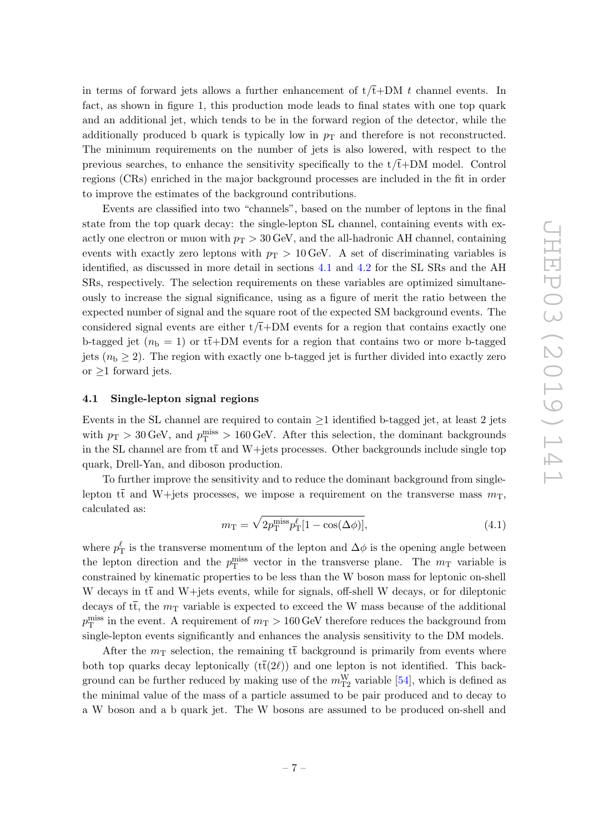in terms of forward jets allows a further enhancement of  $t/\bar{t}+DM t$  channel events. In fact, as shown in figure 1, this production mode leads to final states with one top quark and an additional jet, which tends to be in the forward region of the detector, while the additionally produced b quark is typically low in  $p<sub>T</sub>$  and therefore is not reconstructed. The minimum requirements on the number of jets is also lowered, with respect to the previous searches, to enhance the sensitivity specifically to the  $t/\bar{t}$ +DM model. Control regions (CRs) enriched in the major background processes are included in the fit in order to improve the estimates of the background contributions.

Events are classified into two "channels", based on the number of leptons in the final state from the top quark decay: the single-lepton SL channel, containing events with exactly one electron or muon with  $p_T > 30$  GeV, and the all-hadronic AH channel, containing events with exactly zero leptons with  $p_T > 10$  GeV. A set of discriminating variables is identified, as discussed in more detail in sections [4.1](#page-7-0) and [4.2](#page-9-0) for the SL SRs and the AH SRs, respectively. The selection requirements on these variables are optimized simultaneously to increase the signal significance, using as a figure of merit the ratio between the expected number of signal and the square root of the expected SM background events. The considered signal events are either  $t/\bar{t}+DM$  events for a region that contains exactly one b-tagged jet  $(n_b = 1)$  or  $t\bar{t}$ +DM events for a region that contains two or more b-tagged jets  $(n_b \geq 2)$ . The region with exactly one b-tagged jet is further divided into exactly zero or  $\geq$ 1 forward jets.

#### <span id="page-7-0"></span>4.1 Single-lepton signal regions

Events in the SL channel are required to contain  $\geq 1$  identified b-tagged jet, at least 2 jets with  $p_T > 30 \,\text{GeV}$ , and  $p_T^{\text{miss}} > 160 \,\text{GeV}$ . After this selection, the dominant backgrounds in the SL channel are from  $t\bar{t}$  and W+jets processes. Other backgrounds include single top quark, Drell-Yan, and diboson production.

To further improve the sensitivity and to reduce the dominant background from singlelepton  $t\bar{t}$  and W+jets processes, we impose a requirement on the transverse mass  $m<sub>T</sub>$ , calculated as:

<span id="page-7-1"></span>
$$
m_{\rm T} = \sqrt{2p_{\rm T}^{\rm miss}p_{\rm T}^{\ell}[1 - \cos(\Delta\phi)],\tag{4.1}
$$

where  $p_T^{\ell}$  is the transverse momentum of the lepton and  $\Delta \phi$  is the opening angle between the lepton direction and the  $p_T^{\text{miss}}$  vector in the transverse plane. The  $m_T$  variable is constrained by kinematic properties to be less than the W boson mass for leptonic on-shell W decays in  $t\bar{t}$  and W+jets events, while for signals, off-shell W decays, or for dileptonic decays of  $t\bar{t}$ , the  $m<sub>T</sub>$  variable is expected to exceed the W mass because of the additional  $p_{\rm T}^{\rm miss}$  in the event. A requirement of  $m_{\rm T} > 160\,\text{GeV}$  therefore reduces the background from single-lepton events significantly and enhances the analysis sensitivity to the DM models.

After the  $m<sub>T</sub>$  selection, the remaining  $t\bar{t}$  background is primarily from events where both top quarks decay leptonically  $(t\bar{t}(2\ell))$  and one lepton is not identified. This background can be further reduced by making use of the  $m_{\text{T2}}^{\text{W}}$  variable [\[54\]](#page-24-10), which is defined as the minimal value of the mass of a particle assumed to be pair produced and to decay to a W boson and a b quark jet. The W bosons are assumed to be produced on-shell and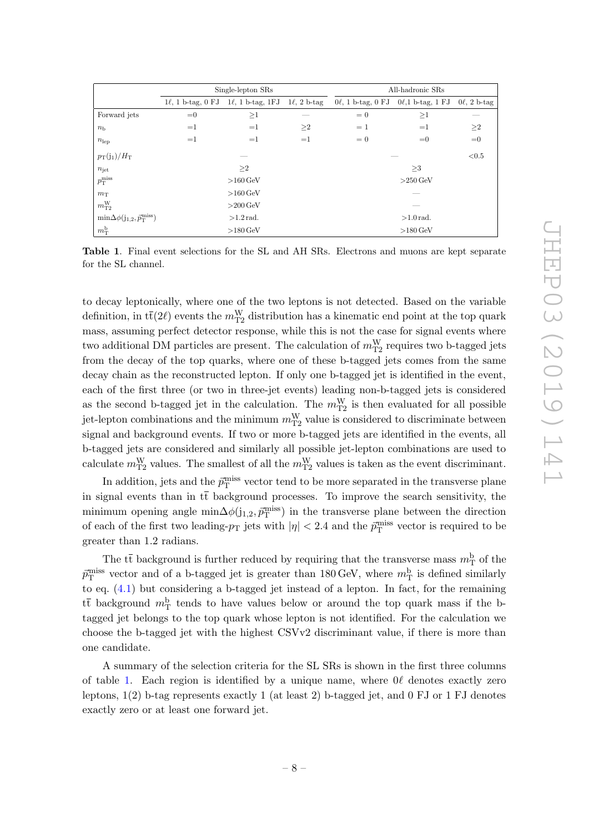|                                                                 |             | Single-lepton SRs                                                   |      | All-hadronic SRs                                                  |         |          |  |
|-----------------------------------------------------------------|-------------|---------------------------------------------------------------------|------|-------------------------------------------------------------------|---------|----------|--|
|                                                                 |             | 1 $\ell$ , 1 b-tag, 0 FJ 1 $\ell$ , 1 b-tag, 1FJ 1 $\ell$ , 2 b-tag |      | $0\ell$ , 1 b-tag, 0 FJ $0\ell$ , 1 b-tag, 1 FJ $0\ell$ , 2 b-tag |         |          |  |
| Forward jets                                                    | $=0$        | $\geq1$                                                             |      | $= 0$                                                             | $\geq1$ |          |  |
| $n_{\rm h}$                                                     | $=1$        | $=1$                                                                | >2   | $=1$                                                              | $=1$    | $\geq$ 2 |  |
| $n_{\rm lep}$                                                   | $=1$        | $=1$                                                                | $=1$ | $= 0$                                                             | $=0$    | $=0$     |  |
| $p_{\rm T}({\rm j}_{1})/H_{\rm T}$                              |             |                                                                     |      | < 0.5                                                             |         |          |  |
| $n_{\rm jet}$                                                   |             | >2                                                                  |      |                                                                   | >3      |          |  |
| $p_{\rm T}^{\rm miss}$                                          |             | $>160$ GeV                                                          |      | $>250$ GeV                                                        |         |          |  |
| $m_{\rm T}$                                                     |             | $>160$ GeV                                                          |      |                                                                   |         |          |  |
| $m_{\text{T2}}^{\text{W}}$                                      | $>200$ GeV  |                                                                     |      |                                                                   |         |          |  |
| $\min\Delta\phi(j_{1,2}, \vec{p}_{\mathrm{T}}^{\mathrm{miss}})$ | $>1.2$ rad. | $>1.0$ rad.                                                         |      |                                                                   |         |          |  |
| $m_{\rm T}^{\rm b}$                                             |             | $>180$ GeV                                                          |      |                                                                   |         |          |  |

<span id="page-8-0"></span>Table 1. Final event selections for the SL and AH SRs. Electrons and muons are kept separate for the SL channel.

to decay leptonically, where one of the two leptons is not detected. Based on the variable definition, in  $\mathrm{t\bar{t}}(2\ell)$  events the  $m_{\text{T2}}^{\text{W}}$  distribution has a kinematic end point at the top quark mass, assuming perfect detector response, while this is not the case for signal events where two additional DM particles are present. The calculation of  $m_{\text{T2}}^{\text{W}}$  requires two b-tagged jets from the decay of the top quarks, where one of these b-tagged jets comes from the same decay chain as the reconstructed lepton. If only one b-tagged jet is identified in the event, each of the first three (or two in three-jet events) leading non-b-tagged jets is considered as the second b-tagged jet in the calculation. The  $m_{\text{T2}}^{\text{W}}$  is then evaluated for all possible jet-lepton combinations and the minimum  $m_{\text{T2}}^{\text{W}}$  value is considered to discriminate between signal and background events. If two or more b-tagged jets are identified in the events, all b-tagged jets are considered and similarly all possible jet-lepton combinations are used to calculate  $m_{\text{T2}}^{\text{W}}$  values. The smallest of all the  $m_{\text{T2}}^{\text{W}}$  values is taken as the event discriminant.

In addition, jets and the  $\vec{p}_{\text{T}}^{\text{miss}}$  vector tend to be more separated in the transverse plane in signal events than in  $t\bar{t}$  background processes. To improve the search sensitivity, the minimum opening angle  $\min \Delta \phi(j_{1,2}, \vec{p}_{\text{T}}^{\text{miss}})$  in the transverse plane between the direction of each of the first two leading- $p_T$  jets with  $|\eta| < 2.4$  and the  $\vec{p}_T^{\text{miss}}$  vector is required to be greater than 1.2 radians.

The  $t\bar{t}$  background is further reduced by requiring that the transverse mass  $m_{\rm T}^{\rm b}$  of the  $\bar{p}_{\rm T}^{\rm miss}$  vector and of a b-tagged jet is greater than 180 GeV, where  $m_{\rm T}^{\rm b}$  is defined similarly to eq. [\(4.1\)](#page-7-1) but considering a b-tagged jet instead of a lepton. In fact, for the remaining  $t\bar{t}$  background  $m_T^b$  tends to have values below or around the top quark mass if the btagged jet belongs to the top quark whose lepton is not identified. For the calculation we choose the b-tagged jet with the highest CSVv2 discriminant value, if there is more than one candidate.

A summary of the selection criteria for the SL SRs is shown in the first three columns of table [1.](#page-8-0) Each region is identified by a unique name, where  $0\ell$  denotes exactly zero leptons,  $1(2)$  b-tag represents exactly 1 (at least 2) b-tagged jet, and 0 FJ or 1 FJ denotes exactly zero or at least one forward jet.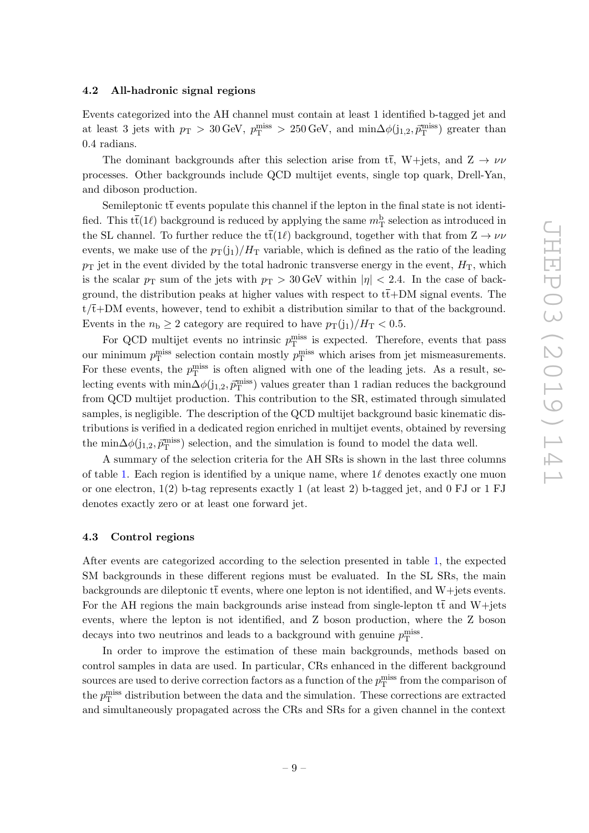#### <span id="page-9-0"></span>4.2 All-hadronic signal regions

Events categorized into the AH channel must contain at least 1 identified b-tagged jet and at least 3 jets with  $p_T > 30 \text{ GeV}$ ,  $p_T^{\text{miss}} > 250 \text{ GeV}$ , and  $\min \Delta \phi(j_{1,2}, \vec{p}_T^{\text{miss}})$  greater than 0.4 radians.

The dominant backgrounds after this selection arise from  $t\bar{t}$ , W+jets, and  $Z \rightarrow \nu\bar{\nu}$ processes. Other backgrounds include QCD multijet events, single top quark, Drell-Yan, and diboson production.

Semileptonic  $t\bar{t}$  events populate this channel if the lepton in the final state is not identified. This  $t\bar{t}(1\ell)$  background is reduced by applying the same  $m_{\rm T}^{\rm b}$  selection as introduced in the SL channel. To further reduce the  $t\bar{t}(1\ell)$  background, together with that from  $Z \to \nu\nu$ events, we make use of the  $p_T(j_1)/H_T$  variable, which is defined as the ratio of the leading  $p_T$  jet in the event divided by the total hadronic transverse energy in the event,  $H_T$ , which is the scalar  $p_T$  sum of the jets with  $p_T > 30$  GeV within  $|\eta| < 2.4$ . In the case of background, the distribution peaks at higher values with respect to  $t\bar{t}$ +DM signal events. The  $t/\bar{t}$ +DM events, however, tend to exhibit a distribution similar to that of the background. Events in the  $n_b \geq 2$  category are required to have  $p_T(j_1)/H_T < 0.5$ .

For QCD multijet events no intrinsic  $p_T^{\text{miss}}$  is expected. Therefore, events that pass our minimum  $p_T^{\text{miss}}$  selection contain mostly  $p_T^{\text{miss}}$  which arises from jet mismeasurements. For these events, the  $p_T^{\text{miss}}$  is often aligned with one of the leading jets. As a result, selecting events with  $\min \Delta\phi(j_{1,2}, \vec{p}_{\text{T}}^{\text{miss}})$  values greater than 1 radian reduces the background from QCD multijet production. This contribution to the SR, estimated through simulated samples, is negligible. The description of the QCD multijet background basic kinematic distributions is verified in a dedicated region enriched in multijet events, obtained by reversing the  $\min \Delta\phi(j_{1,2}, \vec{p}_{\text{T}}^{\text{miss}})$  selection, and the simulation is found to model the data well.

A summary of the selection criteria for the AH SRs is shown in the last three columns of table [1.](#page-8-0) Each region is identified by a unique name, where  $1\ell$  denotes exactly one muon or one electron,  $1(2)$  b-tag represents exactly 1 (at least 2) b-tagged jet, and 0 FJ or 1 FJ denotes exactly zero or at least one forward jet.

### <span id="page-9-1"></span>4.3 Control regions

After events are categorized according to the selection presented in table [1,](#page-8-0) the expected SM backgrounds in these different regions must be evaluated. In the SL SRs, the main backgrounds are dileptonic  $t\bar{t}$  events, where one lepton is not identified, and W+jets events. For the AH regions the main backgrounds arise instead from single-lepton  $t\bar{t}$  and W+jets events, where the lepton is not identified, and Z boson production, where the Z boson decays into two neutrinos and leads to a background with genuine  $p_T^{\text{miss}}$ .

In order to improve the estimation of these main backgrounds, methods based on control samples in data are used. In particular, CRs enhanced in the different background sources are used to derive correction factors as a function of the  $p_T^{\rm miss}$  from the comparison of the  $p_T^{\text{miss}}$  distribution between the data and the simulation. These corrections are extracted and simultaneously propagated across the CRs and SRs for a given channel in the context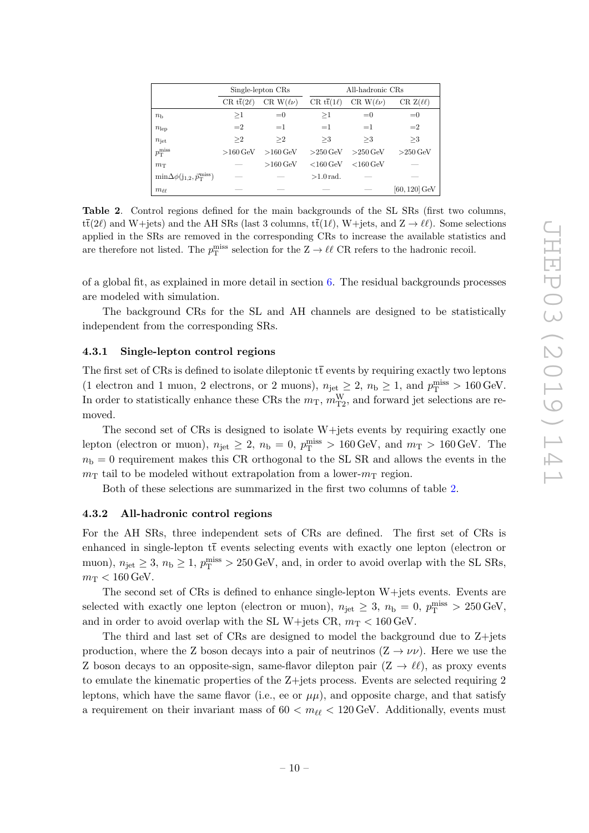|                                                    |                 | Single-lepton CRs | All-hadronic CRs |                 |                  |  |
|----------------------------------------------------|-----------------|-------------------|------------------|-----------------|------------------|--|
|                                                    | CR tt $(2\ell)$ | CR $W(\ell\nu)$   | CR tt $(1\ell)$  | CR $W(\ell\nu)$ | CR $Z(\ell\ell)$ |  |
| $n_{\rm h}$                                        | >1              | $=0$              | >1               | $=0$            | $=0$             |  |
| $n_{\rm lep}$                                      | $=2$            | $=1$              | $=1$             | $=1$            | $=2$             |  |
| $n_{\rm jet}$                                      | >2              | >2                | >3               | >3              | >3               |  |
| $p_T^{\text{miss}}$                                | $>160$ GeV      | $>160$ GeV        | $>250$ GeV       | $>250$ GeV      | $>250$ GeV       |  |
| $m_T$                                              |                 | $>160$ GeV        | $<$ 160 GeV      | $<$ 160 GeV     |                  |  |
| $\min\Delta\phi(j_{1,2}, \vec{p}_T^{\text{miss}})$ |                 |                   | $>1.0$ rad.      |                 |                  |  |
| $m_{\ell\ell}$                                     |                 |                   |                  |                 | $[60, 120]$ GeV  |  |

<span id="page-10-2"></span>Table 2. Control regions defined for the main backgrounds of the SL SRs (first two columns,  $t\bar{t}(2\ell)$  and W+jets) and the AH SRs (last 3 columns,  $t\bar{t}(1\ell)$ , W+jets, and  $Z \to \ell\ell$ ). Some selections applied in the SRs are removed in the corresponding CRs to increase the available statistics and are therefore not listed. The  $p_T^{\text{miss}}$  selection for the  $Z \to \ell \ell$  CR refers to the hadronic recoil.

of a global fit, as explained in more detail in section  $6$ . The residual backgrounds processes are modeled with simulation.

The background CRs for the SL and AH channels are designed to be statistically independent from the corresponding SRs.

#### <span id="page-10-0"></span>4.3.1 Single-lepton control regions

The first set of CRs is defined to isolate dileptonic  $t\bar{t}$  events by requiring exactly two leptons (1 electron and 1 muon, 2 electrons, or 2 muons),  $n_{\text{jet}} \ge 2$ ,  $n_{\text{b}} \ge 1$ , and  $p_{\text{T}}^{\text{miss}} > 160 \text{ GeV}$ . In order to statistically enhance these CRs the  $m_T$ ,  $m_{T2}^W$ , and forward jet selections are removed.

The second set of CRs is designed to isolate W+jets events by requiring exactly one lepton (electron or muon),  $n_{jet} \ge 2$ ,  $n_b = 0$ ,  $p_T^{\text{miss}} > 160 \,\text{GeV}$ , and  $m_T > 160 \,\text{GeV}$ . The  $n<sub>b</sub> = 0$  requirement makes this CR orthogonal to the SL SR and allows the events in the  $m<sub>T</sub>$  tail to be modeled without extrapolation from a lower- $m<sub>T</sub>$  region.

Both of these selections are summarized in the first two columns of table [2.](#page-10-2)

#### <span id="page-10-1"></span>4.3.2 All-hadronic control regions

For the AH SRs, three independent sets of CRs are defined. The first set of CRs is enhanced in single-lepton  $t\bar{t}$  events selecting events with exactly one lepton (electron or muon),  $n_{\text{jet}} \geq 3$ ,  $n_{\text{b}} \geq 1$ ,  $p_{\text{T}}^{\text{miss}} > 250 \,\text{GeV}$ , and, in order to avoid overlap with the SL SRs,  $m_T < 160 \,\text{GeV}.$ 

The second set of CRs is defined to enhance single-lepton W+jets events. Events are selected with exactly one lepton (electron or muon),  $n_{\text{jet}} \geq 3$ ,  $n_{\text{b}} = 0$ ,  $p_{\text{T}}^{\text{miss}} > 250 \text{ GeV}$ , and in order to avoid overlap with the SL W+jets CR,  $m_T < 160 \,\text{GeV}$ .

The third and last set of CRs are designed to model the background due to Z+jets production, where the Z boson decays into a pair of neutrinos  $(Z \to \nu \nu)$ . Here we use the Z boson decays to an opposite-sign, same-flavor dilepton pair  $(Z \to \ell \ell)$ , as proxy events to emulate the kinematic properties of the  $Z+$ jets process. Events are selected requiring 2 leptons, which have the same flavor (i.e., ee or  $\mu\mu$ ), and opposite charge, and that satisfy a requirement on their invariant mass of  $60 < m_{\ell\ell} < 120$  GeV. Additionally, events must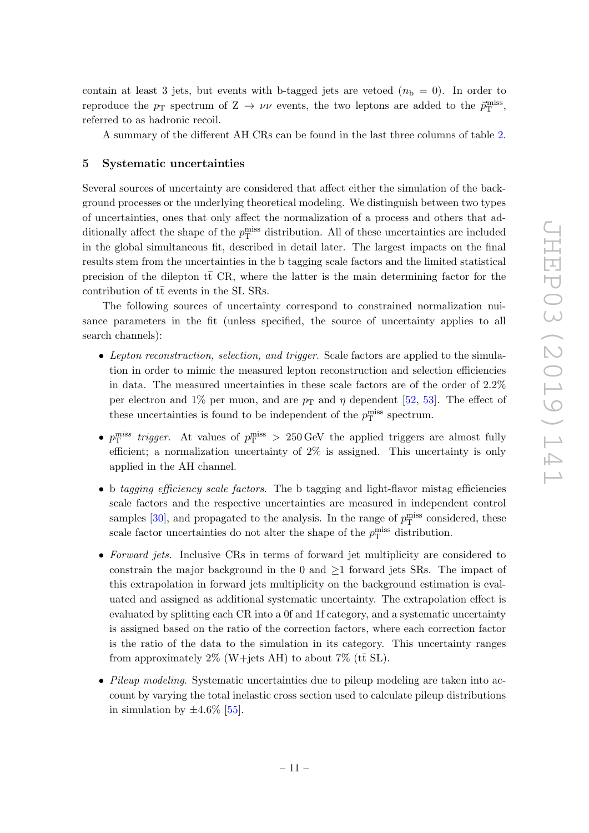contain at least 3 jets, but events with b-tagged jets are vetoed  $(n_b = 0)$ . In order to reproduce the  $p_T$  spectrum of  $Z \to \nu \nu$  events, the two leptons are added to the  $\vec{p}_T^{\text{miss}}$ , referred to as hadronic recoil.

A summary of the different AH CRs can be found in the last three columns of table [2.](#page-10-2)

#### <span id="page-11-0"></span>5 Systematic uncertainties

Several sources of uncertainty are considered that affect either the simulation of the background processes or the underlying theoretical modeling. We distinguish between two types of uncertainties, ones that only affect the normalization of a process and others that additionally affect the shape of the  $p_T^{\text{miss}}$  distribution. All of these uncertainties are included in the global simultaneous fit, described in detail later. The largest impacts on the final results stem from the uncertainties in the b tagging scale factors and the limited statistical precision of the dilepton  $t\bar{t}$  CR, where the latter is the main determining factor for the contribution of  $t\bar{t}$  events in the SL SRs.

The following sources of uncertainty correspond to constrained normalization nuisance parameters in the fit (unless specified, the source of uncertainty applies to all search channels):

- Lepton reconstruction, selection, and trigger. Scale factors are applied to the simulation in order to mimic the measured lepton reconstruction and selection efficiencies in data. The measured uncertainties in these scale factors are of the order of 2.2% per electron and 1% per muon, and are  $p_T$  and  $\eta$  dependent [\[52,](#page-24-8) [53\]](#page-24-9). The effect of these uncertainties is found to be independent of the  $p_T^{\text{miss}}$  spectrum.
- $p_T^{miss}$  trigger. At values of  $p_T^{miss} > 250 \,\text{GeV}$  the applied triggers are almost fully efficient; a normalization uncertainty of 2% is assigned. This uncertainty is only applied in the AH channel.
- b tagging efficiency scale factors. The b tagging and light-flavor mistag efficiencies scale factors and the respective uncertainties are measured in independent control samples [\[30\]](#page-23-4), and propagated to the analysis. In the range of  $p_T^{\text{miss}}$  considered, these scale factor uncertainties do not alter the shape of the  $p_T^{\text{miss}}$  distribution.
- Forward jets. Inclusive CRs in terms of forward jet multiplicity are considered to constrain the major background in the 0 and  $\geq$ 1 forward jets SRs. The impact of this extrapolation in forward jets multiplicity on the background estimation is evaluated and assigned as additional systematic uncertainty. The extrapolation effect is evaluated by splitting each CR into a 0f and 1f category, and a systematic uncertainty is assigned based on the ratio of the correction factors, where each correction factor is the ratio of the data to the simulation in its category. This uncertainty ranges from approximately 2% (W+jets AH) to about 7% ( $t\bar{t}$  SL).
- Pileup modeling. Systematic uncertainties due to pileup modeling are taken into account by varying the total inelastic cross section used to calculate pileup distributions in simulation by  $\pm 4.6\%$  [\[55\]](#page-24-11).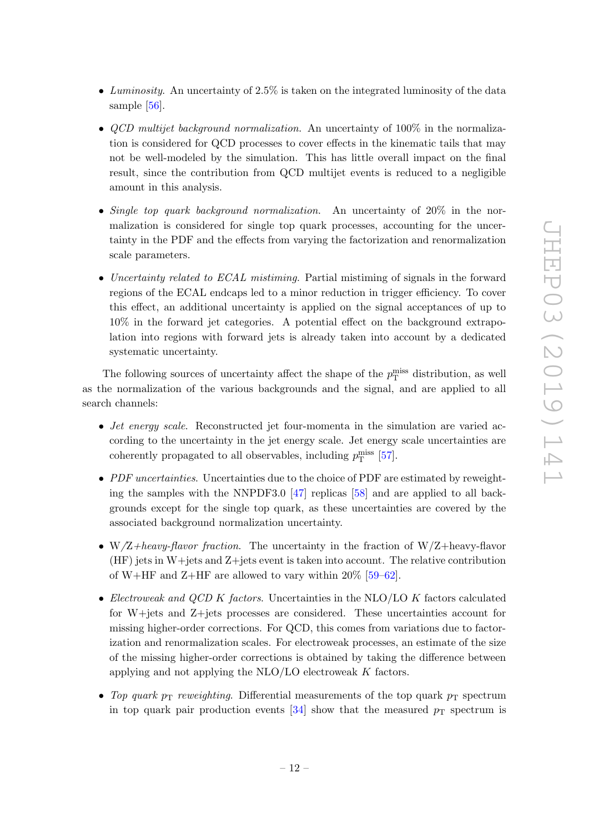- Luminosity. An uncertainty of  $2.5\%$  is taken on the integrated luminosity of the data sample [\[56\]](#page-24-12).
- *QCD multijet background normalization*. An uncertainty of 100% in the normalization is considered for QCD processes to cover effects in the kinematic tails that may not be well-modeled by the simulation. This has little overall impact on the final result, since the contribution from QCD multijet events is reduced to a negligible amount in this analysis.
- Single top quark background normalization. An uncertainty of 20% in the normalization is considered for single top quark processes, accounting for the uncertainty in the PDF and the effects from varying the factorization and renormalization scale parameters.
- Uncertainty related to ECAL mistiming. Partial mistiming of signals in the forward regions of the ECAL endcaps led to a minor reduction in trigger efficiency. To cover this effect, an additional uncertainty is applied on the signal acceptances of up to 10% in the forward jet categories. A potential effect on the background extrapolation into regions with forward jets is already taken into account by a dedicated systematic uncertainty.

The following sources of uncertainty affect the shape of the  $p_T^{\text{miss}}$  distribution, as well as the normalization of the various backgrounds and the signal, and are applied to all search channels:

- *Jet energy scale.* Reconstructed jet four-momenta in the simulation are varied according to the uncertainty in the jet energy scale. Jet energy scale uncertainties are coherently propagated to all observables, including  $p_T^{\text{miss}}$  [\[57\]](#page-24-13).
- PDF uncertainties. Uncertainties due to the choice of PDF are estimated by reweighting the samples with the NNPDF3.0 [\[47\]](#page-24-3) replicas [\[58\]](#page-24-14) and are applied to all backgrounds except for the single top quark, as these uncertainties are covered by the associated background normalization uncertainty.
- W/Z+heavy-flavor fraction. The uncertainty in the fraction of W/Z+heavy-flavor  $(HF)$  jets in W+jets and Z+jets event is taken into account. The relative contribution of W+HF and Z+HF are allowed to vary within  $20\%$  [\[59–](#page-24-15)[62\]](#page-24-16).
- Electroweak and QCD K factors. Uncertainties in the NLO/LO K factors calculated for W+jets and Z+jets processes are considered. These uncertainties account for missing higher-order corrections. For QCD, this comes from variations due to factorization and renormalization scales. For electroweak processes, an estimate of the size of the missing higher-order corrections is obtained by taking the difference between applying and not applying the  $NLO/LO$  electroweak K factors.
- Top quark  $p_T$  reweighting. Differential measurements of the top quark  $p_T$  spectrum in top quark pair production events [\[34\]](#page-23-7) show that the measured  $p_T$  spectrum is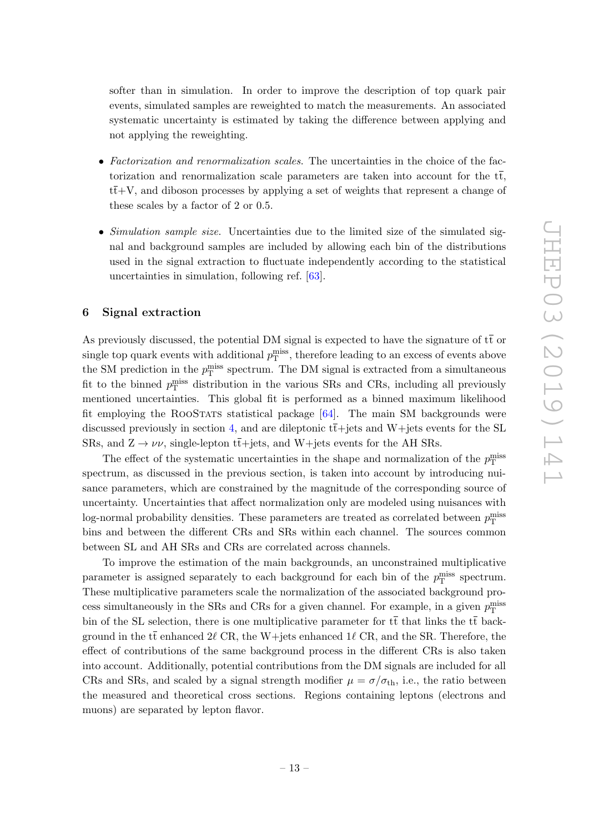softer than in simulation. In order to improve the description of top quark pair events, simulated samples are reweighted to match the measurements. An associated systematic uncertainty is estimated by taking the difference between applying and not applying the reweighting.

- Factorization and renormalization scales. The uncertainties in the choice of the factorization and renormalization scale parameters are taken into account for the  $t\bar{t}$ ,  $t\bar{t}+V$ , and diboson processes by applying a set of weights that represent a change of these scales by a factor of 2 or 0.5.
- Simulation sample size. Uncertainties due to the limited size of the simulated signal and background samples are included by allowing each bin of the distributions used in the signal extraction to fluctuate independently according to the statistical uncertainties in simulation, following ref. [\[63\]](#page-25-0).

#### <span id="page-13-0"></span>6 Signal extraction

As previously discussed, the potential DM signal is expected to have the signature of  $t\bar{t}$  or single top quark events with additional  $p_T^{\text{miss}}$ , therefore leading to an excess of events above the SM prediction in the  $p_T^{\text{miss}}$  spectrum. The DM signal is extracted from a simultaneous fit to the binned  $p_T^{\text{miss}}$  distribution in the various SRs and CRs, including all previously mentioned uncertainties. This global fit is performed as a binned maximum likelihood fit employing the RooStats statistical package [\[64\]](#page-25-1). The main SM backgrounds were discussed previously in section [4,](#page-6-0) and are dileptonic  $t\bar{t}$ +jets and W+jets events for the SL SRs, and  $Z \rightarrow \nu \nu$ , single-lepton tt+jets, and W+jets events for the AH SRs.

The effect of the systematic uncertainties in the shape and normalization of the  $p_T^{\text{miss}}$ spectrum, as discussed in the previous section, is taken into account by introducing nuisance parameters, which are constrained by the magnitude of the corresponding source of uncertainty. Uncertainties that affect normalization only are modeled using nuisances with log-normal probability densities. These parameters are treated as correlated between  $p_T^{\text{miss}}$ bins and between the different CRs and SRs within each channel. The sources common between SL and AH SRs and CRs are correlated across channels.

To improve the estimation of the main backgrounds, an unconstrained multiplicative parameter is assigned separately to each background for each bin of the  $p_T^{\text{miss}}$  spectrum. These multiplicative parameters scale the normalization of the associated background process simultaneously in the SRs and CRs for a given channel. For example, in a given  $p_T^{\text{miss}}$ bin of the SL selection, there is one multiplicative parameter for  $t\bar{t}$  that links the  $t\bar{t}$  background in the  $t\bar{t}$  enhanced  $2\ell$  CR, the W+jets enhanced  $1\ell$  CR, and the SR. Therefore, the effect of contributions of the same background process in the different CRs is also taken into account. Additionally, potential contributions from the DM signals are included for all CRs and SRs, and scaled by a signal strength modifier  $\mu = \sigma/\sigma_{\text{th}}$ , i.e., the ratio between the measured and theoretical cross sections. Regions containing leptons (electrons and muons) are separated by lepton flavor.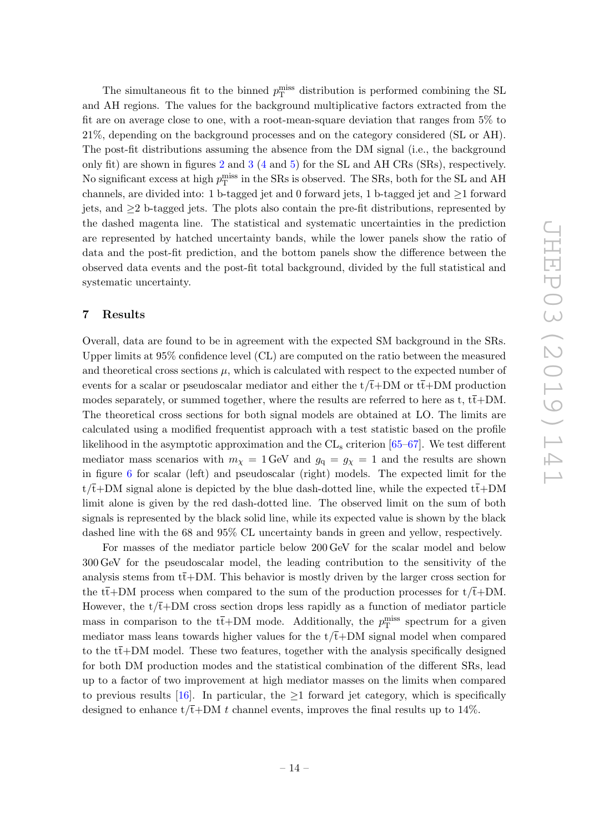The simultaneous fit to the binned  $p_T^{\text{miss}}$  distribution is performed combining the SL and AH regions. The values for the background multiplicative factors extracted from the fit are on average close to one, with a root-mean-square deviation that ranges from 5% to 21%, depending on the background processes and on the category considered (SL or AH). The post-fit distributions assuming the absence from the DM signal (i.e., the background only fit) are shown in figures [2](#page-15-0) and [3](#page-16-0) [\(4](#page-17-0) and [5\)](#page-18-0) for the SL and AH CRs (SRs), respectively. No significant excess at high  $p_T^{\text{miss}}$  in the SRs is observed. The SRs, both for the SL and AH channels, are divided into: 1 b-tagged jet and 0 forward jets, 1 b-tagged jet and ≥1 forward jets, and  $\geq 2$  b-tagged jets. The plots also contain the pre-fit distributions, represented by the dashed magenta line. The statistical and systematic uncertainties in the prediction are represented by hatched uncertainty bands, while the lower panels show the ratio of data and the post-fit prediction, and the bottom panels show the difference between the observed data events and the post-fit total background, divided by the full statistical and systematic uncertainty.

#### <span id="page-14-0"></span>7 Results

Overall, data are found to be in agreement with the expected SM background in the SRs. Upper limits at 95% confidence level (CL) are computed on the ratio between the measured and theoretical cross sections  $\mu$ , which is calculated with respect to the expected number of events for a scalar or pseudoscalar mediator and either the  $t/\bar{t}+DM$  or  $t\bar{t}+DM$  production modes separately, or summed together, where the results are referred to here as t,  $t\bar{t}+D M$ . The theoretical cross sections for both signal models are obtained at LO. The limits are calculated using a modified frequentist approach with a test statistic based on the profile likelihood in the asymptotic approximation and the  $CL<sub>s</sub>$  criterion  $[65–67]$  $[65–67]$ . We test different mediator mass scenarios with  $m_{\chi} = 1$  GeV and  $g_{\rm q} = g_{\chi} = 1$  and the results are shown in figure [6](#page-19-0) for scalar (left) and pseudoscalar (right) models. The expected limit for the  $t/\bar{t}$ +DM signal alone is depicted by the blue dash-dotted line, while the expected  $t\bar{t}$ +DM limit alone is given by the red dash-dotted line. The observed limit on the sum of both signals is represented by the black solid line, while its expected value is shown by the black dashed line with the 68 and 95% CL uncertainty bands in green and yellow, respectively.

For masses of the mediator particle below 200 GeV for the scalar model and below 300 GeV for the pseudoscalar model, the leading contribution to the sensitivity of the analysis stems from  $t\bar{t}$ +DM. This behavior is mostly driven by the larger cross section for the  $t\bar{t}$ +DM process when compared to the sum of the production processes for  $t/\bar{t}$ +DM. However, the  $t/\bar{t}$ +DM cross section drops less rapidly as a function of mediator particle mass in comparison to the  $t\bar{t}$ +DM mode. Additionally, the  $p_T^{\text{miss}}$  spectrum for a given mediator mass leans towards higher values for the  $t/\bar{t}+DM$  signal model when compared to the  $t\bar{t}$ +DM model. These two features, together with the analysis specifically designed for both DM production modes and the statistical combination of the different SRs, lead up to a factor of two improvement at high mediator masses on the limits when compared to previous results [\[16\]](#page-22-4). In particular, the  $\geq 1$  forward jet category, which is specifically designed to enhance  $t/\bar{t}$ +DM t channel events, improves the final results up to 14%.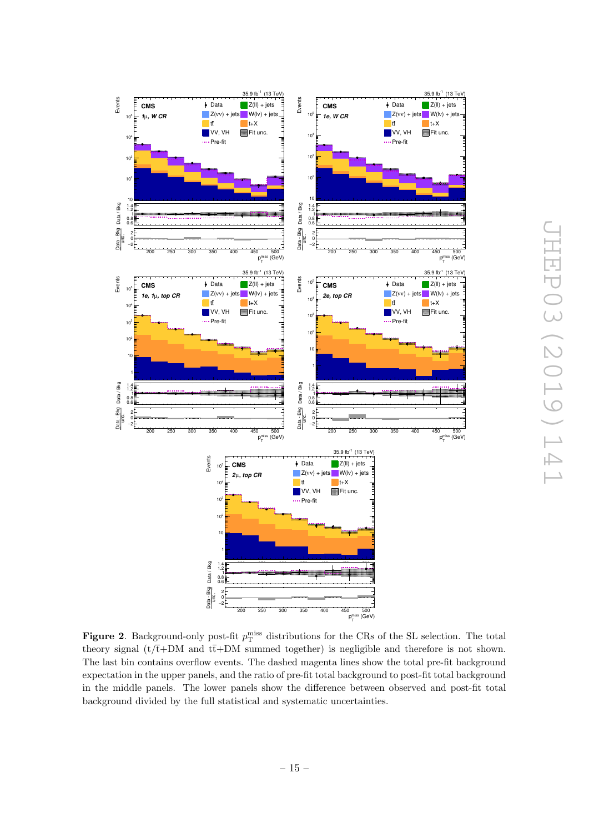

<span id="page-15-0"></span>**Figure 2.** Background-only post-fit  $p_T^{\text{miss}}$  distributions for the CRs of the SL selection. The total theory signal  $(t/\bar{t}+DM$  and  $t\bar{t}+DM$  summed together) is negligible and therefore is not shown. The last bin contains overflow events. The dashed magenta lines show the total pre-fit background expectation in the upper panels, and the ratio of pre-fit total background to post-fit total background in the middle panels. The lower panels show the difference between observed and post-fit total background divided by the full statistical and systematic uncertainties.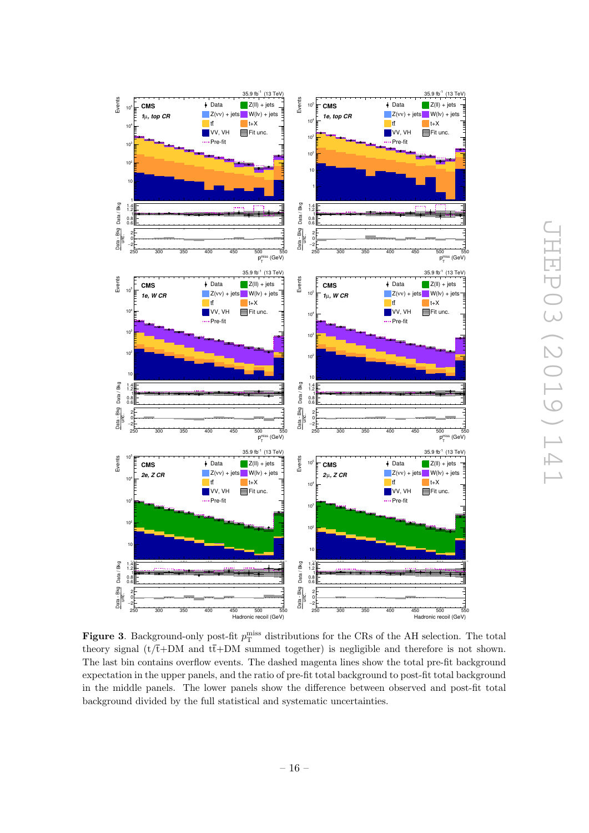

JHEP03 (2019)141 JHEP03(2019)141

<span id="page-16-0"></span>**Figure 3.** Background-only post-fit  $p_T^{\text{miss}}$  distributions for the CRs of the AH selection. The total theory signal  $(t/\bar{t}+DM$  and  $t\bar{t}+DM$  summed together) is negligible and therefore is not shown. The last bin contains overflow events. The dashed magenta lines show the total pre-fit background expectation in the upper panels, and the ratio of pre-fit total background to post-fit total background in the middle panels. The lower panels show the difference between observed and post-fit total background divided by the full statistical and systematic uncertainties.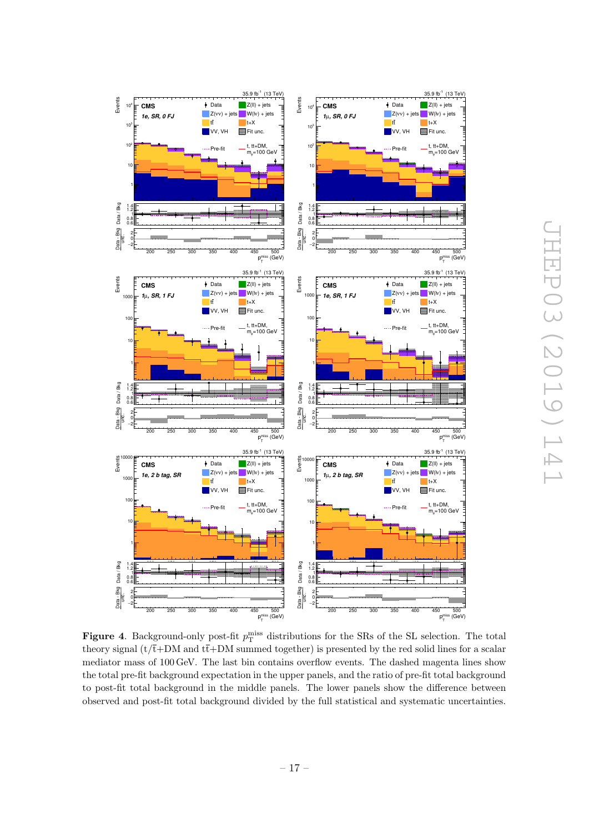

<span id="page-17-0"></span>**Figure 4.** Background-only post-fit  $p_T^{\text{miss}}$  distributions for the SRs of the SL selection. The total theory signal  $(t/\bar{t}+DM$  and  $t\bar{t}+DM$  summed together) is presented by the red solid lines for a scalar mediator mass of 100 GeV. The last bin contains overflow events. The dashed magenta lines show the total pre-fit background expectation in the upper panels, and the ratio of pre-fit total background to post-fit total background in the middle panels. The lower panels show the difference between observed and post-fit total background divided by the full statistical and systematic uncertainties.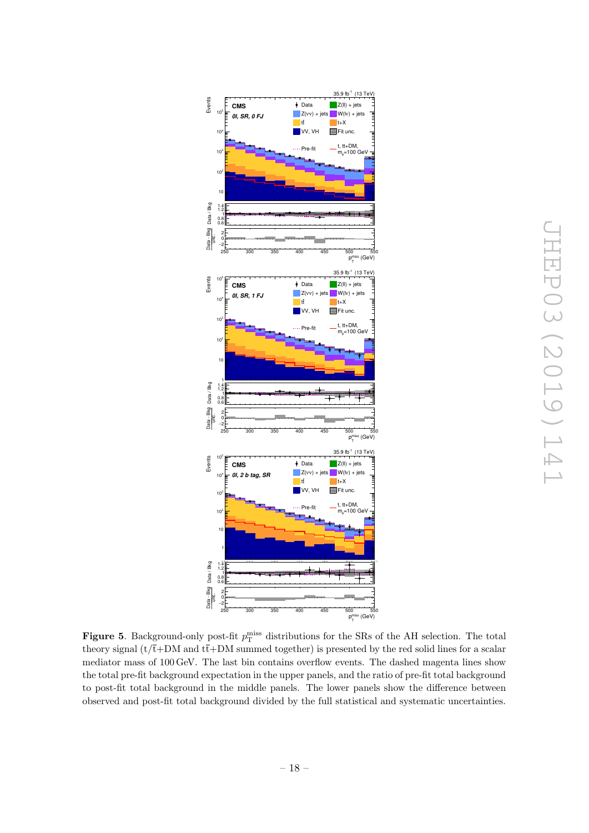

JHEP03 (2019)141 JHEP03(2019)141

<span id="page-18-0"></span>**Figure 5.** Background-only post-fit  $p_T^{\text{miss}}$  distributions for the SRs of the AH selection. The total theory signal  $(t/\bar{t}+DM$  and  $t\bar{t}+DM$  summed together) is presented by the red solid lines for a scalar mediator mass of 100 GeV. The last bin contains overflow events. The dashed magenta lines show the total pre-fit background expectation in the upper panels, and the ratio of pre-fit total background to post-fit total background in the middle panels. The lower panels show the difference between observed and post-fit total background divided by the full statistical and systematic uncertainties.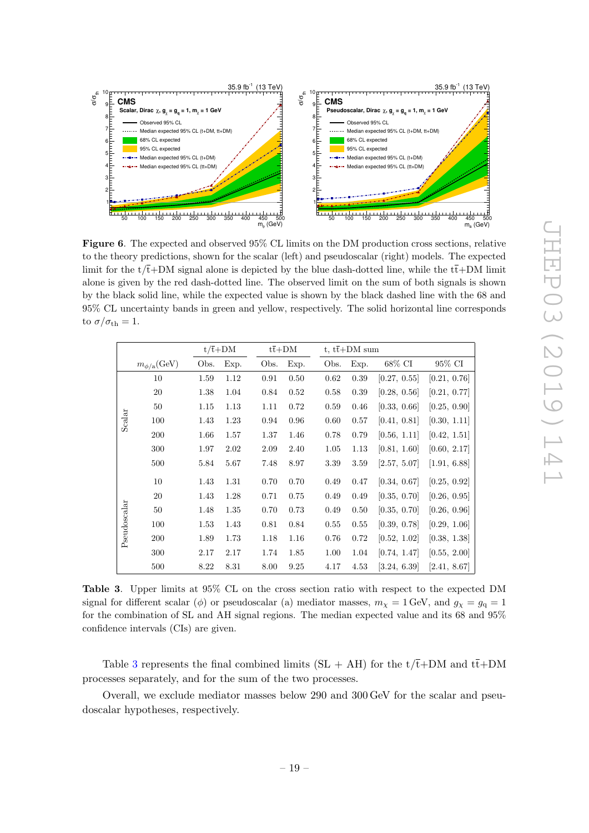

<span id="page-19-0"></span>Figure 6. The expected and observed 95% CL limits on the DM production cross sections, relative to the theory predictions, shown for the scalar (left) and pseudoscalar (right) models. The expected limit for the  $t/\bar{t}+DM$  signal alone is depicted by the blue dash-dotted line, while the  $t\bar{t}+DM$  limit alone is given by the red dash-dotted line. The observed limit on the sum of both signals is shown by the black solid line, while the expected value is shown by the black dashed line with the 68 and 95% CL uncertainty bands in green and yellow, respectively. The solid horizontal line corresponds to  $\sigma/\sigma_{\rm th}=1$ .

|              |                    |      | $t/\overline{t} + DM$ |      | $t\bar{t}$ +DM |  | t, $t\bar{t}$ +DM sum |      |              |              |  |
|--------------|--------------------|------|-----------------------|------|----------------|--|-----------------------|------|--------------|--------------|--|
|              | $m_{\phi/a}$ (GeV) | Obs. | Exp.                  | Obs. | Exp.           |  | Obs.                  | Exp. | 68% CI       | 95% CI       |  |
|              | 10                 | 1.59 | 1.12                  | 0.91 | 0.50           |  | 0.62                  | 0.39 | [0.27, 0.55] | [0.21, 0.76] |  |
|              | 20                 | 1.38 | 1.04                  | 0.84 | 0.52           |  | 0.58                  | 0.39 | [0.28, 0.56] | [0.21, 0.77] |  |
|              | 50                 | 1.15 | 1.13                  | 1.11 | 0.72           |  | 0.59                  | 0.46 | [0.33, 0.66] | [0.25, 0.90] |  |
| Scalar       | 100                | 1.43 | 1.23                  | 0.94 | 0.96           |  | 0.60                  | 0.57 | [0.41, 0.81] | [0.30, 1.11] |  |
|              | 200                | 1.66 | 1.57                  | 1.37 | 1.46           |  | 0.78                  | 0.79 | [0.56, 1.11] | [0.42, 1.51] |  |
|              | 300                | 1.97 | 2.02                  | 2.09 | 2.40           |  | 1.05                  | 1.13 | [0.81, 1.60] | [0.60, 2.17] |  |
|              | 500                | 5.84 | 5.67                  | 7.48 | 8.97           |  | 3.39                  | 3.59 | [2.57, 5.07] | [1.91, 6.88] |  |
|              | 10                 | 1.43 | 1.31                  | 0.70 | 0.70           |  | 0.49                  | 0.47 | [0.34, 0.67] | [0.25, 0.92] |  |
|              | 20                 | 1.43 | 1.28                  | 0.71 | 0.75           |  | 0.49                  | 0.49 | [0.35, 0.70] | [0.26, 0.95] |  |
| Pseudoscalar | 50                 | 1.48 | 1.35                  | 0.70 | 0.73           |  | 0.49                  | 0.50 | [0.35, 0.70] | [0.26, 0.96] |  |
|              | 100                | 1.53 | 1.43                  | 0.81 | 0.84           |  | 0.55                  | 0.55 | [0.39, 0.78] | [0.29, 1.06] |  |
|              | 200                | 1.89 | 1.73                  | 1.18 | 1.16           |  | 0.76                  | 0.72 | [0.52, 1.02] | [0.38, 1.38] |  |
|              | 300                | 2.17 | 2.17                  | 1.74 | 1.85           |  | 1.00                  | 1.04 | [0.74, 1.47] | [0.55, 2.00] |  |
|              | 500                | 8.22 | 8.31                  | 8.00 | 9.25           |  | 4.17                  | 4.53 | [3.24, 6.39] | [2.41, 8.67] |  |

<span id="page-19-1"></span>Table 3. Upper limits at 95% CL on the cross section ratio with respect to the expected DM signal for different scalar ( $\phi$ ) or pseudoscalar (a) mediator masses,  $m_{\chi} = 1$  GeV, and  $g_{\chi} = g_q = 1$ for the combination of SL and AH signal regions. The median expected value and its 68 and 95% confidence intervals (CIs) are given.

Table [3](#page-19-1) represents the final combined limits (SL + AH) for the  $t/\bar{t}+DM$  and  $t\bar{t}+DM$ processes separately, and for the sum of the two processes.

Overall, we exclude mediator masses below 290 and 300 GeV for the scalar and pseudoscalar hypotheses, respectively.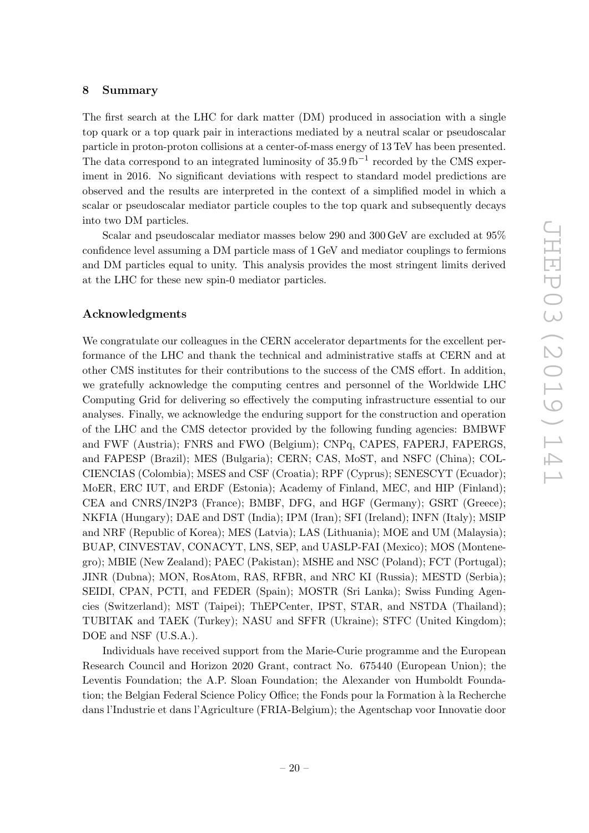#### <span id="page-20-0"></span>8 Summary

The first search at the LHC for dark matter (DM) produced in association with a single top quark or a top quark pair in interactions mediated by a neutral scalar or pseudoscalar particle in proton-proton collisions at a center-of-mass energy of 13 TeV has been presented. The data correspond to an integrated luminosity of  $35.9 \text{ fb}^{-1}$  recorded by the CMS experiment in 2016. No significant deviations with respect to standard model predictions are observed and the results are interpreted in the context of a simplified model in which a scalar or pseudoscalar mediator particle couples to the top quark and subsequently decays into two DM particles.

Scalar and pseudoscalar mediator masses below 290 and 300 GeV are excluded at 95% confidence level assuming a DM particle mass of 1 GeV and mediator couplings to fermions and DM particles equal to unity. This analysis provides the most stringent limits derived at the LHC for these new spin-0 mediator particles.

### Acknowledgments

We congratulate our colleagues in the CERN accelerator departments for the excellent performance of the LHC and thank the technical and administrative staffs at CERN and at other CMS institutes for their contributions to the success of the CMS effort. In addition, we gratefully acknowledge the computing centres and personnel of the Worldwide LHC Computing Grid for delivering so effectively the computing infrastructure essential to our analyses. Finally, we acknowledge the enduring support for the construction and operation of the LHC and the CMS detector provided by the following funding agencies: BMBWF and FWF (Austria); FNRS and FWO (Belgium); CNPq, CAPES, FAPERJ, FAPERGS, and FAPESP (Brazil); MES (Bulgaria); CERN; CAS, MoST, and NSFC (China); COL-CIENCIAS (Colombia); MSES and CSF (Croatia); RPF (Cyprus); SENESCYT (Ecuador); MoER, ERC IUT, and ERDF (Estonia); Academy of Finland, MEC, and HIP (Finland); CEA and CNRS/IN2P3 (France); BMBF, DFG, and HGF (Germany); GSRT (Greece); NKFIA (Hungary); DAE and DST (India); IPM (Iran); SFI (Ireland); INFN (Italy); MSIP and NRF (Republic of Korea); MES (Latvia); LAS (Lithuania); MOE and UM (Malaysia); BUAP, CINVESTAV, CONACYT, LNS, SEP, and UASLP-FAI (Mexico); MOS (Montenegro); MBIE (New Zealand); PAEC (Pakistan); MSHE and NSC (Poland); FCT (Portugal); JINR (Dubna); MON, RosAtom, RAS, RFBR, and NRC KI (Russia); MESTD (Serbia); SEIDI, CPAN, PCTI, and FEDER (Spain); MOSTR (Sri Lanka); Swiss Funding Agencies (Switzerland); MST (Taipei); ThEPCenter, IPST, STAR, and NSTDA (Thailand); TUBITAK and TAEK (Turkey); NASU and SFFR (Ukraine); STFC (United Kingdom); DOE and NSF (U.S.A.).

Individuals have received support from the Marie-Curie programme and the European Research Council and Horizon 2020 Grant, contract No. 675440 (European Union); the Leventis Foundation; the A.P. Sloan Foundation; the Alexander von Humboldt Foundation; the Belgian Federal Science Policy Office; the Fonds pour la Formation à la Recherche dans l'Industrie et dans l'Agriculture (FRIA-Belgium); the Agentschap voor Innovatie door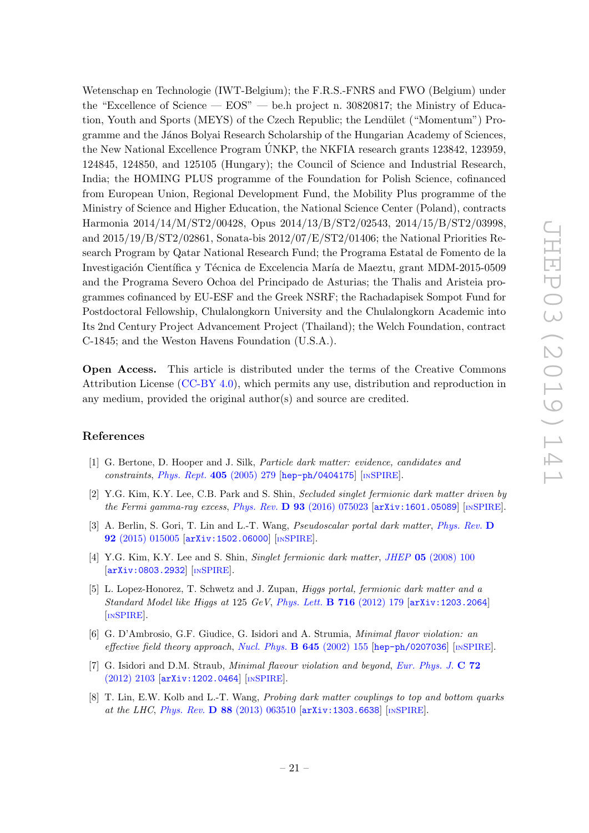Wetenschap en Technologie (IWT-Belgium); the F.R.S.-FNRS and FWO (Belgium) under the "Excellence of Science — EOS" — be.h project n. 30820817; the Ministry of Education, Youth and Sports (MEYS) of the Czech Republic; the Lend¨ulet ("Momentum") Programme and the János Bolyai Research Scholarship of the Hungarian Academy of Sciences, the New National Excellence Program UNKP, the NKFIA research grants 123842, 123959, ´ 124845, 124850, and 125105 (Hungary); the Council of Science and Industrial Research, India; the HOMING PLUS programme of the Foundation for Polish Science, cofinanced from European Union, Regional Development Fund, the Mobility Plus programme of the Ministry of Science and Higher Education, the National Science Center (Poland), contracts Harmonia 2014/14/M/ST2/00428, Opus 2014/13/B/ST2/02543, 2014/15/B/ST2/03998, and 2015/19/B/ST2/02861, Sonata-bis 2012/07/E/ST2/01406; the National Priorities Research Program by Qatar National Research Fund; the Programa Estatal de Fomento de la Investigación Científica y Técnica de Excelencia María de Maeztu, grant MDM-2015-0509 and the Programa Severo Ochoa del Principado de Asturias; the Thalis and Aristeia programmes cofinanced by EU-ESF and the Greek NSRF; the Rachadapisek Sompot Fund for Postdoctoral Fellowship, Chulalongkorn University and the Chulalongkorn Academic into Its 2nd Century Project Advancement Project (Thailand); the Welch Foundation, contract C-1845; and the Weston Havens Foundation (U.S.A.).

Open Access. This article is distributed under the terms of the Creative Commons Attribution License [\(CC-BY 4.0\)](https://creativecommons.org/licenses/by/4.0/), which permits any use, distribution and reproduction in any medium, provided the original author(s) and source are credited.

### References

- <span id="page-21-0"></span>[1] G. Bertone, D. Hooper and J. Silk, Particle dark matter: evidence, candidates and constraints, [Phys. Rept.](https://doi.org/10.1016/j.physrep.2004.08.031) 405 (2005) 279 [[hep-ph/0404175](https://arxiv.org/abs/hep-ph/0404175)] [IN[SPIRE](https://inspirehep.net/search?p=find+EPRINT+hep-ph/0404175)].
- <span id="page-21-1"></span>[2] Y.G. Kim, K.Y. Lee, C.B. Park and S. Shin, Secluded singlet fermionic dark matter driven by the Fermi gamma-ray excess, Phys. Rev.  $D$  93 [\(2016\) 075023](https://doi.org/10.1103/PhysRevD.93.075023) [[arXiv:1601.05089](https://arxiv.org/abs/1601.05089)] [IN[SPIRE](https://inspirehep.net/search?p=find+EPRINT+arXiv:1601.05089)].
- [3] A. Berlin, S. Gori, T. Lin and L.-T. Wang, *Pseudoscalar portal dark matter, [Phys. Rev.](https://doi.org/10.1103/PhysRevD.92.015005)* D 92 [\(2015\) 015005](https://doi.org/10.1103/PhysRevD.92.015005) [[arXiv:1502.06000](https://arxiv.org/abs/1502.06000)] [IN[SPIRE](https://inspirehep.net/search?p=find+EPRINT+arXiv:1502.06000)].
- [4] Y.G. Kim, K.Y. Lee and S. Shin, *Singlet fermionic dark matter*, *JHEP* 05 [\(2008\) 100](https://doi.org/10.1088/1126-6708/2008/05/100) [[arXiv:0803.2932](https://arxiv.org/abs/0803.2932)] [IN[SPIRE](https://inspirehep.net/search?p=find+EPRINT+arXiv:0803.2932)].
- <span id="page-21-2"></span>[5] L. Lopez-Honorez, T. Schwetz and J. Zupan, Higgs portal, fermionic dark matter and a Standard Model like Higgs at 125 GeV, [Phys. Lett.](https://doi.org/10.1016/j.physletb.2012.07.017) B 716 (2012) 179 [[arXiv:1203.2064](https://arxiv.org/abs/1203.2064)] [IN[SPIRE](https://inspirehep.net/search?p=find+EPRINT+arXiv:1203.2064)].
- <span id="page-21-3"></span>[6] G. D'Ambrosio, G.F. Giudice, G. Isidori and A. Strumia, Minimal flavor violation: an effective field theory approach, [Nucl. Phys.](https://doi.org/10.1016/S0550-3213(02)00836-2)  $\bf{B}$  645 (2002) 155 [[hep-ph/0207036](https://arxiv.org/abs/hep-ph/0207036)] [IN[SPIRE](https://inspirehep.net/search?p=find+EPRINT+hep-ph/0207036)].
- <span id="page-21-4"></span>[7] G. Isidori and D.M. Straub, Minimal flavour violation and beyond, [Eur. Phys. J.](https://doi.org/10.1140/epjc/s10052-012-2103-1) C 72 [\(2012\) 2103](https://doi.org/10.1140/epjc/s10052-012-2103-1) [[arXiv:1202.0464](https://arxiv.org/abs/1202.0464)] [IN[SPIRE](https://inspirehep.net/search?p=find+EPRINT+arXiv:1202.0464)].
- <span id="page-21-5"></span>[8] T. Lin, E.W. Kolb and L.-T. Wang, Probing dark matter couplings to top and bottom quarks at the LHC, Phys. Rev. D 88 [\(2013\) 063510](https://doi.org/10.1103/PhysRevD.88.063510)  $\text{arXiv:1303.6638}$  $\text{arXiv:1303.6638}$  $\text{arXiv:1303.6638}$  [IN[SPIRE](https://inspirehep.net/search?p=find+EPRINT+arXiv:1303.6638)].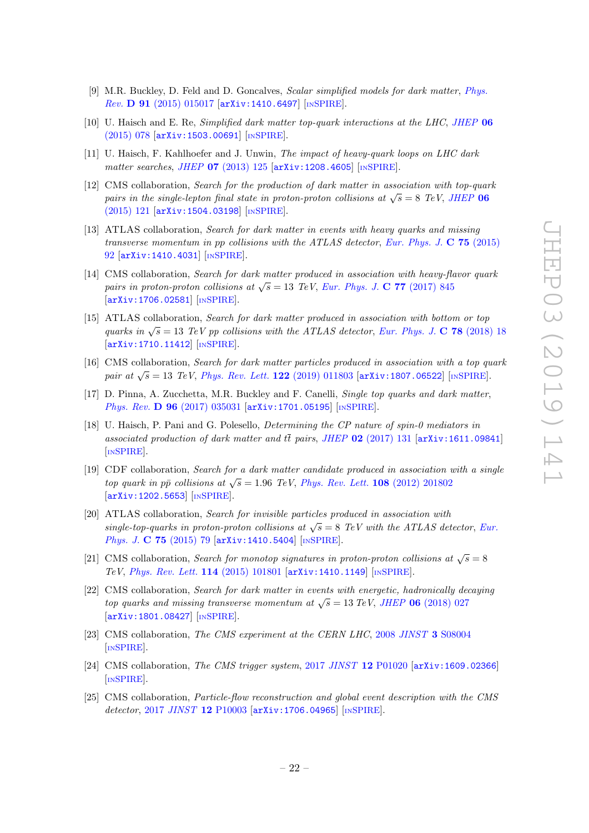- [9] M.R. Buckley, D. Feld and D. Goncalves, Scalar simplified models for dark matter, [Phys.](https://doi.org/10.1103/PhysRevD.91.015017) Rev. D 91 [\(2015\) 015017](https://doi.org/10.1103/PhysRevD.91.015017) [[arXiv:1410.6497](https://arxiv.org/abs/1410.6497)] [IN[SPIRE](https://inspirehep.net/search?p=find+EPRINT+arXiv:1410.6497)].
- [10] U. Haisch and E. Re, Simplified dark matter top-quark interactions at the LHC, [JHEP](https://doi.org/10.1007/JHEP06(2015)078) 06 [\(2015\) 078](https://doi.org/10.1007/JHEP06(2015)078) [[arXiv:1503.00691](https://arxiv.org/abs/1503.00691)] [IN[SPIRE](https://inspirehep.net/search?p=find+EPRINT+arXiv:1503.00691)].
- <span id="page-22-0"></span>[11] U. Haisch, F. Kahlhoefer and J. Unwin, The impact of heavy-quark loops on LHC dark matter searches, JHEP 07 [\(2013\) 125](https://doi.org/10.1007/JHEP07(2013)125) [[arXiv:1208.4605](https://arxiv.org/abs/1208.4605)] [IN[SPIRE](https://inspirehep.net/search?p=find+EPRINT+arXiv:1208.4605)].
- <span id="page-22-1"></span>[12] CMS collaboration, Search for the production of dark matter in association with top-quark pairs in the single-lepton final state in proton-proton collisions at  $\sqrt{s} = 8$  TeV, [JHEP](https://doi.org/10.1007/JHEP06(2015)121) 06 [\(2015\) 121](https://doi.org/10.1007/JHEP06(2015)121) [[arXiv:1504.03198](https://arxiv.org/abs/1504.03198)] [IN[SPIRE](https://inspirehep.net/search?p=find+EPRINT+arXiv:1504.03198)].
- <span id="page-22-2"></span>[13] ATLAS collaboration, Search for dark matter in events with heavy quarks and missing transverse momentum in pp collisions with the ATLAS detector, [Eur. Phys. J.](https://doi.org/10.1140/epjc/s10052-015-3306-z) C 75 (2015) [92](https://doi.org/10.1140/epjc/s10052-015-3306-z) [[arXiv:1410.4031](https://arxiv.org/abs/1410.4031)] [IN[SPIRE](https://inspirehep.net/search?p=find+EPRINT+arXiv:1410.4031)].
- <span id="page-22-3"></span>[14] CMS collaboration, Search for dark matter produced in association with heavy-flavor quark pairs in proton-proton collisions at  $\sqrt{s} = 13$  TeV, [Eur. Phys. J.](https://doi.org/10.1140/epjc/s10052-017-5317-4) C 77 (2017) 845 [[arXiv:1706.02581](https://arxiv.org/abs/1706.02581)] [IN[SPIRE](https://inspirehep.net/search?p=find+EPRINT+arXiv:1706.02581)].
- [15] ATLAS collaboration, Search for dark matter produced in association with bottom or top quarks in  $\sqrt{s} = 13$  TeV pp collisions with the ATLAS detector, [Eur. Phys. J.](https://doi.org/10.1140/epjc/s10052-017-5486-1) C 78 (2018) 18 [[arXiv:1710.11412](https://arxiv.org/abs/1710.11412)] [IN[SPIRE](https://inspirehep.net/search?p=find+EPRINT+arXiv:1710.11412)].
- <span id="page-22-4"></span>[16] CMS collaboration, Search for dark matter particles produced in association with a top quark pair at  $\sqrt{s} = 13$  TeV, [Phys. Rev. Lett.](https://doi.org/10.1103/PhysRevLett.122.011803) 122 (2019) 011803 [[arXiv:1807.06522](https://arxiv.org/abs/1807.06522)] [IN[SPIRE](https://inspirehep.net/search?p=find+EPRINT+arXiv:1807.06522)].
- <span id="page-22-5"></span>[17] D. Pinna, A. Zucchetta, M.R. Buckley and F. Canelli, Single top quarks and dark matter, Phys. Rev. D 96 [\(2017\) 035031](https://doi.org/10.1103/PhysRevD.96.035031) [[arXiv:1701.05195](https://arxiv.org/abs/1701.05195)] [IN[SPIRE](https://inspirehep.net/search?p=find+EPRINT+arXiv:1701.05195)].
- <span id="page-22-6"></span>[18] U. Haisch, P. Pani and G. Polesello, Determining the CP nature of spin-0 mediators in associated production of dark matter and  $t\bar{t}$  pairs, JHEP 02 [\(2017\) 131](https://doi.org/10.1007/JHEP02(2017)131) [[arXiv:1611.09841](https://arxiv.org/abs/1611.09841)] [IN[SPIRE](https://inspirehep.net/search?p=find+EPRINT+arXiv:1611.09841)].
- <span id="page-22-7"></span>[19] CDF collaboration, Search for a dark matter candidate produced in association with a single top quark in pp⊂ collisions at  $\sqrt{s} = 1.96$  TeV, [Phys. Rev. Lett.](https://doi.org/10.1103/PhysRevLett.108.201802) 108 (2012) 201802 [[arXiv:1202.5653](https://arxiv.org/abs/1202.5653)] [IN[SPIRE](https://inspirehep.net/search?p=find+EPRINT+arXiv:1202.5653)].
- <span id="page-22-8"></span>[20] ATLAS collaboration, Search for invisible particles produced in association with single-top-quarks in proton-proton collisions at  $\sqrt{s} = 8$  TeV with the ATLAS detector, [Eur.](https://doi.org/10.1140/epjc/s10052-014-3233-4) Phys. J. C 75 [\(2015\) 79](https://doi.org/10.1140/epjc/s10052-014-3233-4) [[arXiv:1410.5404](https://arxiv.org/abs/1410.5404)] [IN[SPIRE](https://inspirehep.net/search?p=find+EPRINT+arXiv:1410.5404)].
- <span id="page-22-9"></span>[21] CMS collaboration, Search for monotop signatures in proton-proton collisions at  $\sqrt{s} = 8$ TeV, [Phys. Rev. Lett.](https://doi.org/10.1103/PhysRevLett.114.101801) 114 (2015) 101801 [[arXiv:1410.1149](https://arxiv.org/abs/1410.1149)] [IN[SPIRE](https://inspirehep.net/search?p=find+EPRINT+arXiv:1410.1149)].
- <span id="page-22-10"></span>[22] CMS collaboration, Search for dark matter in events with energetic, hadronically decaying top quarks and missing transverse momentum at  $\sqrt{s} = 13 \text{ TeV}$ , JHEP 06 [\(2018\) 027](https://doi.org/10.1007/JHEP06(2018)027) [[arXiv:1801.08427](https://arxiv.org/abs/1801.08427)] [IN[SPIRE](https://inspirehep.net/search?p=find+EPRINT+arXiv:1801.08427)].
- <span id="page-22-11"></span>[23] CMS collaboration, The CMS experiment at the CERN LHC, 2008 JINST 3 [S08004](https://doi.org/10.1088/1748-0221/3/08/S08004) [IN[SPIRE](https://inspirehep.net/search?p=find+J+%22JINST,3,S08004%22)].
- <span id="page-22-12"></span>[24] CMS collaboration, *The CMS trigger system*, 2017 *JINST* 12 [P01020](https://doi.org/10.1088/1748-0221/12/01/P01020) [[arXiv:1609.02366](https://arxiv.org/abs/1609.02366)] [IN[SPIRE](https://inspirehep.net/search?p=find+EPRINT+arXiv:1609.02366)].
- <span id="page-22-13"></span>[25] CMS collaboration, Particle-flow reconstruction and global event description with the CMS  $detection$ , 2017 JINST 12 [P10003](https://doi.org/10.1088/1748-0221/12/10/P10003) [[arXiv:1706.04965](https://arxiv.org/abs/1706.04965)] [IN[SPIRE](https://inspirehep.net/search?p=find+EPRINT+arXiv:1706.04965)].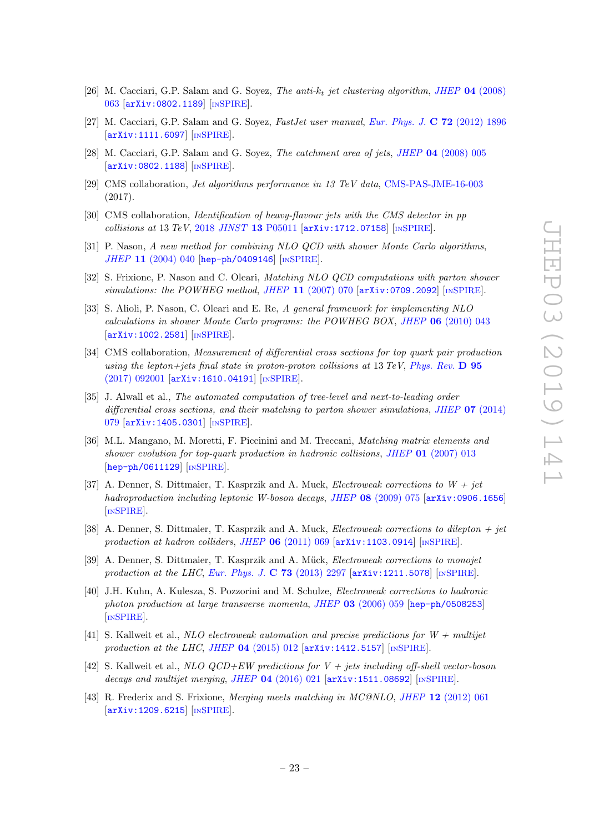- <span id="page-23-0"></span>[26] M. Cacciari, G.P. Salam and G. Soyez, The anti- $k_t$  jet clustering algorithm, JHEP 04 [\(2008\)](https://doi.org/10.1088/1126-6708/2008/04/063) [063](https://doi.org/10.1088/1126-6708/2008/04/063) [[arXiv:0802.1189](https://arxiv.org/abs/0802.1189)] [IN[SPIRE](https://inspirehep.net/search?p=find+EPRINT+arXiv:0802.1189)].
- <span id="page-23-1"></span>[27] M. Cacciari, G.P. Salam and G. Soyez, FastJet user manual, [Eur. Phys. J.](https://doi.org/10.1140/epjc/s10052-012-1896-2) C 72 (2012) 1896 [[arXiv:1111.6097](https://arxiv.org/abs/1111.6097)] [IN[SPIRE](https://inspirehep.net/search?p=find+EPRINT+arXiv:1111.6097)].
- <span id="page-23-2"></span>[28] M. Cacciari, G.P. Salam and G. Soyez, The catchment area of jets, JHEP 04 [\(2008\) 005](https://doi.org/10.1088/1126-6708/2008/04/005) [[arXiv:0802.1188](https://arxiv.org/abs/0802.1188)] [IN[SPIRE](https://inspirehep.net/search?p=find+EPRINT+arXiv:0802.1188)].
- <span id="page-23-3"></span>[29] CMS collaboration, Jet algorithms performance in 13 TeV data, [CMS-PAS-JME-16-003](http://cds.cern.ch/record/2256875) (2017).
- <span id="page-23-4"></span>[30] CMS collaboration, Identification of heavy-flavour jets with the CMS detector in pp  $collisions$  at 13 TeV,  $2018$  JINST 13 [P05011](https://doi.org/10.1088/1748-0221/13/05/P05011) [[arXiv:1712.07158](https://arxiv.org/abs/1712.07158)] [IN[SPIRE](https://inspirehep.net/search?p=find+EPRINT+arXiv:1712.07158)].
- <span id="page-23-5"></span>[31] P. Nason, A new method for combining NLO QCD with shower Monte Carlo algorithms, JHEP 11 [\(2004\) 040](https://doi.org/10.1088/1126-6708/2004/11/040) [[hep-ph/0409146](https://arxiv.org/abs/hep-ph/0409146)] [IN[SPIRE](https://inspirehep.net/search?p=find+EPRINT+hep-ph/0409146)].
- [32] S. Frixione, P. Nason and C. Oleari, Matching NLO QCD computations with parton shower simulations: the POWHEG method, JHEP 11 [\(2007\) 070](https://doi.org/10.1088/1126-6708/2007/11/070)  $\left[$ [arXiv:0709.2092](https://arxiv.org/abs/0709.2092) $\right]$   $\left[$ IN[SPIRE](https://inspirehep.net/search?p=find+EPRINT+arXiv:0709.2092) $\right]$ .
- <span id="page-23-6"></span>[33] S. Alioli, P. Nason, C. Oleari and E. Re, A general framework for implementing NLO calculations in shower Monte Carlo programs: the POWHEG BOX, JHEP 06 [\(2010\) 043](https://doi.org/10.1007/JHEP06(2010)043) [[arXiv:1002.2581](https://arxiv.org/abs/1002.2581)] [IN[SPIRE](https://inspirehep.net/search?p=find+EPRINT+arXiv:1002.2581)].
- <span id="page-23-7"></span>[34] CMS collaboration, Measurement of differential cross sections for top quark pair production using the lepton+jets final state in proton-proton collisions at 13 TeV, [Phys. Rev.](https://doi.org/10.1103/PhysRevD.95.092001)  $\bf{D}$  95 [\(2017\) 092001](https://doi.org/10.1103/PhysRevD.95.092001) [[arXiv:1610.04191](https://arxiv.org/abs/1610.04191)] [IN[SPIRE](https://inspirehep.net/search?p=find+EPRINT+arXiv:1610.04191)].
- <span id="page-23-8"></span>[35] J. Alwall et al., The automated computation of tree-level and next-to-leading order differential cross sections, and their matching to parton shower simulations, JHEP 07 [\(2014\)](https://doi.org/10.1007/JHEP07(2014)079) [079](https://doi.org/10.1007/JHEP07(2014)079) [[arXiv:1405.0301](https://arxiv.org/abs/1405.0301)] [IN[SPIRE](https://inspirehep.net/search?p=find+EPRINT+arXiv:1405.0301)].
- <span id="page-23-9"></span>[36] M.L. Mangano, M. Moretti, F. Piccinini and M. Treccani, Matching matrix elements and shower evolution for top-quark production in hadronic collisions, JHEP 01 [\(2007\) 013](https://doi.org/10.1088/1126-6708/2007/01/013) [[hep-ph/0611129](https://arxiv.org/abs/hep-ph/0611129)] [IN[SPIRE](https://inspirehep.net/search?p=find+EPRINT+hep-ph/0611129)].
- <span id="page-23-10"></span>[37] A. Denner, S. Dittmaier, T. Kasprzik and A. Muck, *Electroweak corrections to*  $W + jet$ hadroproduction including leptonic W-boson decays, JHEP 08 [\(2009\) 075](https://doi.org/10.1088/1126-6708/2009/08/075) [[arXiv:0906.1656](https://arxiv.org/abs/0906.1656)] [IN[SPIRE](https://inspirehep.net/search?p=find+EPRINT+arXiv:0906.1656)].
- [38] A. Denner, S. Dittmaier, T. Kasprzik and A. Muck, Electroweak corrections to dilepton + jet production at hadron colliders, JHEP  $06$  [\(2011\) 069](https://doi.org/10.1007/JHEP06(2011)069) [[arXiv:1103.0914](https://arxiv.org/abs/1103.0914)] [IN[SPIRE](https://inspirehep.net/search?p=find+EPRINT+arXiv:1103.0914)].
- [39] A. Denner, S. Dittmaier, T. Kasprzik and A. Mück, *Electroweak corrections to monojet* production at the LHC, [Eur. Phys. J.](https://doi.org/10.1140/epjc/s10052-013-2297-x) C 73 (2013) 2297  $arXiv:1211.5078$  [IN[SPIRE](https://inspirehep.net/search?p=find+EPRINT+arXiv:1211.5078)].
- [40] J.H. Kuhn, A. Kulesza, S. Pozzorini and M. Schulze, Electroweak corrections to hadronic photon production at large transverse momenta, JHEP 03 [\(2006\) 059](https://doi.org/10.1088/1126-6708/2006/03/059) [[hep-ph/0508253](https://arxiv.org/abs/hep-ph/0508253)] [IN[SPIRE](https://inspirehep.net/search?p=find+EPRINT+hep-ph/0508253)].
- [41] S. Kallweit et al., NLO electroweak automation and precise predictions for  $W +$  multijet production at the LHC, JHEP  $04$  [\(2015\) 012](https://doi.org/10.1007/JHEP04(2015)012) [[arXiv:1412.5157](https://arxiv.org/abs/1412.5157)] [IN[SPIRE](https://inspirehep.net/search?p=find+EPRINT+arXiv:1412.5157)].
- <span id="page-23-11"></span>[42] S. Kallweit et al., NLO QCD+EW predictions for  $V + jets$  including off-shell vector-boson decays and multijet merging, JHEP  $04$  [\(2016\) 021](https://doi.org/10.1007/JHEP04(2016)021)  $\text{arXiv:1511.08692}$  $\text{arXiv:1511.08692}$  $\text{arXiv:1511.08692}$  [IN[SPIRE](https://inspirehep.net/search?p=find+EPRINT+arXiv:1511.08692)].
- <span id="page-23-12"></span>[43] R. Frederix and S. Frixione, Merging meets matching in MC@NLO, JHEP 12 [\(2012\) 061](https://doi.org/10.1007/JHEP12(2012)061) [[arXiv:1209.6215](https://arxiv.org/abs/1209.6215)] [IN[SPIRE](https://inspirehep.net/search?p=find+EPRINT+arXiv:1209.6215)].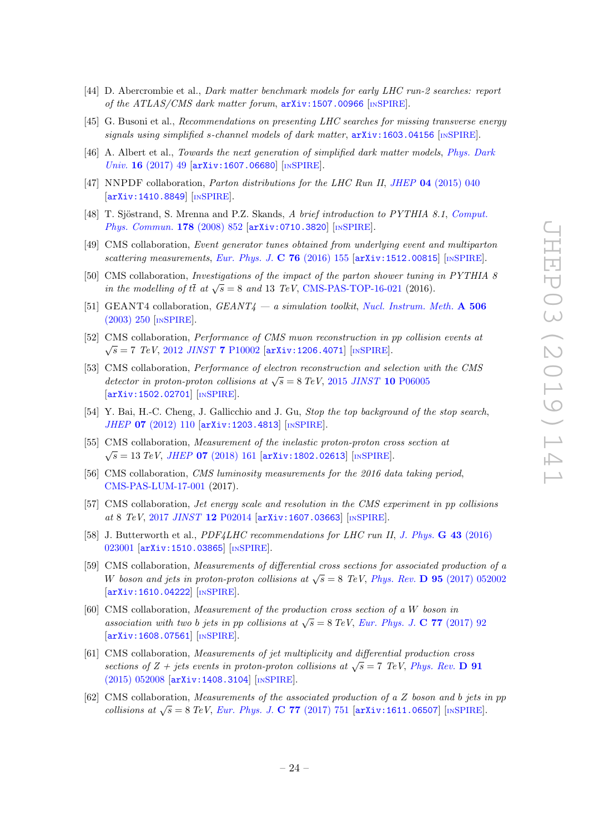- <span id="page-24-0"></span>[44] D. Abercrombie et al., Dark matter benchmark models for early LHC run-2 searches: report of the ATLAS/CMS dark matter forum, [arXiv:1507.00966](https://arxiv.org/abs/1507.00966) [IN[SPIRE](https://inspirehep.net/search?p=find+EPRINT+arXiv:1507.00966)].
- <span id="page-24-1"></span>[45] G. Busoni et al., Recommendations on presenting LHC searches for missing transverse energy signals using simplified s-channel models of dark matter,  $arXiv:1603.04156$  [IN[SPIRE](https://inspirehep.net/search?p=find+EPRINT+arXiv:1603.04156)].
- <span id="page-24-2"></span>[46] A. Albert et al., Towards the next generation of simplified dark matter models, [Phys. Dark](https://doi.org/10.1016/j.dark.2017.02.002)  $Univ.$  16 [\(2017\) 49](https://doi.org/10.1016/j.dark.2017.02.002)  $\text{arXiv:1607.06680}$  $\text{arXiv:1607.06680}$  $\text{arXiv:1607.06680}$  [IN[SPIRE](https://inspirehep.net/search?p=find+EPRINT+arXiv:1607.06680)].
- <span id="page-24-3"></span>[47] NNPDF collaboration, *Parton distributions for the LHC Run II, JHEP* 04 [\(2015\) 040](https://doi.org/10.1007/JHEP04(2015)040)  $\left[$ [arXiv:1410.8849](https://arxiv.org/abs/1410.8849) $\right]$  $\left[$ IN[SPIRE](https://inspirehep.net/search?p=find+EPRINT+arXiv:1410.8849) $\right]$ .
- <span id="page-24-4"></span>[48] T. Sjöstrand, S. Mrenna and P.Z. Skands, A brief introduction to PYTHIA 8.1, [Comput.](https://doi.org/10.1016/j.cpc.2008.01.036) [Phys. Commun.](https://doi.org/10.1016/j.cpc.2008.01.036) 178 (2008) 852 [[arXiv:0710.3820](https://arxiv.org/abs/0710.3820)] [IN[SPIRE](https://inspirehep.net/search?p=find+EPRINT+arXiv:0710.3820)].
- <span id="page-24-5"></span>[49] CMS collaboration, Event generator tunes obtained from underlying event and multiparton scattering measurements, [Eur. Phys. J.](https://doi.org/10.1140/epjc/s10052-016-3988-x)  $C$  76 (2016) 155  $arXiv:1512.00815$  [IN[SPIRE](https://inspirehep.net/search?p=find+EPRINT+arXiv:1512.00815)].
- <span id="page-24-6"></span>[50] CMS collaboration, Investigations of the impact of the parton shower tuning in PYTHIA 8 in the modelling of tt at  $\sqrt{s} = 8$  and 13 TeV, [CMS-PAS-TOP-16-021](http://cds.cern.ch/record/2235192) (2016).
- <span id="page-24-7"></span>[51] GEANT4 collaboration, GEANT4 — a simulation toolkit, [Nucl. Instrum. Meth.](https://doi.org/10.1016/S0168-9002(03)01368-8) A 506 [\(2003\) 250](https://doi.org/10.1016/S0168-9002(03)01368-8) [IN[SPIRE](https://inspirehep.net/search?p=find+J+%22Nucl.Instrum.Meth.,A506,250%22)].
- <span id="page-24-8"></span>[52] CMS collaboration, Performance of CMS muon reconstruction in pp collision events at  $\sqrt{s}$  = 7 TeV, 2012 JINST 7 [P10002](https://doi.org/10.1088/1748-0221/7/10/P10002) [[arXiv:1206.4071](https://arxiv.org/abs/1206.4071)] [IN[SPIRE](https://inspirehep.net/search?p=find+EPRINT+arXiv:1206.4071)].
- <span id="page-24-9"></span>[53] CMS collaboration, Performance of electron reconstruction and selection with the CMS detector in proton-proton collisions at  $\sqrt{s} = 8 \text{ TeV}$ , 2015 JINST 10 [P06005](https://doi.org/10.1088/1748-0221/10/06/P06005) [[arXiv:1502.02701](https://arxiv.org/abs/1502.02701)] [IN[SPIRE](https://inspirehep.net/search?p=find+EPRINT+arXiv:1502.02701)].
- <span id="page-24-10"></span>[54] Y. Bai, H.-C. Cheng, J. Gallicchio and J. Gu, *Stop the top background of the stop search*, JHEP 07 [\(2012\) 110](https://doi.org/10.1007/JHEP07(2012)110) [[arXiv:1203.4813](https://arxiv.org/abs/1203.4813)] [IN[SPIRE](https://inspirehep.net/search?p=find+EPRINT+arXiv:1203.4813)].
- <span id="page-24-11"></span>[55] CMS collaboration, Measurement of the inelastic proton-proton cross section at √  $\sqrt{s} = 13 \text{ TeV}$ , JHEP 07 [\(2018\) 161](https://doi.org/10.1007/JHEP07(2018)161) [[arXiv:1802.02613](https://arxiv.org/abs/1802.02613)] [IN[SPIRE](https://inspirehep.net/search?p=find+EPRINT+arXiv:1802.02613)].
- <span id="page-24-12"></span>[56] CMS collaboration, *CMS luminosity measurements for the 2016 data taking period*, [CMS-PAS-LUM-17-001](http://cds.cern.ch/record/2257069) (2017).
- <span id="page-24-13"></span>[57] CMS collaboration, *Jet energy scale and resolution in the CMS experiment in pp collisions* at 8 TeV, 2017 JINST 12 [P02014](https://doi.org/10.1088/1748-0221/12/02/P02014) [[arXiv:1607.03663](https://arxiv.org/abs/1607.03663)] [IN[SPIRE](https://inspirehep.net/search?p=find+EPRINT+arXiv:1607.03663)].
- <span id="page-24-14"></span>[58] J. Butterworth et al., PDF4LHC recommendations for LHC run II, [J. Phys.](https://doi.org/10.1088/0954-3899/43/2/023001) **G 43** (2016) [023001](https://doi.org/10.1088/0954-3899/43/2/023001) [[arXiv:1510.03865](https://arxiv.org/abs/1510.03865)] [IN[SPIRE](https://inspirehep.net/search?p=find+EPRINT+arXiv:1510.03865)].
- <span id="page-24-15"></span>[59] CMS collaboration, Measurements of differential cross sections for associated production of a W boson and jets in proton-proton collisions at  $\sqrt{s} = 8$  TeV, Phys. Rev. **D 95** [\(2017\) 052002](https://doi.org/10.1103/PhysRevD.95.052002) [[arXiv:1610.04222](https://arxiv.org/abs/1610.04222)] [IN[SPIRE](https://inspirehep.net/search?p=find+EPRINT+arXiv:1610.04222)].
- [60] CMS collaboration, Measurement of the production cross section of a W boson in association with two b jets in pp collisions at  $\sqrt{s} = 8 \text{ TeV}$ , [Eur. Phys. J.](https://doi.org/10.1140/epjc/s10052-016-4573-z) C 77 (2017) 92 [[arXiv:1608.07561](https://arxiv.org/abs/1608.07561)] [IN[SPIRE](https://inspirehep.net/search?p=find+EPRINT+arXiv:1608.07561)].
- [61] CMS collaboration, Measurements of jet multiplicity and differential production cross sections of  $Z + jets$  events in proton-proton collisions at  $\sqrt{s} = 7$  TeV, [Phys. Rev.](https://doi.org/10.1103/PhysRevD.91.052008) **D** 91 [\(2015\) 052008](https://doi.org/10.1103/PhysRevD.91.052008) [[arXiv:1408.3104](https://arxiv.org/abs/1408.3104)] [IN[SPIRE](https://inspirehep.net/search?p=find+EPRINT+arXiv:1408.3104)].
- <span id="page-24-16"></span>[62] CMS collaboration, Measurements of the associated production of a Z boson and b jets in pp collisions at  $\sqrt{s} = 8 \text{ TeV}$ , [Eur. Phys. J.](https://doi.org/10.1140/epjc/s10052-017-5140-y) C 77 (2017) 751 [[arXiv:1611.06507](https://arxiv.org/abs/1611.06507)] [IN[SPIRE](https://inspirehep.net/search?p=find+EPRINT+arXiv:1611.06507)].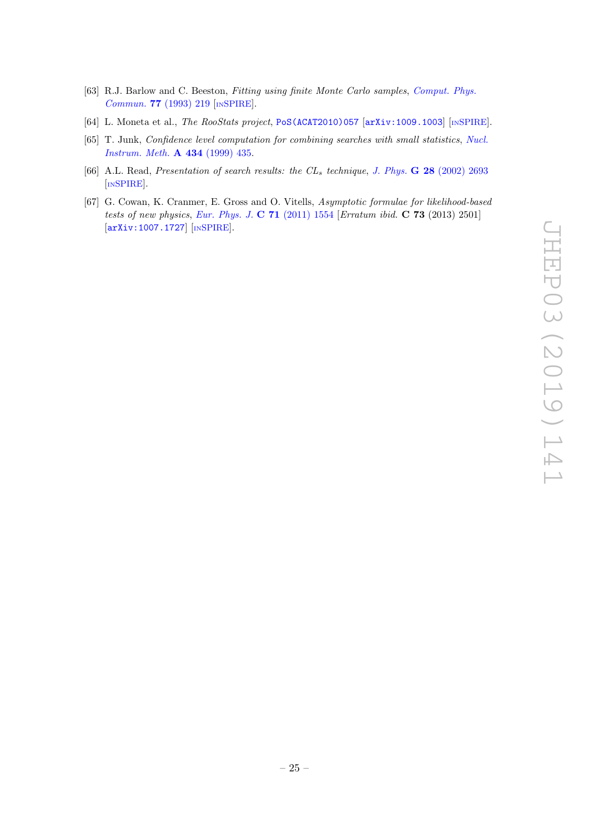- <span id="page-25-0"></span>[63] R.J. Barlow and C. Beeston, Fitting using finite Monte Carlo samples, [Comput. Phys.](https://doi.org/10.1016/0010-4655(93)90005-W) Commun. 77 [\(1993\) 219](https://doi.org/10.1016/0010-4655(93)90005-W) [IN[SPIRE](https://inspirehep.net/search?p=find+J+%22Comput.Phys.Commun.,77,219%22)].
- <span id="page-25-1"></span>[64] L. Moneta et al., *The RooStats project*, [PoS\(ACAT2010\)057](https://pos.sissa.it/contribution?id=PoS(ACAT2010)057) [[arXiv:1009.1003](https://arxiv.org/abs/1009.1003)] [IN[SPIRE](https://inspirehep.net/search?p=find+EPRINT+arXiv:1009.1003)].
- <span id="page-25-2"></span>[65] T. Junk, Confidence level computation for combining searches with small statistics, [Nucl.](http://dx.doi.org/10.1016/S0168-9002(99)00498-2) [Instrum. Meth.](http://dx.doi.org/10.1016/S0168-9002(99)00498-2) A 434 (1999) 435.
- [66] A.L. Read, Presentation of search results: the CL<sub>s</sub> technique, J. Phys. **G 28** [\(2002\) 2693](https://doi.org/10.1088/0954-3899/28/10/313) [IN[SPIRE](https://inspirehep.net/search?p=find+J+%22J.Phys.,G28,2693%22)].
- <span id="page-25-3"></span>[67] G. Cowan, K. Cranmer, E. Gross and O. Vitells, Asymptotic formulae for likelihood-based tests of new physics, [Eur. Phys. J.](https://doi.org/10.1140/epjc/s10052-011-1554-0) C 71 (2011) 1554 [Erratum ibid. C 73 (2013) 2501] [[arXiv:1007.1727](https://arxiv.org/abs/1007.1727)] [IN[SPIRE](https://inspirehep.net/search?p=find+EPRINT+arXiv:1007.1727)].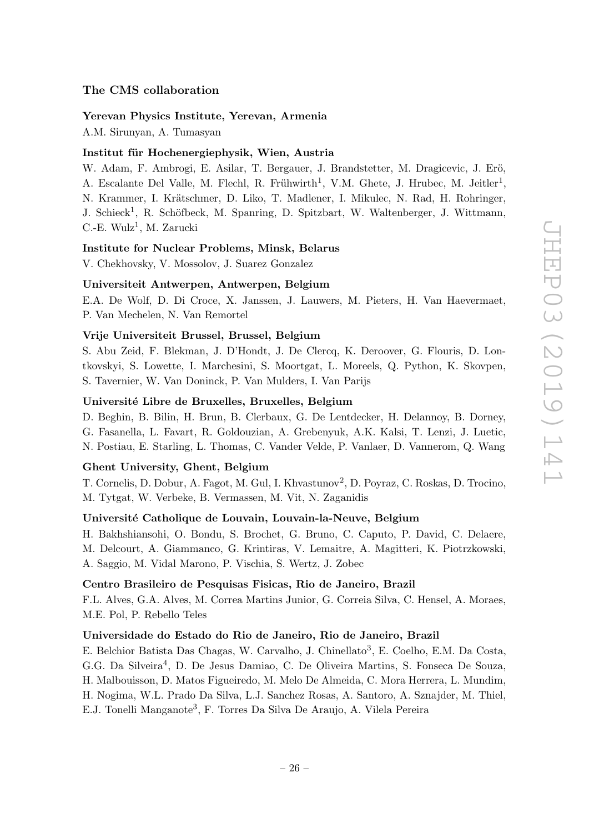### The CMS collaboration

#### <span id="page-26-0"></span>Yerevan Physics Institute, Yerevan, Armenia

A.M. Sirunyan, A. Tumasyan

#### Institut für Hochenergiephysik, Wien, Austria

W. Adam, F. Ambrogi, E. Asilar, T. Bergauer, J. Brandstetter, M. Dragicevic, J. Erö, A. Escalante Del Valle, M. Flechl, R. Frühwirth<sup>1</sup>, V.M. Ghete, J. Hrubec, M. Jeitler<sup>1</sup>, N. Krammer, I. Krätschmer, D. Liko, T. Madlener, I. Mikulec, N. Rad, H. Rohringer, J. Schieck<sup>1</sup>, R. Schöfbeck, M. Spanring, D. Spitzbart, W. Waltenberger, J. Wittmann, C.-E. Wulz<sup>1</sup>, M. Zarucki

### Institute for Nuclear Problems, Minsk, Belarus

V. Chekhovsky, V. Mossolov, J. Suarez Gonzalez

#### Universiteit Antwerpen, Antwerpen, Belgium

E.A. De Wolf, D. Di Croce, X. Janssen, J. Lauwers, M. Pieters, H. Van Haevermaet, P. Van Mechelen, N. Van Remortel

#### Vrije Universiteit Brussel, Brussel, Belgium

S. Abu Zeid, F. Blekman, J. D'Hondt, J. De Clercq, K. Deroover, G. Flouris, D. Lontkovskyi, S. Lowette, I. Marchesini, S. Moortgat, L. Moreels, Q. Python, K. Skovpen, S. Tavernier, W. Van Doninck, P. Van Mulders, I. Van Parijs

#### Universit´e Libre de Bruxelles, Bruxelles, Belgium

D. Beghin, B. Bilin, H. Brun, B. Clerbaux, G. De Lentdecker, H. Delannoy, B. Dorney, G. Fasanella, L. Favart, R. Goldouzian, A. Grebenyuk, A.K. Kalsi, T. Lenzi, J. Luetic,

N. Postiau, E. Starling, L. Thomas, C. Vander Velde, P. Vanlaer, D. Vannerom, Q. Wang

#### Ghent University, Ghent, Belgium

T. Cornelis, D. Dobur, A. Fagot, M. Gul, I. Khvastunov<sup>2</sup>, D. Poyraz, C. Roskas, D. Trocino, M. Tytgat, W. Verbeke, B. Vermassen, M. Vit, N. Zaganidis

#### Université Catholique de Louvain, Louvain-la-Neuve, Belgium

H. Bakhshiansohi, O. Bondu, S. Brochet, G. Bruno, C. Caputo, P. David, C. Delaere, M. Delcourt, A. Giammanco, G. Krintiras, V. Lemaitre, A. Magitteri, K. Piotrzkowski, A. Saggio, M. Vidal Marono, P. Vischia, S. Wertz, J. Zobec

#### Centro Brasileiro de Pesquisas Fisicas, Rio de Janeiro, Brazil

F.L. Alves, G.A. Alves, M. Correa Martins Junior, G. Correia Silva, C. Hensel, A. Moraes, M.E. Pol, P. Rebello Teles

#### Universidade do Estado do Rio de Janeiro, Rio de Janeiro, Brazil

E. Belchior Batista Das Chagas, W. Carvalho, J. Chinellato<sup>3</sup>, E. Coelho, E.M. Da Costa, G.G. Da Silveira<sup>4</sup>, D. De Jesus Damiao, C. De Oliveira Martins, S. Fonseca De Souza, H. Malbouisson, D. Matos Figueiredo, M. Melo De Almeida, C. Mora Herrera, L. Mundim, H. Nogima, W.L. Prado Da Silva, L.J. Sanchez Rosas, A. Santoro, A. Sznajder, M. Thiel, E.J. Tonelli Manganote<sup>3</sup> , F. Torres Da Silva De Araujo, A. Vilela Pereira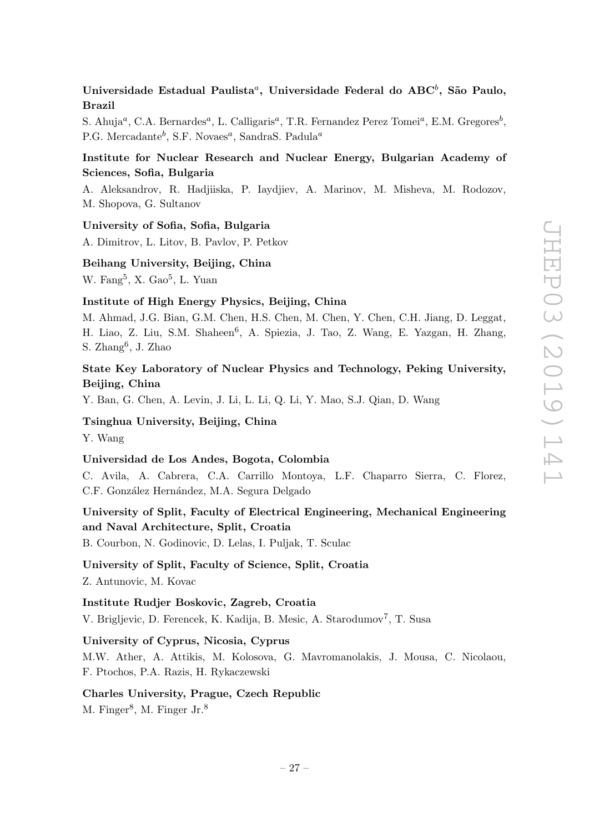# Universidade Estadual Paulista ${}^a,\,$  Universidade Federal do ABC ${}^b,\,$  São Paulo, Brazil

S. Ahuja<sup>a</sup>, C.A. Bernardes<sup>a</sup>, L. Calligaris<sup>a</sup>, T.R. Fernandez Perez Tomei<sup>a</sup>, E.M. Gregores<sup>b</sup>, P.G. Mercadante<sup>b</sup>, S.F. Novaes<sup>a</sup>, SandraS. Padula<sup>a</sup>

# Institute for Nuclear Research and Nuclear Energy, Bulgarian Academy of Sciences, Sofia, Bulgaria

A. Aleksandrov, R. Hadjiiska, P. Iaydjiev, A. Marinov, M. Misheva, M. Rodozov, M. Shopova, G. Sultanov

#### University of Sofia, Sofia, Bulgaria

A. Dimitrov, L. Litov, B. Pavlov, P. Petkov

# Beihang University, Beijing, China W. Fang<sup>5</sup>, X. Gao<sup>5</sup>, L. Yuan

#### Institute of High Energy Physics, Beijing, China

M. Ahmad, J.G. Bian, G.M. Chen, H.S. Chen, M. Chen, Y. Chen, C.H. Jiang, D. Leggat, H. Liao, Z. Liu, S.M. Shaheen<sup>6</sup>, A. Spiezia, J. Tao, Z. Wang, E. Yazgan, H. Zhang, S. Zhang<sup>6</sup>, J. Zhao

# State Key Laboratory of Nuclear Physics and Technology, Peking University, Beijing, China

Y. Ban, G. Chen, A. Levin, J. Li, L. Li, Q. Li, Y. Mao, S.J. Qian, D. Wang

Tsinghua University, Beijing, China

Y. Wang

### Universidad de Los Andes, Bogota, Colombia

C. Avila, A. Cabrera, C.A. Carrillo Montoya, L.F. Chaparro Sierra, C. Florez, C.F. González Hernández, M.A. Segura Delgado

# University of Split, Faculty of Electrical Engineering, Mechanical Engineering and Naval Architecture, Split, Croatia

B. Courbon, N. Godinovic, D. Lelas, I. Puljak, T. Sculac

#### University of Split, Faculty of Science, Split, Croatia

Z. Antunovic, M. Kovac

### Institute Rudjer Boskovic, Zagreb, Croatia

V. Brigljevic, D. Ferencek, K. Kadija, B. Mesic, A. Starodumov<sup>7</sup>, T. Susa

#### University of Cyprus, Nicosia, Cyprus

M.W. Ather, A. Attikis, M. Kolosova, G. Mavromanolakis, J. Mousa, C. Nicolaou, F. Ptochos, P.A. Razis, H. Rykaczewski

#### Charles University, Prague, Czech Republic

M. Finger<sup>8</sup>, M. Finger  $Jr.^8$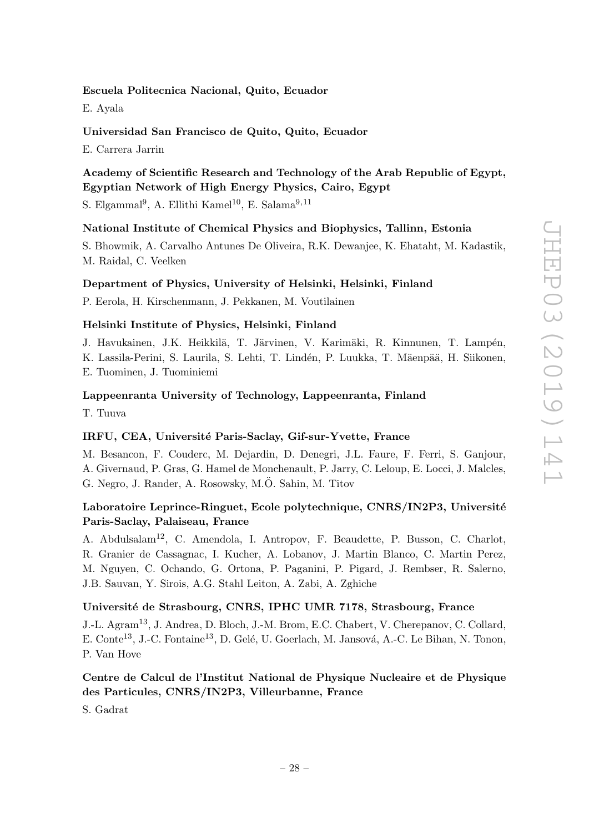#### Escuela Politecnica Nacional, Quito, Ecuador

E. Ayala

#### Universidad San Francisco de Quito, Quito, Ecuador

E. Carrera Jarrin

# Academy of Scientific Research and Technology of the Arab Republic of Egypt, Egyptian Network of High Energy Physics, Cairo, Egypt

S. Elgammal<sup>9</sup>, A. Ellithi Kamel<sup>10</sup>, E. Salama<sup>9,11</sup>

#### National Institute of Chemical Physics and Biophysics, Tallinn, Estonia

S. Bhowmik, A. Carvalho Antunes De Oliveira, R.K. Dewanjee, K. Ehataht, M. Kadastik, M. Raidal, C. Veelken

#### Department of Physics, University of Helsinki, Helsinki, Finland

P. Eerola, H. Kirschenmann, J. Pekkanen, M. Voutilainen

#### Helsinki Institute of Physics, Helsinki, Finland

J. Havukainen, J.K. Heikkilä, T. Järvinen, V. Karimäki, R. Kinnunen, T. Lampén, K. Lassila-Perini, S. Laurila, S. Lehti, T. Lindén, P. Luukka, T. Mäenpää, H. Siikonen, E. Tuominen, J. Tuominiemi

#### Lappeenranta University of Technology, Lappeenranta, Finland

T. Tuuva

#### IRFU, CEA, Université Paris-Saclay, Gif-sur-Yvette, France

M. Besancon, F. Couderc, M. Dejardin, D. Denegri, J.L. Faure, F. Ferri, S. Ganjour, A. Givernaud, P. Gras, G. Hamel de Monchenault, P. Jarry, C. Leloup, E. Locci, J. Malcles, G. Negro, J. Rander, A. Rosowsky, M.Ö. Sahin, M. Titov

# Laboratoire Leprince-Ringuet, Ecole polytechnique, CNRS/IN2P3, Université Paris-Saclay, Palaiseau, France

A. Abdulsalam12, C. Amendola, I. Antropov, F. Beaudette, P. Busson, C. Charlot, R. Granier de Cassagnac, I. Kucher, A. Lobanov, J. Martin Blanco, C. Martin Perez, M. Nguyen, C. Ochando, G. Ortona, P. Paganini, P. Pigard, J. Rembser, R. Salerno, J.B. Sauvan, Y. Sirois, A.G. Stahl Leiton, A. Zabi, A. Zghiche

### Universit´e de Strasbourg, CNRS, IPHC UMR 7178, Strasbourg, France

J.-L. Agram<sup>13</sup>, J. Andrea, D. Bloch, J.-M. Brom, E.C. Chabert, V. Cherepanov, C. Collard, E. Conte<sup>13</sup>, J.-C. Fontaine<sup>13</sup>, D. Gelé, U. Goerlach, M. Jansová, A.-C. Le Bihan, N. Tonon, P. Van Hove

# Centre de Calcul de l'Institut National de Physique Nucleaire et de Physique des Particules, CNRS/IN2P3, Villeurbanne, France

S. Gadrat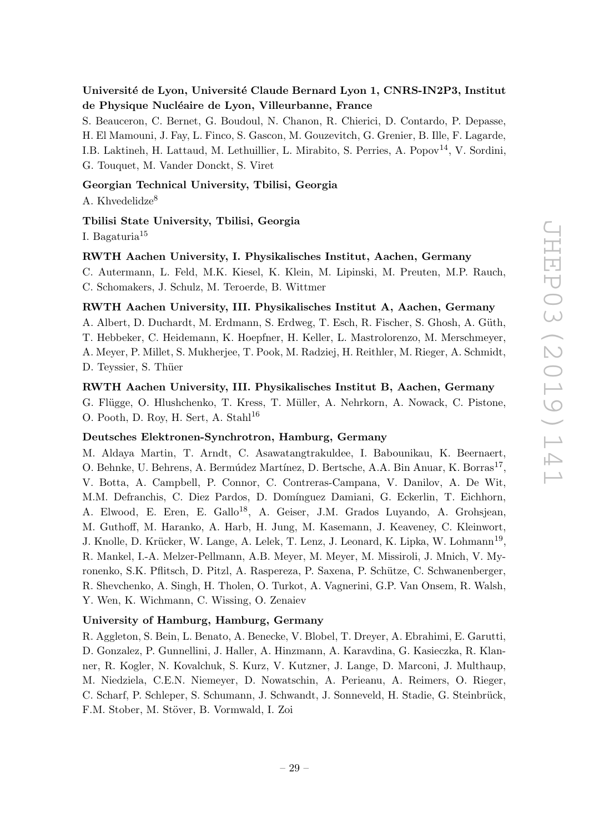# Université de Lyon, Université Claude Bernard Lyon 1, CNRS-IN2P3, Institut de Physique Nucléaire de Lyon, Villeurbanne, France

S. Beauceron, C. Bernet, G. Boudoul, N. Chanon, R. Chierici, D. Contardo, P. Depasse, H. El Mamouni, J. Fay, L. Finco, S. Gascon, M. Gouzevitch, G. Grenier, B. Ille, F. Lagarde, I.B. Laktineh, H. Lattaud, M. Lethuillier, L. Mirabito, S. Perries, A. Popov<sup>14</sup>, V. Sordini. G. Touquet, M. Vander Donckt, S. Viret

### Georgian Technical University, Tbilisi, Georgia

A. Khvedelidze<sup>8</sup>

# Tbilisi State University, Tbilisi, Georgia

I. Bagaturia<sup>15</sup>

#### RWTH Aachen University, I. Physikalisches Institut, Aachen, Germany

C. Autermann, L. Feld, M.K. Kiesel, K. Klein, M. Lipinski, M. Preuten, M.P. Rauch, C. Schomakers, J. Schulz, M. Teroerde, B. Wittmer

### RWTH Aachen University, III. Physikalisches Institut A, Aachen, Germany

A. Albert, D. Duchardt, M. Erdmann, S. Erdweg, T. Esch, R. Fischer, S. Ghosh, A. Güth, T. Hebbeker, C. Heidemann, K. Hoepfner, H. Keller, L. Mastrolorenzo, M. Merschmeyer, A. Meyer, P. Millet, S. Mukherjee, T. Pook, M. Radziej, H. Reithler, M. Rieger, A. Schmidt, D. Teyssier, S. Thüer

### RWTH Aachen University, III. Physikalisches Institut B, Aachen, Germany

G. Flügge, O. Hlushchenko, T. Kress, T. Müller, A. Nehrkorn, A. Nowack, C. Pistone, O. Pooth, D. Roy, H. Sert, A. Stahl<sup>16</sup>

### Deutsches Elektronen-Synchrotron, Hamburg, Germany

M. Aldaya Martin, T. Arndt, C. Asawatangtrakuldee, I. Babounikau, K. Beernaert, O. Behnke, U. Behrens, A. Bermúdez Martínez, D. Bertsche, A.A. Bin Anuar, K. Borras<sup>17</sup>, V. Botta, A. Campbell, P. Connor, C. Contreras-Campana, V. Danilov, A. De Wit, M.M. Defranchis, C. Diez Pardos, D. Dom´ınguez Damiani, G. Eckerlin, T. Eichhorn, A. Elwood, E. Eren, E. Gallo<sup>18</sup>, A. Geiser, J.M. Grados Luyando, A. Grohsjean, M. Guthoff, M. Haranko, A. Harb, H. Jung, M. Kasemann, J. Keaveney, C. Kleinwort, J. Knolle, D. Krücker, W. Lange, A. Lelek, T. Lenz, J. Leonard, K. Lipka, W. Lohmann<sup>19</sup>, R. Mankel, I.-A. Melzer-Pellmann, A.B. Meyer, M. Meyer, M. Missiroli, J. Mnich, V. Myronenko, S.K. Pflitsch, D. Pitzl, A. Raspereza, P. Saxena, P. Sch¨utze, C. Schwanenberger, R. Shevchenko, A. Singh, H. Tholen, O. Turkot, A. Vagnerini, G.P. Van Onsem, R. Walsh, Y. Wen, K. Wichmann, C. Wissing, O. Zenaiev

#### University of Hamburg, Hamburg, Germany

R. Aggleton, S. Bein, L. Benato, A. Benecke, V. Blobel, T. Dreyer, A. Ebrahimi, E. Garutti, D. Gonzalez, P. Gunnellini, J. Haller, A. Hinzmann, A. Karavdina, G. Kasieczka, R. Klanner, R. Kogler, N. Kovalchuk, S. Kurz, V. Kutzner, J. Lange, D. Marconi, J. Multhaup, M. Niedziela, C.E.N. Niemeyer, D. Nowatschin, A. Perieanu, A. Reimers, O. Rieger, C. Scharf, P. Schleper, S. Schumann, J. Schwandt, J. Sonneveld, H. Stadie, G. Steinbrück, F.M. Stober, M. Stöver, B. Vormwald, I. Zoi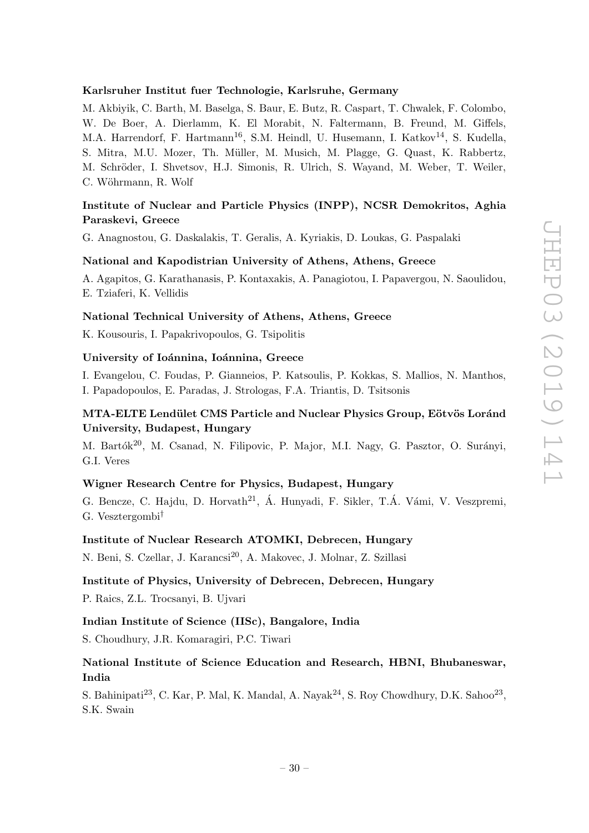### Karlsruher Institut fuer Technologie, Karlsruhe, Germany

M. Akbiyik, C. Barth, M. Baselga, S. Baur, E. Butz, R. Caspart, T. Chwalek, F. Colombo, W. De Boer, A. Dierlamm, K. El Morabit, N. Faltermann, B. Freund, M. Giffels, M.A. Harrendorf, F. Hartmann<sup>16</sup>, S.M. Heindl, U. Husemann, I. Katkov<sup>14</sup>, S. Kudella, S. Mitra, M.U. Mozer, Th. Müller, M. Musich, M. Plagge, G. Quast, K. Rabbertz, M. Schröder, I. Shvetsov, H.J. Simonis, R. Ulrich, S. Wayand, M. Weber, T. Weiler, C. Wöhrmann, R. Wolf

# Institute of Nuclear and Particle Physics (INPP), NCSR Demokritos, Aghia Paraskevi, Greece

G. Anagnostou, G. Daskalakis, T. Geralis, A. Kyriakis, D. Loukas, G. Paspalaki

#### National and Kapodistrian University of Athens, Athens, Greece

A. Agapitos, G. Karathanasis, P. Kontaxakis, A. Panagiotou, I. Papavergou, N. Saoulidou, E. Tziaferi, K. Vellidis

#### National Technical University of Athens, Athens, Greece

K. Kousouris, I. Papakrivopoulos, G. Tsipolitis

#### University of Ioánnina, Ioánnina, Greece

I. Evangelou, C. Foudas, P. Gianneios, P. Katsoulis, P. Kokkas, S. Mallios, N. Manthos, I. Papadopoulos, E. Paradas, J. Strologas, F.A. Triantis, D. Tsitsonis

# MTA-ELTE Lendület CMS Particle and Nuclear Physics Group, Eötvös Loránd University, Budapest, Hungary

M. Bartók<sup>20</sup>, M. Csanad, N. Filipovic, P. Major, M.I. Nagy, G. Pasztor, O. Surányi, G.I. Veres

# Wigner Research Centre for Physics, Budapest, Hungary

G. Bencze, C. Hajdu, D. Horvath<sup>21</sup>, Á. Hunyadi, F. Sikler, T.Á. Vámi, V. Veszpremi, G. Vesztergombi†

### Institute of Nuclear Research ATOMKI, Debrecen, Hungary

N. Beni, S. Czellar, J. Karancsi<sup>20</sup>, A. Makovec, J. Molnar, Z. Szillasi

### Institute of Physics, University of Debrecen, Debrecen, Hungary

P. Raics, Z.L. Trocsanyi, B. Ujvari

### Indian Institute of Science (IISc), Bangalore, India

S. Choudhury, J.R. Komaragiri, P.C. Tiwari

# National Institute of Science Education and Research, HBNI, Bhubaneswar, India

S. Bahinipati<sup>23</sup>, C. Kar, P. Mal, K. Mandal, A. Nayak<sup>24</sup>, S. Roy Chowdhury, D.K. Sahoo<sup>23</sup>, S.K. Swain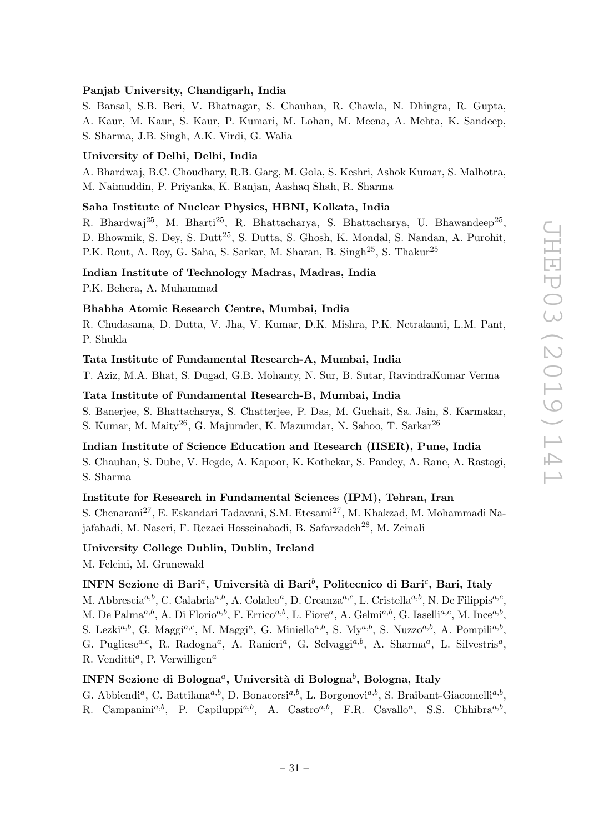#### Panjab University, Chandigarh, India

S. Bansal, S.B. Beri, V. Bhatnagar, S. Chauhan, R. Chawla, N. Dhingra, R. Gupta, A. Kaur, M. Kaur, S. Kaur, P. Kumari, M. Lohan, M. Meena, A. Mehta, K. Sandeep, S. Sharma, J.B. Singh, A.K. Virdi, G. Walia

#### University of Delhi, Delhi, India

A. Bhardwaj, B.C. Choudhary, R.B. Garg, M. Gola, S. Keshri, Ashok Kumar, S. Malhotra, M. Naimuddin, P. Priyanka, K. Ranjan, Aashaq Shah, R. Sharma

#### Saha Institute of Nuclear Physics, HBNI, Kolkata, India

R. Bhardwaj<sup>25</sup>, M. Bharti<sup>25</sup>, R. Bhattacharya, S. Bhattacharya, U. Bhawandeep<sup>25</sup>, D. Bhowmik, S. Dey, S. Dutt<sup>25</sup>, S. Dutta, S. Ghosh, K. Mondal, S. Nandan, A. Purohit, P.K. Rout, A. Roy, G. Saha, S. Sarkar, M. Sharan, B. Singh<sup>25</sup>, S. Thakur<sup>25</sup>

Indian Institute of Technology Madras, Madras, India

P.K. Behera, A. Muhammad

#### Bhabha Atomic Research Centre, Mumbai, India

R. Chudasama, D. Dutta, V. Jha, V. Kumar, D.K. Mishra, P.K. Netrakanti, L.M. Pant, P. Shukla

#### Tata Institute of Fundamental Research-A, Mumbai, India

T. Aziz, M.A. Bhat, S. Dugad, G.B. Mohanty, N. Sur, B. Sutar, RavindraKumar Verma

#### Tata Institute of Fundamental Research-B, Mumbai, India

S. Banerjee, S. Bhattacharya, S. Chatterjee, P. Das, M. Guchait, Sa. Jain, S. Karmakar, S. Kumar, M. Maity<sup>26</sup>, G. Majumder, K. Mazumdar, N. Sahoo, T. Sarkar<sup>26</sup>

#### Indian Institute of Science Education and Research (IISER), Pune, India

S. Chauhan, S. Dube, V. Hegde, A. Kapoor, K. Kothekar, S. Pandey, A. Rane, A. Rastogi, S. Sharma

### Institute for Research in Fundamental Sciences (IPM), Tehran, Iran

S. Chenarani27, E. Eskandari Tadavani, S.M. Etesami27, M. Khakzad, M. Mohammadi Najafabadi, M. Naseri, F. Rezaei Hosseinabadi, B. Safarzadeh<sup>28</sup>, M. Zeinali

University College Dublin, Dublin, Ireland

M. Felcini, M. Grunewald

# INFN Sezione di Bari $^a$ , Università di Bari $^b$ , Politecnico di Bari $^c$ , Bari, Italy

M. Abbrescia<sup>a,b</sup>, C. Calabria<sup>a,b</sup>, A. Colaleo<sup>a</sup>, D. Creanza<sup>a,c</sup>, L. Cristella<sup>a,b</sup>, N. De Filippis<sup>a,c</sup>, M. De Palma<sup>a,b</sup>, A. Di Florio<sup>a,b</sup>, F. Errico<sup>a,b</sup>, L. Fiore<sup>a</sup>, A. Gelmi<sup>a,b</sup>, G. Iaselli<sup>a,c</sup>, M. Ince<sup>a,b</sup>, S. Lezki<sup>a,b</sup>, G. Maggi<sup>a,c</sup>, M. Maggi<sup>a</sup>, G. Miniello<sup>a,b</sup>, S. My<sup>a,b</sup>, S. Nuzzo<sup>a,b</sup>, A. Pompili<sup>a,b</sup>, G. Pugliese<sup>a,c</sup>, R. Radogna<sup>a</sup>, A. Ranieri<sup>a</sup>, G. Selvaggi<sup>a,b</sup>, A. Sharma<sup>a</sup>, L. Silvestris<sup>a</sup>, R. Venditti<sup>a</sup>, P. Verwilligen<sup>a</sup>

# INFN Sezione di Bologna $^a,$  Università di Bologna $^b,$  Bologna, Italy

G. Abbiendi<sup>a</sup>, C. Battilana<sup>a,b</sup>, D. Bonacorsi<sup>a,b</sup>, L. Borgonovi<sup>a,b</sup>, S. Braibant-Giacomelli<sup>a,b</sup>, R. Campanini<sup>a,b</sup>, P. Capiluppi<sup>a,b</sup>, A. Castro<sup>a,b</sup>, F.R. Cavallo<sup>a</sup>, S.S. Chhibra<sup>a,b</sup>,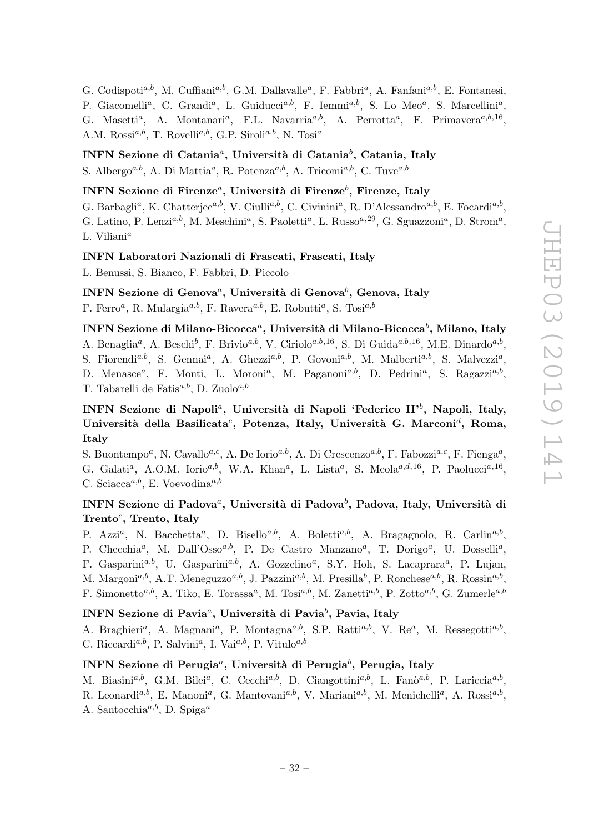G. Codispoti<sup>a,b</sup>, M. Cuffiani<sup>a,b</sup>, G.M. Dallavalle<sup>a</sup>, F. Fabbri<sup>a</sup>, A. Fanfani<sup>a,b</sup>, E. Fontanesi, P. Giacomelli<sup>a</sup>, C. Grandi<sup>a</sup>, L. Guiducci<sup>a,b</sup>, F. Iemmi<sup>a,b</sup>, S. Lo Meo<sup>a</sup>, S. Marcellini<sup>a</sup>,

G. Masetti<sup>a</sup>, A. Montanari<sup>a</sup>, F.L. Navarria<sup>a,b</sup>, A. Perrotta<sup>a</sup>, F. Primavera<sup>a,b,16</sup>, A.M. Rossi<sup>a,b</sup>, T. Rovelli<sup>a,b</sup>, G.P. Siroli<sup>a,b</sup>, N. Tosi<sup>a</sup>

INFN Sezione di Catania $^a,$  Università di Catania $^b,$  Catania, Italy

S. Albergo<sup>a,b</sup>, A. Di Mattia<sup>a</sup>, R. Potenza<sup>a,b</sup>, A. Tricomi<sup>a,b</sup>, C. Tuve<sup>a,b</sup>

# INFN Sezione di Firenze $^a,$  Università di Firenze $^b,$  Firenze, Italy

G. Barbagli<sup>a</sup>, K. Chatterjee<sup>a,b</sup>, V. Ciulli<sup>a,b</sup>, C. Civinini<sup>a</sup>, R. D'Alessandro<sup>a,b</sup>, E. Focardi<sup>a,b</sup>, G. Latino, P. Lenzi<sup>a,b</sup>, M. Meschini<sup>a</sup>, S. Paoletti<sup>a</sup>, L. Russo<sup>a, 29</sup>, G. Sguazzoni<sup>a</sup>, D. Strom<sup>a</sup>, L. Viliani $^a$ 

#### INFN Laboratori Nazionali di Frascati, Frascati, Italy

L. Benussi, S. Bianco, F. Fabbri, D. Piccolo

INFN Sezione di Genova $^a,$  Università di Genova $^b,$  Genova, Italy

F. Ferro<sup>a</sup>, R. Mulargia<sup>*a,b*</sup>, F. Ravera<sup>*a,b*</sup>, E. Robutti<sup>a</sup>, S. Tosi<sup>*a,b*</sup>

# INFN Sezione di Milano-Bicocca ${}^a,\,$ Università di Milano-Bicocca ${}^b,\,$ Milano, Italy

A. Benaglia<sup>a</sup>, A. Beschi<sup>b</sup>, F. Brivio<sup>a,b</sup>, V. Ciriolo<sup>a,b,16</sup>, S. Di Guida<sup>a,b,16</sup>, M.E. Dinardo<sup>a,b</sup>, S. Fiorendi<sup>a,b</sup>, S. Gennai<sup>a</sup>, A. Ghezzi<sup>a,b</sup>, P. Govoni<sup>a,b</sup>, M. Malberti<sup>a,b</sup>, S. Malvezzi<sup>a</sup>, D. Menasce<sup>a</sup>, F. Monti, L. Moroni<sup>a</sup>, M. Paganoni<sup>a,b</sup>, D. Pedrini<sup>a</sup>, S. Ragazzi<sup>a,b</sup>, T. Tabarelli de Fatis $a,b$ , D. Zuolo $a,b$ 

# INFN Sezione di Napoli<sup>a</sup>, Università di Napoli 'Federico II'<sup>b</sup>, Napoli, Italy, Università della Basilicata<sup>c</sup>, Potenza, Italy, Università G. Marconi<sup>d</sup>, Roma, Italy

S. Buontempo<sup>a</sup>, N. Cavallo<sup>a,c</sup>, A. De Iorio<sup>a,b</sup>, A. Di Crescenzo<sup>a,b</sup>, F. Fabozzi<sup>a,c</sup>, F. Fienga<sup>a</sup>, G. Galati<sup>a</sup>, A.O.M. Iorio<sup>a,b</sup>, W.A. Khan<sup>a</sup>, L. Lista<sup>a</sup>, S. Meola<sup>a,d,16</sup>, P. Paolucci<sup>a,16</sup>, C. Sciacca<sup>a,b</sup>, E. Voevodina<sup>a,b</sup>

# INFN Sezione di Padova ${}^a,\,$ Università di Padova ${}^b,\,$ Padova, Italy, Università di  $Trento<sup>c</sup>$ , Trento, Italy

P. Azzi<sup>a</sup>, N. Bacchetta<sup>a</sup>, D. Bisello<sup>a,b</sup>, A. Boletti<sup>a,b</sup>, A. Bragagnolo, R. Carlin<sup>a,b</sup>, P. Checchia<sup>a</sup>, M. Dall'Osso<sup>a,b</sup>, P. De Castro Manzano<sup>a</sup>, T. Dorigo<sup>a</sup>, U. Dosselli<sup>a</sup>, F. Gasparini<sup>a,b</sup>, U. Gasparini<sup>a,b</sup>, A. Gozzelino<sup>a</sup>, S.Y. Hoh, S. Lacaprara<sup>a</sup>, P. Lujan, M. Margoni<sup>a,b</sup>, A.T. Meneguzzo<sup>a,b</sup>, J. Pazzini<sup>a,b</sup>, M. Presilla<sup>b</sup>, P. Ronchese<sup>a,b</sup>, R. Rossin<sup>a,b</sup>, F. Simonetto<sup>a,b</sup>, A. Tiko, E. Torassa<sup>a</sup>, M. Tosi<sup>a,b</sup>, M. Zanetti<sup>a,b</sup>, P. Zotto<sup>a,b</sup>, G. Zumerle<sup>a,b</sup>

# INFN Sezione di Pavia $^a,$  Università di Pavia $^b,$  Pavia, Italy

A. Braghieri<sup>a</sup>, A. Magnani<sup>a</sup>, P. Montagna<sup>a,b</sup>, S.P. Ratti<sup>a,b</sup>, V. Re<sup>a</sup>, M. Ressegotti<sup>a,b</sup>, C. Riccardi<sup>a,b</sup>, P. Salvini<sup>a</sup>, I. Vai<sup>a,b</sup>, P. Vitulo<sup>a,b</sup>

# INFN Sezione di Perugia $^a,$  Università di Perugia $^b,$  Perugia, Italy

M. Biasini<sup>a,b</sup>, G.M. Bilei<sup>a</sup>, C. Cecchi<sup>a,b</sup>, D. Ciangottini<sup>a,b</sup>, L. Fanò<sup>a,b</sup>, P. Lariccia<sup>a,b</sup>, R. Leonardi<sup>a,b</sup>, E. Manoni<sup>a</sup>, G. Mantovani<sup>a,b</sup>, V. Mariani<sup>a,b</sup>, M. Menichelli<sup>a</sup>, A. Rossi<sup>a,b</sup>, A. Santocchia<sup>a,b</sup>, D. Spiga<sup>a</sup>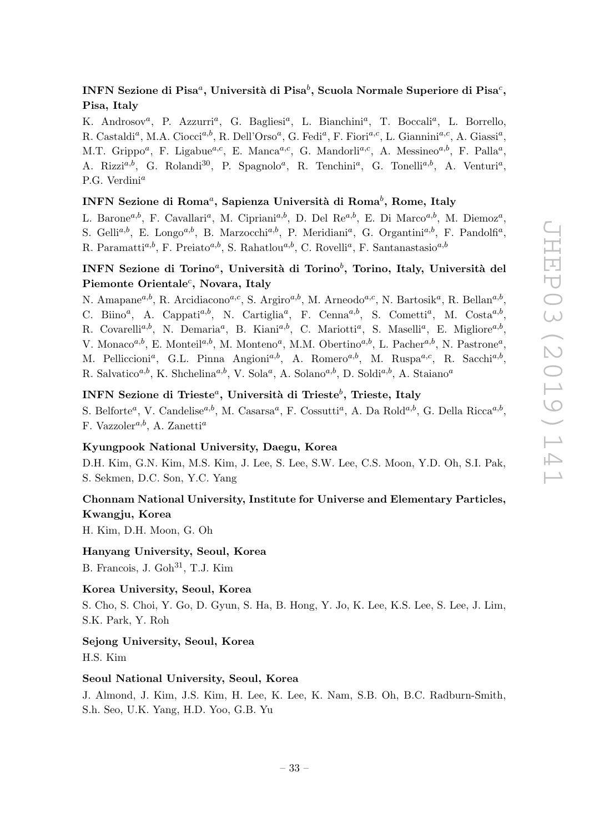# $\mathbf{INFN}$  Sezione di Pisa $^a, \mathbf{Universit\`a}$  di Pisa $^b, \mathbf{Scuola}$  Normale Superiore di Pisa $^c,$ Pisa, Italy

K. Androsov<sup>a</sup>, P. Azzurri<sup>a</sup>, G. Bagliesi<sup>a</sup>, L. Bianchini<sup>a</sup>, T. Boccali<sup>a</sup>, L. Borrello, R. Castaldi<sup>a</sup>, M.A. Ciocci<sup>a,b</sup>, R. Dell'Orso<sup>a</sup>, G. Fedi<sup>a</sup>, F. Fiori<sup>a,c</sup>, L. Giannini<sup>a,c</sup>, A. Giassi<sup>a</sup>, M.T. Grippo<sup>a</sup>, F. Ligabue<sup>a,c</sup>, E. Manca<sup>a,c</sup>, G. Mandorli<sup>a,c</sup>, A. Messineo<sup>a,b</sup>, F. Palla<sup>a</sup>, A. Rizzi<sup>a,b</sup>, G. Rolandi<sup>30</sup>, P. Spagnolo<sup>a</sup>, R. Tenchini<sup>a</sup>, G. Tonelli<sup>a,b</sup>, A. Venturi<sup>a</sup>, P.G. Verdini $^a$ 

# $\bf{INFN}$  Sezione di Roma $^a,$  Sapienza Università di Roma $^b,$  Rome, Italy

L. Barone<sup>a,b</sup>, F. Cavallari<sup>a</sup>, M. Cipriani<sup>a,b</sup>, D. Del Re<sup>a,b</sup>, E. Di Marco<sup>a,b</sup>, M. Diemoz<sup>a</sup>, S. Gelli<sup>a,b</sup>, E. Longo<sup>a,b</sup>, B. Marzocchi<sup>a,b</sup>, P. Meridiani<sup>a</sup>, G. Organtini<sup>a,b</sup>, F. Pandolfi<sup>a</sup>, R. Paramatti<sup>a,b</sup>, F. Preiato<sup>a,b</sup>, S. Rahatlou<sup>a,b</sup>, C. Rovelli<sup>a</sup>, F. Santanastasio<sup>a,b</sup>

# ${\rm INFN}$  Sezione di Torino ${}^a,$  Università di Torino ${}^b,$  Torino, Italy, Università del  $P$ iemonte Orientale<sup>c</sup>, Novara, Italy

N. Amapane<sup>a,b</sup>, R. Arcidiacono<sup>a,c</sup>, S. Argiro<sup>a,b</sup>, M. Arneodo<sup>a,c</sup>, N. Bartosik<sup>a</sup>, R. Bellan<sup>a,b</sup>, C. Biino<sup>a</sup>, A. Cappati<sup>a,b</sup>, N. Cartiglia<sup>a</sup>, F. Cenna<sup>a,b</sup>, S. Cometti<sup>a</sup>, M. Costa<sup>a,b</sup>, R. Covarelli<sup>a,b</sup>, N. Demaria<sup>a</sup>, B. Kiani<sup>a,b</sup>, C. Mariotti<sup>a</sup>, S. Maselli<sup>a</sup>, E. Migliore<sup>a,b</sup>, V. Monaco<sup>a,b</sup>, E. Monteil<sup>a,b</sup>, M. Monteno<sup>a</sup>, M.M. Obertino<sup>a,b</sup>, L. Pacher<sup>a,b</sup>, N. Pastrone<sup>a</sup>, M. Pelliccioni<sup>a</sup>, G.L. Pinna Angioni<sup>a,b</sup>, A. Romero<sup>a,b</sup>, M. Ruspa<sup>a,c</sup>, R. Sacchi<sup>a,b</sup>, R. Salvatico<sup>a,b</sup>, K. Shchelina<sup>a,b</sup>, V. Sola<sup>a</sup>, A. Solano<sup>a,b</sup>, D. Soldi<sup>a,b</sup>, A. Staiano<sup>a</sup>

# ${\rm INFN}$  Sezione di Trieste $^a,$  Università di Trieste $^b,$  Trieste, Italy

S. Belforte<sup>a</sup>, V. Candelise<sup>a,b</sup>, M. Casarsa<sup>a</sup>, F. Cossutti<sup>a</sup>, A. Da Rold<sup>a,b</sup>, G. Della Ricca<sup>a,b</sup>, F. Vazzoler<sup>a,b</sup>, A. Zanetti<sup>a</sup>

# Kyungpook National University, Daegu, Korea

D.H. Kim, G.N. Kim, M.S. Kim, J. Lee, S. Lee, S.W. Lee, C.S. Moon, Y.D. Oh, S.I. Pak, S. Sekmen, D.C. Son, Y.C. Yang

# Chonnam National University, Institute for Universe and Elementary Particles, Kwangju, Korea

H. Kim, D.H. Moon, G. Oh

# Hanyang University, Seoul, Korea

B. Francois, J. Goh<sup>31</sup>, T.J. Kim

### Korea University, Seoul, Korea

S. Cho, S. Choi, Y. Go, D. Gyun, S. Ha, B. Hong, Y. Jo, K. Lee, K.S. Lee, S. Lee, J. Lim, S.K. Park, Y. Roh

Sejong University, Seoul, Korea H.S. Kim

### Seoul National University, Seoul, Korea

J. Almond, J. Kim, J.S. Kim, H. Lee, K. Lee, K. Nam, S.B. Oh, B.C. Radburn-Smith, S.h. Seo, U.K. Yang, H.D. Yoo, G.B. Yu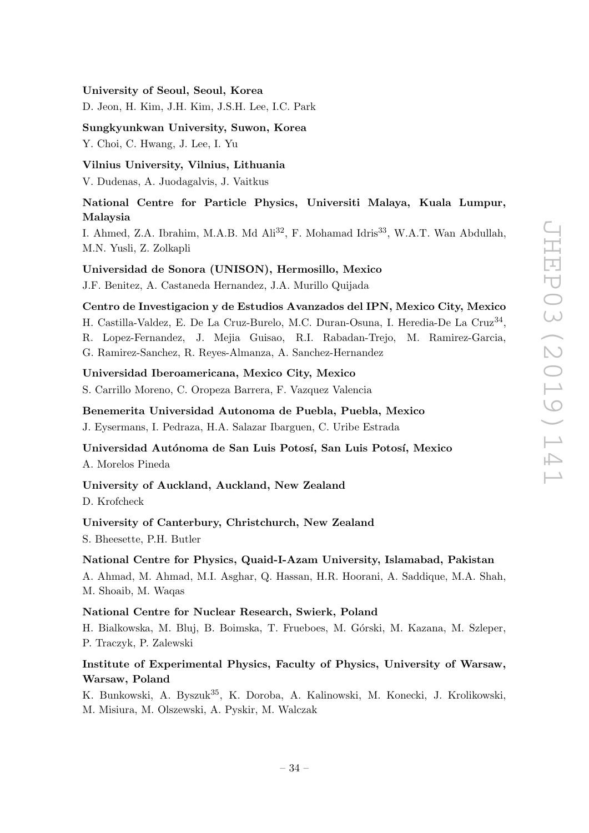#### University of Seoul, Seoul, Korea

D. Jeon, H. Kim, J.H. Kim, J.S.H. Lee, I.C. Park

Sungkyunkwan University, Suwon, Korea Y. Choi, C. Hwang, J. Lee, I. Yu

Vilnius University, Vilnius, Lithuania

V. Dudenas, A. Juodagalvis, J. Vaitkus

# National Centre for Particle Physics, Universiti Malaya, Kuala Lumpur, Malaysia

I. Ahmed, Z.A. Ibrahim, M.A.B. Md Ali<sup>32</sup>, F. Mohamad Idris<sup>33</sup>, W.A.T. Wan Abdullah, M.N. Yusli, Z. Zolkapli

### Universidad de Sonora (UNISON), Hermosillo, Mexico

J.F. Benitez, A. Castaneda Hernandez, J.A. Murillo Quijada

# Centro de Investigacion y de Estudios Avanzados del IPN, Mexico City, Mexico H. Castilla-Valdez, E. De La Cruz-Burelo, M.C. Duran-Osuna, I. Heredia-De La Cruz<sup>34</sup>, R. Lopez-Fernandez, J. Mejia Guisao, R.I. Rabadan-Trejo, M. Ramirez-Garcia, G. Ramirez-Sanchez, R. Reyes-Almanza, A. Sanchez-Hernandez

#### Universidad Iberoamericana, Mexico City, Mexico

S. Carrillo Moreno, C. Oropeza Barrera, F. Vazquez Valencia

# Benemerita Universidad Autonoma de Puebla, Puebla, Mexico J. Eysermans, I. Pedraza, H.A. Salazar Ibarguen, C. Uribe Estrada

# Universidad Autónoma de San Luis Potosí, San Luis Potosí, Mexico A. Morelos Pineda

# University of Auckland, Auckland, New Zealand

D. Krofcheck

### University of Canterbury, Christchurch, New Zealand

S. Bheesette, P.H. Butler

#### National Centre for Physics, Quaid-I-Azam University, Islamabad, Pakistan

A. Ahmad, M. Ahmad, M.I. Asghar, Q. Hassan, H.R. Hoorani, A. Saddique, M.A. Shah, M. Shoaib, M. Waqas

### National Centre for Nuclear Research, Swierk, Poland

H. Bialkowska, M. Bluj, B. Boimska, T. Frueboes, M. Górski, M. Kazana, M. Szleper, P. Traczyk, P. Zalewski

# Institute of Experimental Physics, Faculty of Physics, University of Warsaw, Warsaw, Poland

K. Bunkowski, A. Byszuk35, K. Doroba, A. Kalinowski, M. Konecki, J. Krolikowski, M. Misiura, M. Olszewski, A. Pyskir, M. Walczak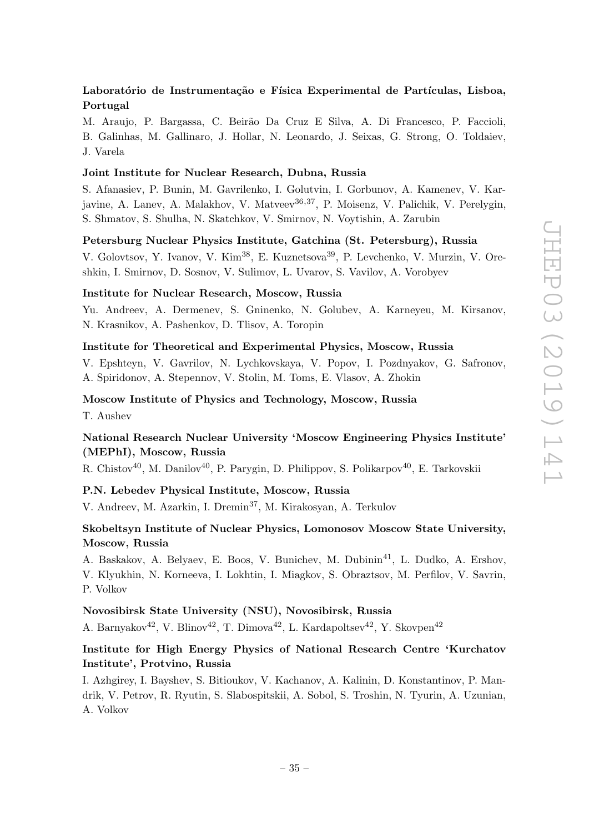# Laboratório de Instrumentação e Física Experimental de Partículas, Lisboa, Portugal

M. Araujo, P. Bargassa, C. Beirão Da Cruz E Silva, A. Di Francesco, P. Faccioli, B. Galinhas, M. Gallinaro, J. Hollar, N. Leonardo, J. Seixas, G. Strong, O. Toldaiev, J. Varela

### Joint Institute for Nuclear Research, Dubna, Russia

S. Afanasiev, P. Bunin, M. Gavrilenko, I. Golutvin, I. Gorbunov, A. Kamenev, V. Karjavine, A. Lanev, A. Malakhov, V. Matveev<sup>36,37</sup>, P. Moisenz, V. Palichik, V. Perelygin, S. Shmatov, S. Shulha, N. Skatchkov, V. Smirnov, N. Voytishin, A. Zarubin

### Petersburg Nuclear Physics Institute, Gatchina (St. Petersburg), Russia

V. Golovtsov, Y. Ivanov, V. Kim38, E. Kuznetsova39, P. Levchenko, V. Murzin, V. Oreshkin, I. Smirnov, D. Sosnov, V. Sulimov, L. Uvarov, S. Vavilov, A. Vorobyev

#### Institute for Nuclear Research, Moscow, Russia

Yu. Andreev, A. Dermenev, S. Gninenko, N. Golubev, A. Karneyeu, M. Kirsanov, N. Krasnikov, A. Pashenkov, D. Tlisov, A. Toropin

#### Institute for Theoretical and Experimental Physics, Moscow, Russia

V. Epshteyn, V. Gavrilov, N. Lychkovskaya, V. Popov, I. Pozdnyakov, G. Safronov, A. Spiridonov, A. Stepennov, V. Stolin, M. Toms, E. Vlasov, A. Zhokin

#### Moscow Institute of Physics and Technology, Moscow, Russia

T. Aushev

# National Research Nuclear University 'Moscow Engineering Physics Institute' (MEPhI), Moscow, Russia

R. Chistov<sup>40</sup>, M. Danilov<sup>40</sup>, P. Parygin, D. Philippov, S. Polikarpov<sup>40</sup>, E. Tarkovskii

# P.N. Lebedev Physical Institute, Moscow, Russia

V. Andreev, M. Azarkin, I. Dremin<sup>37</sup>, M. Kirakosyan, A. Terkulov

# Skobeltsyn Institute of Nuclear Physics, Lomonosov Moscow State University, Moscow, Russia

A. Baskakov, A. Belyaev, E. Boos, V. Bunichev, M. Dubinin<sup>41</sup>, L. Dudko, A. Ershov, V. Klyukhin, N. Korneeva, I. Lokhtin, I. Miagkov, S. Obraztsov, M. Perfilov, V. Savrin, P. Volkov

# Novosibirsk State University (NSU), Novosibirsk, Russia

A. Barnyakov<sup>42</sup>, V. Blinov<sup>42</sup>, T. Dimova<sup>42</sup>, L. Kardapoltsev<sup>42</sup>, Y. Skovpen<sup>42</sup>

# Institute for High Energy Physics of National Research Centre 'Kurchatov Institute', Protvino, Russia

I. Azhgirey, I. Bayshev, S. Bitioukov, V. Kachanov, A. Kalinin, D. Konstantinov, P. Mandrik, V. Petrov, R. Ryutin, S. Slabospitskii, A. Sobol, S. Troshin, N. Tyurin, A. Uzunian, A. Volkov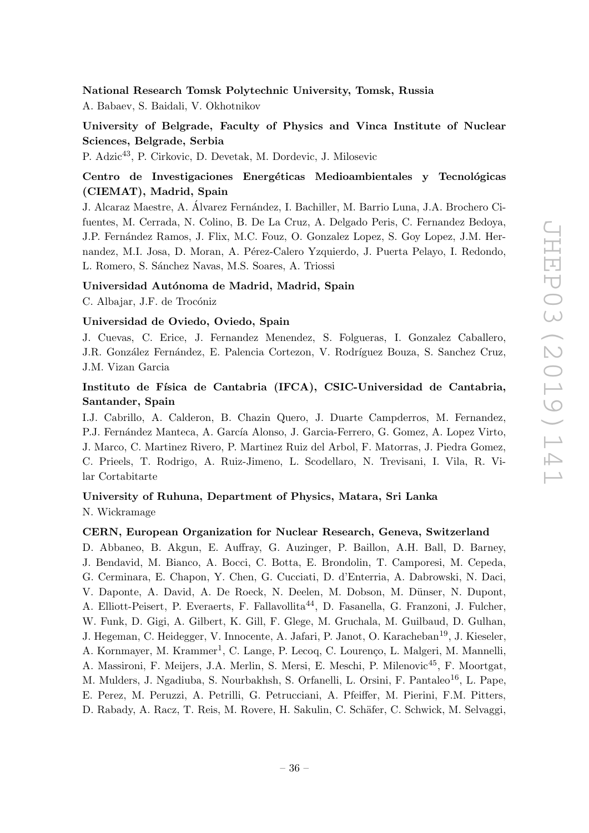#### National Research Tomsk Polytechnic University, Tomsk, Russia

A. Babaev, S. Baidali, V. Okhotnikov

# University of Belgrade, Faculty of Physics and Vinca Institute of Nuclear Sciences, Belgrade, Serbia

P. Adzic43, P. Cirkovic, D. Devetak, M. Dordevic, J. Milosevic

# Centro de Investigaciones Energéticas Medioambientales y Tecnológicas (CIEMAT), Madrid, Spain

J. Alcaraz Maestre, A. Álvarez Fernández, I. Bachiller, M. Barrio Luna, J.A. Brochero Cifuentes, M. Cerrada, N. Colino, B. De La Cruz, A. Delgado Peris, C. Fernandez Bedoya, J.P. Fern´andez Ramos, J. Flix, M.C. Fouz, O. Gonzalez Lopez, S. Goy Lopez, J.M. Hernandez, M.I. Josa, D. Moran, A. Pérez-Calero Yzquierdo, J. Puerta Pelayo, I. Redondo, L. Romero, S. Sánchez Navas, M.S. Soares, A. Triossi

#### Universidad Autónoma de Madrid, Madrid, Spain

C. Albajar, J.F. de Trocóniz

### Universidad de Oviedo, Oviedo, Spain

J. Cuevas, C. Erice, J. Fernandez Menendez, S. Folgueras, I. Gonzalez Caballero, J.R. González Fernández, E. Palencia Cortezon, V. Rodríguez Bouza, S. Sanchez Cruz, J.M. Vizan Garcia

# Instituto de Física de Cantabria (IFCA), CSIC-Universidad de Cantabria, Santander, Spain

I.J. Cabrillo, A. Calderon, B. Chazin Quero, J. Duarte Campderros, M. Fernandez, P.J. Fernández Manteca, A. García Alonso, J. Garcia-Ferrero, G. Gomez, A. Lopez Virto, J. Marco, C. Martinez Rivero, P. Martinez Ruiz del Arbol, F. Matorras, J. Piedra Gomez, C. Prieels, T. Rodrigo, A. Ruiz-Jimeno, L. Scodellaro, N. Trevisani, I. Vila, R. Vilar Cortabitarte

University of Ruhuna, Department of Physics, Matara, Sri Lanka N. Wickramage

#### CERN, European Organization for Nuclear Research, Geneva, Switzerland

D. Abbaneo, B. Akgun, E. Auffray, G. Auzinger, P. Baillon, A.H. Ball, D. Barney, J. Bendavid, M. Bianco, A. Bocci, C. Botta, E. Brondolin, T. Camporesi, M. Cepeda, G. Cerminara, E. Chapon, Y. Chen, G. Cucciati, D. d'Enterria, A. Dabrowski, N. Daci, V. Daponte, A. David, A. De Roeck, N. Deelen, M. Dobson, M. Dünser, N. Dupont, A. Elliott-Peisert, P. Everaerts, F. Fallavollita<sup>44</sup>, D. Fasanella, G. Franzoni, J. Fulcher, W. Funk, D. Gigi, A. Gilbert, K. Gill, F. Glege, M. Gruchala, M. Guilbaud, D. Gulhan, J. Hegeman, C. Heidegger, V. Innocente, A. Jafari, P. Janot, O. Karacheban<sup>19</sup>, J. Kieseler, A. Kornmayer, M. Krammer<sup>1</sup>, C. Lange, P. Lecoq, C. Lourenço, L. Malgeri, M. Mannelli, A. Massironi, F. Meijers, J.A. Merlin, S. Mersi, E. Meschi, P. Milenovic45, F. Moortgat, M. Mulders, J. Ngadiuba, S. Nourbakhsh, S. Orfanelli, L. Orsini, F. Pantaleo<sup>16</sup>, L. Pape, E. Perez, M. Peruzzi, A. Petrilli, G. Petrucciani, A. Pfeiffer, M. Pierini, F.M. Pitters, D. Rabady, A. Racz, T. Reis, M. Rovere, H. Sakulin, C. Schäfer, C. Schwick, M. Selvaggi,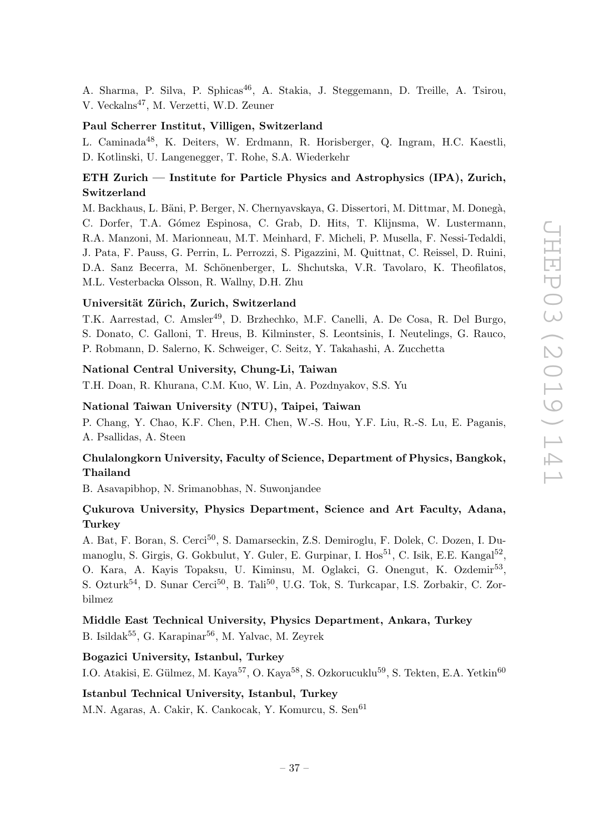A. Sharma, P. Silva, P. Sphicas<sup>46</sup>, A. Stakia, J. Steggemann, D. Treille, A. Tsirou, V. Veckalns47, M. Verzetti, W.D. Zeuner

### Paul Scherrer Institut, Villigen, Switzerland

L. Caminada48, K. Deiters, W. Erdmann, R. Horisberger, Q. Ingram, H.C. Kaestli, D. Kotlinski, U. Langenegger, T. Rohe, S.A. Wiederkehr

# ETH Zurich — Institute for Particle Physics and Astrophysics (IPA), Zurich, Switzerland

M. Backhaus, L. Bäni, P. Berger, N. Chernyavskaya, G. Dissertori, M. Dittmar, M. Donegà, C. Dorfer, T.A. G´omez Espinosa, C. Grab, D. Hits, T. Klijnsma, W. Lustermann, R.A. Manzoni, M. Marionneau, M.T. Meinhard, F. Micheli, P. Musella, F. Nessi-Tedaldi, J. Pata, F. Pauss, G. Perrin, L. Perrozzi, S. Pigazzini, M. Quittnat, C. Reissel, D. Ruini, D.A. Sanz Becerra, M. Schönenberger, L. Shchutska, V.R. Tavolaro, K. Theofilatos, M.L. Vesterbacka Olsson, R. Wallny, D.H. Zhu

#### Universität Zürich, Zurich, Switzerland

T.K. Aarrestad, C. Amsler<sup>49</sup>, D. Brzhechko, M.F. Canelli, A. De Cosa, R. Del Burgo, S. Donato, C. Galloni, T. Hreus, B. Kilminster, S. Leontsinis, I. Neutelings, G. Rauco, P. Robmann, D. Salerno, K. Schweiger, C. Seitz, Y. Takahashi, A. Zucchetta

#### National Central University, Chung-Li, Taiwan

T.H. Doan, R. Khurana, C.M. Kuo, W. Lin, A. Pozdnyakov, S.S. Yu

#### National Taiwan University (NTU), Taipei, Taiwan

P. Chang, Y. Chao, K.F. Chen, P.H. Chen, W.-S. Hou, Y.F. Liu, R.-S. Lu, E. Paganis, A. Psallidas, A. Steen

# Chulalongkorn University, Faculty of Science, Department of Physics, Bangkok, Thailand

B. Asavapibhop, N. Srimanobhas, N. Suwonjandee

# Cukurova University, Physics Department, Science and Art Faculty, Adana, **Turkey**

A. Bat, F. Boran, S. Cerci<sup>50</sup>, S. Damarseckin, Z.S. Demiroglu, F. Dolek, C. Dozen, I. Dumanoglu, S. Girgis, G. Gokbulut, Y. Guler, E. Gurpinar, I. Hos<sup>51</sup>, C. Isik, E.E. Kangal<sup>52</sup>, O. Kara, A. Kayis Topaksu, U. Kiminsu, M. Oglakci, G. Onengut, K. Ozdemir<sup>53</sup>, S. Ozturk<sup>54</sup>, D. Sunar Cerci<sup>50</sup>, B. Tali<sup>50</sup>, U.G. Tok, S. Turkcapar, I.S. Zorbakir, C. Zorbilmez

# Middle East Technical University, Physics Department, Ankara, Turkey B. Isildak<sup>55</sup>, G. Karapinar<sup>56</sup>, M. Yalvac, M. Zeyrek

### Bogazici University, Istanbul, Turkey

I.O. Atakisi, E. Gülmez, M. Kaya<sup>57</sup>, O. Kaya<sup>58</sup>, S. Ozkorucuklu<sup>59</sup>, S. Tekten, E.A. Yetkin<sup>60</sup>

#### Istanbul Technical University, Istanbul, Turkey

M.N. Agaras, A. Cakir, K. Cankocak, Y. Komurcu, S. Sen<sup>61</sup>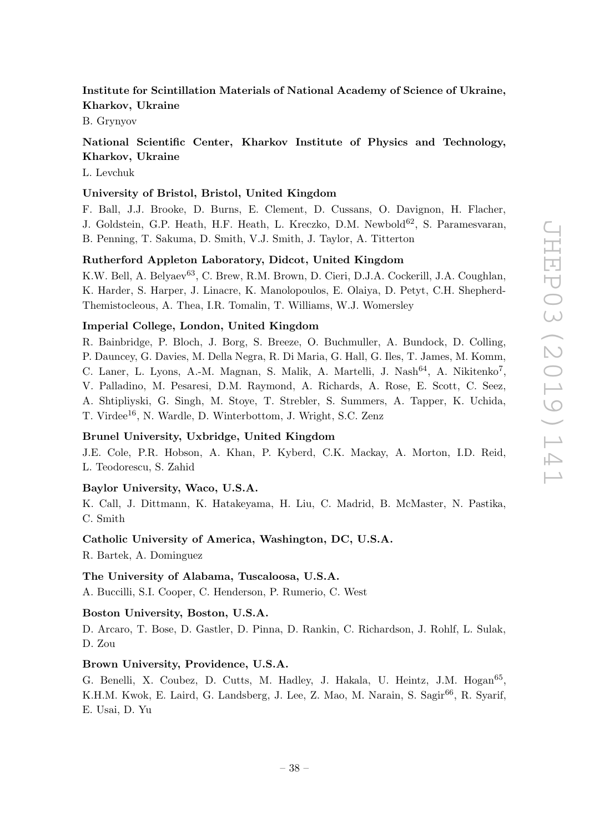# Institute for Scintillation Materials of National Academy of Science of Ukraine, Kharkov, Ukraine

B. Grynyov

# National Scientific Center, Kharkov Institute of Physics and Technology, Kharkov, Ukraine

L. Levchuk

### University of Bristol, Bristol, United Kingdom

F. Ball, J.J. Brooke, D. Burns, E. Clement, D. Cussans, O. Davignon, H. Flacher, J. Goldstein, G.P. Heath, H.F. Heath, L. Kreczko, D.M. Newbold<sup>62</sup>, S. Paramesvaran, B. Penning, T. Sakuma, D. Smith, V.J. Smith, J. Taylor, A. Titterton

### Rutherford Appleton Laboratory, Didcot, United Kingdom

K.W. Bell, A. Belyaev<sup>63</sup>, C. Brew, R.M. Brown, D. Cieri, D.J.A. Cockerill, J.A. Coughlan, K. Harder, S. Harper, J. Linacre, K. Manolopoulos, E. Olaiya, D. Petyt, C.H. Shepherd-Themistocleous, A. Thea, I.R. Tomalin, T. Williams, W.J. Womersley

### Imperial College, London, United Kingdom

R. Bainbridge, P. Bloch, J. Borg, S. Breeze, O. Buchmuller, A. Bundock, D. Colling, P. Dauncey, G. Davies, M. Della Negra, R. Di Maria, G. Hall, G. Iles, T. James, M. Komm, C. Laner, L. Lyons, A.-M. Magnan, S. Malik, A. Martelli, J. Nash<sup>64</sup>, A. Nikitenko<sup>7</sup>, V. Palladino, M. Pesaresi, D.M. Raymond, A. Richards, A. Rose, E. Scott, C. Seez, A. Shtipliyski, G. Singh, M. Stoye, T. Strebler, S. Summers, A. Tapper, K. Uchida, T. Virdee<sup>16</sup>, N. Wardle, D. Winterbottom, J. Wright, S.C. Zenz

### Brunel University, Uxbridge, United Kingdom

J.E. Cole, P.R. Hobson, A. Khan, P. Kyberd, C.K. Mackay, A. Morton, I.D. Reid, L. Teodorescu, S. Zahid

#### Baylor University, Waco, U.S.A.

K. Call, J. Dittmann, K. Hatakeyama, H. Liu, C. Madrid, B. McMaster, N. Pastika, C. Smith

### Catholic University of America, Washington, DC, U.S.A.

R. Bartek, A. Dominguez

# The University of Alabama, Tuscaloosa, U.S.A.

A. Buccilli, S.I. Cooper, C. Henderson, P. Rumerio, C. West

### Boston University, Boston, U.S.A.

D. Arcaro, T. Bose, D. Gastler, D. Pinna, D. Rankin, C. Richardson, J. Rohlf, L. Sulak, D. Zou

### Brown University, Providence, U.S.A.

G. Benelli, X. Coubez, D. Cutts, M. Hadley, J. Hakala, U. Heintz, J.M. Hogan<sup>65</sup>, K.H.M. Kwok, E. Laird, G. Landsberg, J. Lee, Z. Mao, M. Narain, S. Sagir<sup>66</sup>, R. Syarif, E. Usai, D. Yu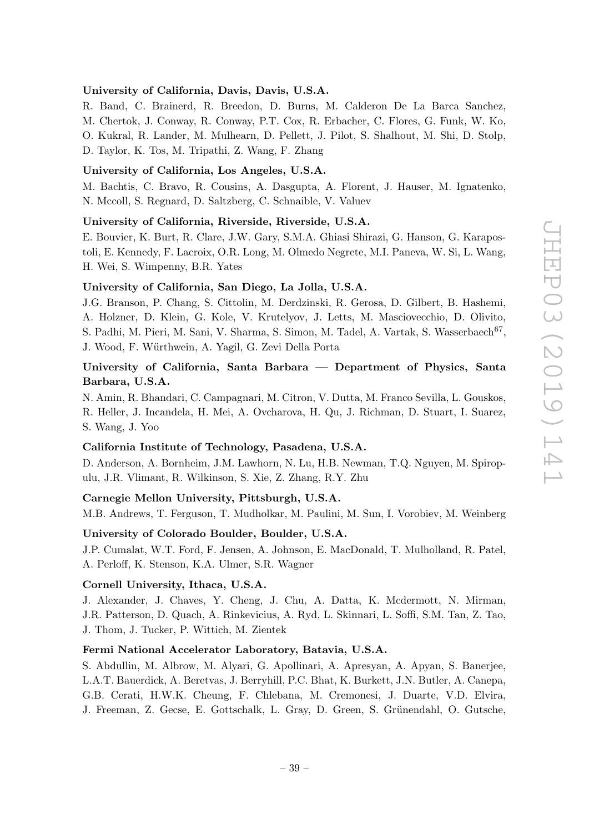#### University of California, Davis, Davis, U.S.A.

R. Band, C. Brainerd, R. Breedon, D. Burns, M. Calderon De La Barca Sanchez,

M. Chertok, J. Conway, R. Conway, P.T. Cox, R. Erbacher, C. Flores, G. Funk, W. Ko,

O. Kukral, R. Lander, M. Mulhearn, D. Pellett, J. Pilot, S. Shalhout, M. Shi, D. Stolp,

D. Taylor, K. Tos, M. Tripathi, Z. Wang, F. Zhang

### University of California, Los Angeles, U.S.A.

M. Bachtis, C. Bravo, R. Cousins, A. Dasgupta, A. Florent, J. Hauser, M. Ignatenko, N. Mccoll, S. Regnard, D. Saltzberg, C. Schnaible, V. Valuev

### University of California, Riverside, Riverside, U.S.A.

E. Bouvier, K. Burt, R. Clare, J.W. Gary, S.M.A. Ghiasi Shirazi, G. Hanson, G. Karapostoli, E. Kennedy, F. Lacroix, O.R. Long, M. Olmedo Negrete, M.I. Paneva, W. Si, L. Wang, H. Wei, S. Wimpenny, B.R. Yates

#### University of California, San Diego, La Jolla, U.S.A.

J.G. Branson, P. Chang, S. Cittolin, M. Derdzinski, R. Gerosa, D. Gilbert, B. Hashemi, A. Holzner, D. Klein, G. Kole, V. Krutelyov, J. Letts, M. Masciovecchio, D. Olivito, S. Padhi, M. Pieri, M. Sani, V. Sharma, S. Simon, M. Tadel, A. Vartak, S. Wasserbaech<sup>67</sup>, J. Wood, F. Würthwein, A. Yagil, G. Zevi Della Porta

# University of California, Santa Barbara — Department of Physics, Santa Barbara, U.S.A.

N. Amin, R. Bhandari, C. Campagnari, M. Citron, V. Dutta, M. Franco Sevilla, L. Gouskos, R. Heller, J. Incandela, H. Mei, A. Ovcharova, H. Qu, J. Richman, D. Stuart, I. Suarez, S. Wang, J. Yoo

# California Institute of Technology, Pasadena, U.S.A.

D. Anderson, A. Bornheim, J.M. Lawhorn, N. Lu, H.B. Newman, T.Q. Nguyen, M. Spiropulu, J.R. Vlimant, R. Wilkinson, S. Xie, Z. Zhang, R.Y. Zhu

### Carnegie Mellon University, Pittsburgh, U.S.A.

M.B. Andrews, T. Ferguson, T. Mudholkar, M. Paulini, M. Sun, I. Vorobiev, M. Weinberg

### University of Colorado Boulder, Boulder, U.S.A.

J.P. Cumalat, W.T. Ford, F. Jensen, A. Johnson, E. MacDonald, T. Mulholland, R. Patel, A. Perloff, K. Stenson, K.A. Ulmer, S.R. Wagner

#### Cornell University, Ithaca, U.S.A.

J. Alexander, J. Chaves, Y. Cheng, J. Chu, A. Datta, K. Mcdermott, N. Mirman, J.R. Patterson, D. Quach, A. Rinkevicius, A. Ryd, L. Skinnari, L. Soffi, S.M. Tan, Z. Tao, J. Thom, J. Tucker, P. Wittich, M. Zientek

#### Fermi National Accelerator Laboratory, Batavia, U.S.A.

S. Abdullin, M. Albrow, M. Alyari, G. Apollinari, A. Apresyan, A. Apyan, S. Banerjee, L.A.T. Bauerdick, A. Beretvas, J. Berryhill, P.C. Bhat, K. Burkett, J.N. Butler, A. Canepa, G.B. Cerati, H.W.K. Cheung, F. Chlebana, M. Cremonesi, J. Duarte, V.D. Elvira, J. Freeman, Z. Gecse, E. Gottschalk, L. Gray, D. Green, S. Grünendahl, O. Gutsche,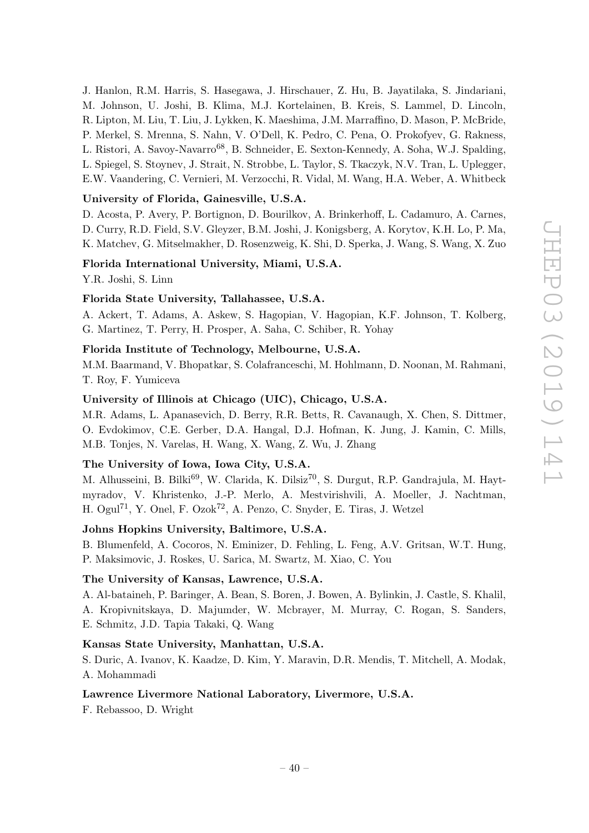J. Hanlon, R.M. Harris, S. Hasegawa, J. Hirschauer, Z. Hu, B. Jayatilaka, S. Jindariani, M. Johnson, U. Joshi, B. Klima, M.J. Kortelainen, B. Kreis, S. Lammel, D. Lincoln, R. Lipton, M. Liu, T. Liu, J. Lykken, K. Maeshima, J.M. Marraffino, D. Mason, P. McBride, P. Merkel, S. Mrenna, S. Nahn, V. O'Dell, K. Pedro, C. Pena, O. Prokofyev, G. Rakness, L. Ristori, A. Savoy-Navarro<sup>68</sup>, B. Schneider, E. Sexton-Kennedy, A. Soha, W.J. Spalding, L. Spiegel, S. Stoynev, J. Strait, N. Strobbe, L. Taylor, S. Tkaczyk, N.V. Tran, L. Uplegger, E.W. Vaandering, C. Vernieri, M. Verzocchi, R. Vidal, M. Wang, H.A. Weber, A. Whitbeck

### University of Florida, Gainesville, U.S.A.

D. Acosta, P. Avery, P. Bortignon, D. Bourilkov, A. Brinkerhoff, L. Cadamuro, A. Carnes, D. Curry, R.D. Field, S.V. Gleyzer, B.M. Joshi, J. Konigsberg, A. Korytov, K.H. Lo, P. Ma, K. Matchev, G. Mitselmakher, D. Rosenzweig, K. Shi, D. Sperka, J. Wang, S. Wang, X. Zuo

#### Florida International University, Miami, U.S.A.

Y.R. Joshi, S. Linn

### Florida State University, Tallahassee, U.S.A.

A. Ackert, T. Adams, A. Askew, S. Hagopian, V. Hagopian, K.F. Johnson, T. Kolberg, G. Martinez, T. Perry, H. Prosper, A. Saha, C. Schiber, R. Yohay

#### Florida Institute of Technology, Melbourne, U.S.A.

M.M. Baarmand, V. Bhopatkar, S. Colafranceschi, M. Hohlmann, D. Noonan, M. Rahmani, T. Roy, F. Yumiceva

### University of Illinois at Chicago (UIC), Chicago, U.S.A.

M.R. Adams, L. Apanasevich, D. Berry, R.R. Betts, R. Cavanaugh, X. Chen, S. Dittmer, O. Evdokimov, C.E. Gerber, D.A. Hangal, D.J. Hofman, K. Jung, J. Kamin, C. Mills, M.B. Tonjes, N. Varelas, H. Wang, X. Wang, Z. Wu, J. Zhang

# The University of Iowa, Iowa City, U.S.A.

M. Alhusseini, B. Bilki<sup>69</sup>, W. Clarida, K. Dilsiz<sup>70</sup>, S. Durgut, R.P. Gandrajula, M. Haytmyradov, V. Khristenko, J.-P. Merlo, A. Mestvirishvili, A. Moeller, J. Nachtman, H. Ogul71, Y. Onel, F. Ozok72, A. Penzo, C. Snyder, E. Tiras, J. Wetzel

# Johns Hopkins University, Baltimore, U.S.A.

B. Blumenfeld, A. Cocoros, N. Eminizer, D. Fehling, L. Feng, A.V. Gritsan, W.T. Hung, P. Maksimovic, J. Roskes, U. Sarica, M. Swartz, M. Xiao, C. You

### The University of Kansas, Lawrence, U.S.A.

A. Al-bataineh, P. Baringer, A. Bean, S. Boren, J. Bowen, A. Bylinkin, J. Castle, S. Khalil, A. Kropivnitskaya, D. Majumder, W. Mcbrayer, M. Murray, C. Rogan, S. Sanders, E. Schmitz, J.D. Tapia Takaki, Q. Wang

### Kansas State University, Manhattan, U.S.A.

S. Duric, A. Ivanov, K. Kaadze, D. Kim, Y. Maravin, D.R. Mendis, T. Mitchell, A. Modak, A. Mohammadi

#### Lawrence Livermore National Laboratory, Livermore, U.S.A.

F. Rebassoo, D. Wright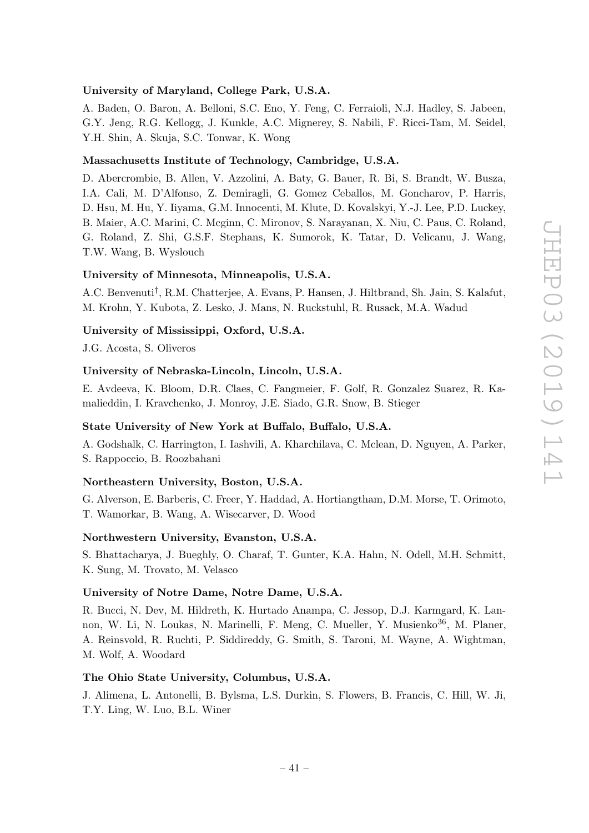### University of Maryland, College Park, U.S.A.

A. Baden, O. Baron, A. Belloni, S.C. Eno, Y. Feng, C. Ferraioli, N.J. Hadley, S. Jabeen, G.Y. Jeng, R.G. Kellogg, J. Kunkle, A.C. Mignerey, S. Nabili, F. Ricci-Tam, M. Seidel, Y.H. Shin, A. Skuja, S.C. Tonwar, K. Wong

#### Massachusetts Institute of Technology, Cambridge, U.S.A.

D. Abercrombie, B. Allen, V. Azzolini, A. Baty, G. Bauer, R. Bi, S. Brandt, W. Busza, I.A. Cali, M. D'Alfonso, Z. Demiragli, G. Gomez Ceballos, M. Goncharov, P. Harris, D. Hsu, M. Hu, Y. Iiyama, G.M. Innocenti, M. Klute, D. Kovalskyi, Y.-J. Lee, P.D. Luckey, B. Maier, A.C. Marini, C. Mcginn, C. Mironov, S. Narayanan, X. Niu, C. Paus, C. Roland, G. Roland, Z. Shi, G.S.F. Stephans, K. Sumorok, K. Tatar, D. Velicanu, J. Wang, T.W. Wang, B. Wyslouch

### University of Minnesota, Minneapolis, U.S.A.

A.C. Benvenuti† , R.M. Chatterjee, A. Evans, P. Hansen, J. Hiltbrand, Sh. Jain, S. Kalafut, M. Krohn, Y. Kubota, Z. Lesko, J. Mans, N. Ruckstuhl, R. Rusack, M.A. Wadud

# University of Mississippi, Oxford, U.S.A.

J.G. Acosta, S. Oliveros

#### University of Nebraska-Lincoln, Lincoln, U.S.A.

E. Avdeeva, K. Bloom, D.R. Claes, C. Fangmeier, F. Golf, R. Gonzalez Suarez, R. Kamalieddin, I. Kravchenko, J. Monroy, J.E. Siado, G.R. Snow, B. Stieger

# State University of New York at Buffalo, Buffalo, U.S.A.

A. Godshalk, C. Harrington, I. Iashvili, A. Kharchilava, C. Mclean, D. Nguyen, A. Parker, S. Rappoccio, B. Roozbahani

#### Northeastern University, Boston, U.S.A.

G. Alverson, E. Barberis, C. Freer, Y. Haddad, A. Hortiangtham, D.M. Morse, T. Orimoto, T. Wamorkar, B. Wang, A. Wisecarver, D. Wood

### Northwestern University, Evanston, U.S.A.

S. Bhattacharya, J. Bueghly, O. Charaf, T. Gunter, K.A. Hahn, N. Odell, M.H. Schmitt, K. Sung, M. Trovato, M. Velasco

#### University of Notre Dame, Notre Dame, U.S.A.

R. Bucci, N. Dev, M. Hildreth, K. Hurtado Anampa, C. Jessop, D.J. Karmgard, K. Lannon, W. Li, N. Loukas, N. Marinelli, F. Meng, C. Mueller, Y. Musienko<sup>36</sup>, M. Planer, A. Reinsvold, R. Ruchti, P. Siddireddy, G. Smith, S. Taroni, M. Wayne, A. Wightman, M. Wolf, A. Woodard

### The Ohio State University, Columbus, U.S.A.

J. Alimena, L. Antonelli, B. Bylsma, L.S. Durkin, S. Flowers, B. Francis, C. Hill, W. Ji, T.Y. Ling, W. Luo, B.L. Winer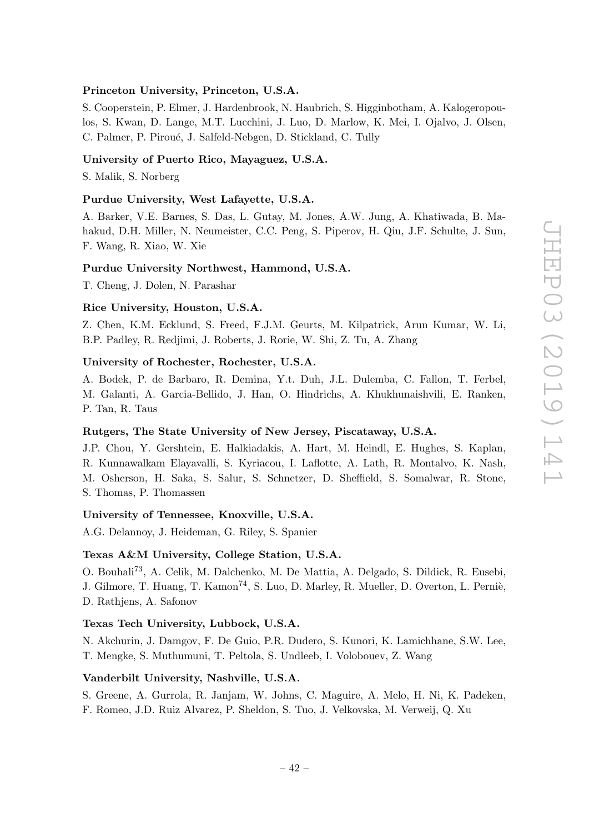#### Princeton University, Princeton, U.S.A.

S. Cooperstein, P. Elmer, J. Hardenbrook, N. Haubrich, S. Higginbotham, A. Kalogeropoulos, S. Kwan, D. Lange, M.T. Lucchini, J. Luo, D. Marlow, K. Mei, I. Ojalvo, J. Olsen, C. Palmer, P. Piroué, J. Salfeld-Nebgen, D. Stickland, C. Tully

#### University of Puerto Rico, Mayaguez, U.S.A.

S. Malik, S. Norberg

### Purdue University, West Lafayette, U.S.A.

A. Barker, V.E. Barnes, S. Das, L. Gutay, M. Jones, A.W. Jung, A. Khatiwada, B. Mahakud, D.H. Miller, N. Neumeister, C.C. Peng, S. Piperov, H. Qiu, J.F. Schulte, J. Sun, F. Wang, R. Xiao, W. Xie

#### Purdue University Northwest, Hammond, U.S.A.

T. Cheng, J. Dolen, N. Parashar

#### Rice University, Houston, U.S.A.

Z. Chen, K.M. Ecklund, S. Freed, F.J.M. Geurts, M. Kilpatrick, Arun Kumar, W. Li, B.P. Padley, R. Redjimi, J. Roberts, J. Rorie, W. Shi, Z. Tu, A. Zhang

#### University of Rochester, Rochester, U.S.A.

A. Bodek, P. de Barbaro, R. Demina, Y.t. Duh, J.L. Dulemba, C. Fallon, T. Ferbel, M. Galanti, A. Garcia-Bellido, J. Han, O. Hindrichs, A. Khukhunaishvili, E. Ranken, P. Tan, R. Taus

#### Rutgers, The State University of New Jersey, Piscataway, U.S.A.

J.P. Chou, Y. Gershtein, E. Halkiadakis, A. Hart, M. Heindl, E. Hughes, S. Kaplan, R. Kunnawalkam Elayavalli, S. Kyriacou, I. Laflotte, A. Lath, R. Montalvo, K. Nash, M. Osherson, H. Saka, S. Salur, S. Schnetzer, D. Sheffield, S. Somalwar, R. Stone, S. Thomas, P. Thomassen

# University of Tennessee, Knoxville, U.S.A.

A.G. Delannoy, J. Heideman, G. Riley, S. Spanier

### Texas A&M University, College Station, U.S.A.

O. Bouhali73, A. Celik, M. Dalchenko, M. De Mattia, A. Delgado, S. Dildick, R. Eusebi, J. Gilmore, T. Huang, T. Kamon<sup>74</sup>, S. Luo, D. Marley, R. Mueller, D. Overton, L. Perniè, D. Rathjens, A. Safonov

#### Texas Tech University, Lubbock, U.S.A.

N. Akchurin, J. Damgov, F. De Guio, P.R. Dudero, S. Kunori, K. Lamichhane, S.W. Lee, T. Mengke, S. Muthumuni, T. Peltola, S. Undleeb, I. Volobouev, Z. Wang

#### Vanderbilt University, Nashville, U.S.A.

S. Greene, A. Gurrola, R. Janjam, W. Johns, C. Maguire, A. Melo, H. Ni, K. Padeken,

F. Romeo, J.D. Ruiz Alvarez, P. Sheldon, S. Tuo, J. Velkovska, M. Verweij, Q. Xu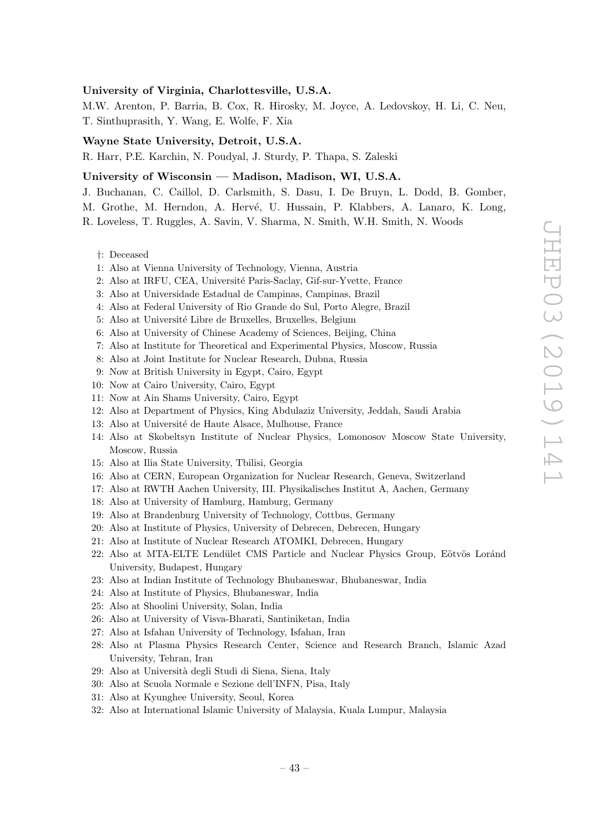#### University of Virginia, Charlottesville, U.S.A.

M.W. Arenton, P. Barria, B. Cox, R. Hirosky, M. Joyce, A. Ledovskoy, H. Li, C. Neu, T. Sinthuprasith, Y. Wang, E. Wolfe, F. Xia

#### Wayne State University, Detroit, U.S.A.

R. Harr, P.E. Karchin, N. Poudyal, J. Sturdy, P. Thapa, S. Zaleski

#### University of Wisconsin — Madison, Madison, WI, U.S.A.

J. Buchanan, C. Caillol, D. Carlsmith, S. Dasu, I. De Bruyn, L. Dodd, B. Gomber,

M. Grothe, M. Herndon, A. Hervé, U. Hussain, P. Klabbers, A. Lanaro, K. Long,

R. Loveless, T. Ruggles, A. Savin, V. Sharma, N. Smith, W.H. Smith, N. Woods

- †: Deceased
- 1: Also at Vienna University of Technology, Vienna, Austria
- 2: Also at IRFU, CEA, Université Paris-Saclay, Gif-sur-Yvette, France
- 3: Also at Universidade Estadual de Campinas, Campinas, Brazil
- 4: Also at Federal University of Rio Grande do Sul, Porto Alegre, Brazil
- 5: Also at Université Libre de Bruxelles, Bruxelles, Belgium
- 6: Also at University of Chinese Academy of Sciences, Beijing, China
- 7: Also at Institute for Theoretical and Experimental Physics, Moscow, Russia
- 8: Also at Joint Institute for Nuclear Research, Dubna, Russia
- 9: Now at British University in Egypt, Cairo, Egypt
- 10: Now at Cairo University, Cairo, Egypt
- 11: Now at Ain Shams University, Cairo, Egypt
- 12: Also at Department of Physics, King Abdulaziz University, Jeddah, Saudi Arabia
- 13: Also at Université de Haute Alsace, Mulhouse, France
- 14: Also at Skobeltsyn Institute of Nuclear Physics, Lomonosov Moscow State University, Moscow, Russia
- 15: Also at Ilia State University, Tbilisi, Georgia
- 16: Also at CERN, European Organization for Nuclear Research, Geneva, Switzerland
- 17: Also at RWTH Aachen University, III. Physikalisches Institut A, Aachen, Germany
- 18: Also at University of Hamburg, Hamburg, Germany
- 19: Also at Brandenburg University of Technology, Cottbus, Germany
- 20: Also at Institute of Physics, University of Debrecen, Debrecen, Hungary
- 21: Also at Institute of Nuclear Research ATOMKI, Debrecen, Hungary
- 22: Also at MTA-ELTE Lendület CMS Particle and Nuclear Physics Group, Eötvös Loránd University, Budapest, Hungary
- 23: Also at Indian Institute of Technology Bhubaneswar, Bhubaneswar, India
- 24: Also at Institute of Physics, Bhubaneswar, India
- 25: Also at Shoolini University, Solan, India
- 26: Also at University of Visva-Bharati, Santiniketan, India
- 27: Also at Isfahan University of Technology, Isfahan, Iran
- 28: Also at Plasma Physics Research Center, Science and Research Branch, Islamic Azad University, Tehran, Iran
- 29: Also at Universit`a degli Studi di Siena, Siena, Italy
- 30: Also at Scuola Normale e Sezione dell'INFN, Pisa, Italy
- 31: Also at Kyunghee University, Seoul, Korea
- 32: Also at International Islamic University of Malaysia, Kuala Lumpur, Malaysia